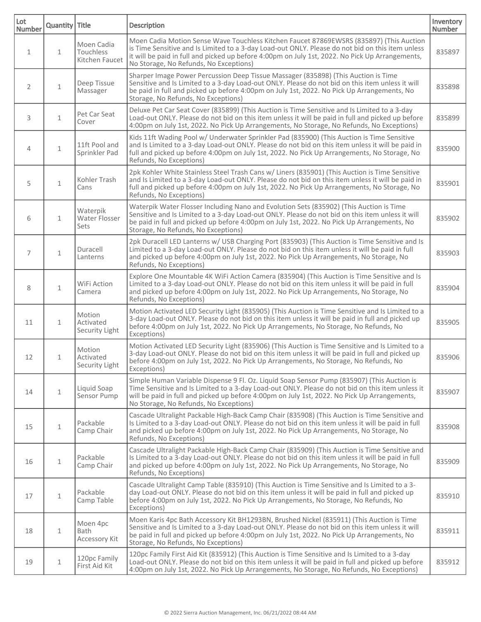| Lot<br><b>Number</b> | Quantity Title |                                           | <b>Description</b>                                                                                                                                                                                                                                                                                                                       | Inventory<br>Number |
|----------------------|----------------|-------------------------------------------|------------------------------------------------------------------------------------------------------------------------------------------------------------------------------------------------------------------------------------------------------------------------------------------------------------------------------------------|---------------------|
| $\mathbf{1}$         | $\mathbf{1}$   | Moen Cadia<br>Touchless<br>Kitchen Faucet | Moen Cadia Motion Sense Wave Touchless Kitchen Faucet 87869EWSRS (835897) (This Auction<br>is Time Sensitive and Is Limited to a 3-day Load-out ONLY. Please do not bid on this item unless<br>it will be paid in full and picked up before 4:00pm on July 1st, 2022. No Pick Up Arrangements,<br>No Storage, No Refunds, No Exceptions) | 835897              |
| $\overline{2}$       | $\mathbf{1}$   | Deep Tissue<br>Massager                   | Sharper Image Power Percussion Deep Tissue Massager (835898) (This Auction is Time<br>Sensitive and Is Limited to a 3-day Load-out ONLY. Please do not bid on this item unless it will<br>be paid in full and picked up before 4:00pm on July 1st, 2022. No Pick Up Arrangements, No<br>Storage, No Refunds, No Exceptions)              | 835898              |
| 3                    | $\mathbf{1}$   | Pet Car Seat<br>Cover                     | Deluxe Pet Car Seat Cover (835899) (This Auction is Time Sensitive and Is Limited to a 3-day<br>Load-out ONLY. Please do not bid on this item unless it will be paid in full and picked up before<br>4:00pm on July 1st, 2022. No Pick Up Arrangements, No Storage, No Refunds, No Exceptions)                                           | 835899              |
| 4                    | $\mathbf{1}$   | 11ft Pool and<br>Sprinkler Pad            | Kids 11ft Wading Pool w/ Underwater Sprinkler Pad (835900) (This Auction is Time Sensitive<br>and Is Limited to a 3-day Load-out ONLY. Please do not bid on this item unless it will be paid in<br>full and picked up before 4:00pm on July 1st, 2022. No Pick Up Arrangements, No Storage, No<br>Refunds, No Exceptions)                | 835900              |
| 5                    | $\mathbf{1}$   | Kohler Trash<br>Cans                      | 2pk Kohler White Stainless Steel Trash Cans w/ Liners (835901) (This Auction is Time Sensitive<br>and Is Limited to a 3-day Load-out ONLY. Please do not bid on this item unless it will be paid in<br>full and picked up before 4:00pm on July 1st, 2022. No Pick Up Arrangements, No Storage, No<br>Refunds, No Exceptions)            | 835901              |
| 6                    | $\mathbf{1}$   | Waterpik<br>Water Flosser<br>Sets         | Waterpik Water Flosser Including Nano and Evolution Sets (835902) (This Auction is Time<br>Sensitive and Is Limited to a 3-day Load-out ONLY. Please do not bid on this item unless it will<br>be paid in full and picked up before 4:00pm on July 1st, 2022. No Pick Up Arrangements, No<br>Storage, No Refunds, No Exceptions)         | 835902              |
| 7                    | $\mathbf{1}$   | Duracell<br>Lanterns                      | 2pk Duracell LED Lanterns w/ USB Charging Port (835903) (This Auction is Time Sensitive and Is<br>Limited to a 3-day Load-out ONLY. Please do not bid on this item unless it will be paid in full<br>and picked up before 4:00pm on July 1st, 2022. No Pick Up Arrangements, No Storage, No<br>Refunds, No Exceptions)                   | 835903              |
| 8                    | $\mathbf{1}$   | WiFi Action<br>Camera                     | Explore One Mountable 4K WiFi Action Camera (835904) (This Auction is Time Sensitive and Is<br>Limited to a 3-day Load-out ONLY. Please do not bid on this item unless it will be paid in full<br>and picked up before 4:00pm on July 1st, 2022. No Pick Up Arrangements, No Storage, No<br>Refunds, No Exceptions)                      | 835904              |
| 11                   | $\mathbf{1}$   | Motion<br>Activated<br>Security Light     | Motion Activated LED Security Light (835905) (This Auction is Time Sensitive and Is Limited to a<br>3-day Load-out ONLY. Please do not bid on this item unless it will be paid in full and picked up<br>before 4:00pm on July 1st, 2022. No Pick Up Arrangements, No Storage, No Refunds, No<br>Exceptions)                              | 835905              |
| 12                   | $\mathbf{1}$   | Motion<br>Activated<br>Security Light     | Motion Activated LED Security Light (835906) (This Auction is Time Sensitive and Is Limited to a<br>3-day Load-out ONLY. Please do not bid on this item unless it will be paid in full and picked up<br>before 4:00pm on July 1st, 2022. No Pick Up Arrangements, No Storage, No Refunds, No<br>Exceptions)                              | 835906              |
| 14                   | $\mathbf{1}$   | Liquid Soap<br>Sensor Pump                | Simple Human Variable Dispense 9 Fl. Oz. Liquid Soap Sensor Pump (835907) (This Auction is<br>Time Sensitive and Is Limited to a 3-day Load-out ONLY. Please do not bid on this item unless it<br>will be paid in full and picked up before 4:00pm on July 1st, 2022. No Pick Up Arrangements,<br>No Storage, No Refunds, No Exceptions) | 835907              |
| 15                   | $\mathbf 1$    | Packable<br>Camp Chair                    | Cascade Ultralight Packable High-Back Camp Chair (835908) (This Auction is Time Sensitive and<br>Is Limited to a 3-day Load-out ONLY. Please do not bid on this item unless it will be paid in full<br>and picked up before 4:00pm on July 1st, 2022. No Pick Up Arrangements, No Storage, No<br>Refunds, No Exceptions)                 | 835908              |
| 16                   | $\mathbf 1$    | Packable<br>Camp Chair                    | Cascade Ultralight Packable High-Back Camp Chair (835909) (This Auction is Time Sensitive and<br>Is Limited to a 3-day Load-out ONLY. Please do not bid on this item unless it will be paid in full<br>and picked up before 4:00pm on July 1st, 2022. No Pick Up Arrangements, No Storage, No<br>Refunds, No Exceptions)                 | 835909              |
| 17                   | $\mathbf 1$    | Packable<br>Camp Table                    | Cascade Ultralight Camp Table (835910) (This Auction is Time Sensitive and Is Limited to a 3-<br>day Load-out ONLY. Please do not bid on this item unless it will be paid in full and picked up<br>before 4:00pm on July 1st, 2022. No Pick Up Arrangements, No Storage, No Refunds, No<br>Exceptions)                                   | 835910              |
| 18                   | $\mathbf{1}$   | Moen 4pc<br><b>Bath</b><br>Accessory Kit  | Moen Karis 4pc Bath Accessory Kit BH1293BN, Brushed Nickel (835911) (This Auction is Time<br>Sensitive and Is Limited to a 3-day Load-out ONLY. Please do not bid on this item unless it will<br>be paid in full and picked up before 4:00pm on July 1st, 2022. No Pick Up Arrangements, No<br>Storage, No Refunds, No Exceptions)       | 835911              |
| 19                   | $\mathbf 1$    | 120pc Family<br>First Aid Kit             | 120pc Family First Aid Kit (835912) (This Auction is Time Sensitive and Is Limited to a 3-day<br>Load-out ONLY. Please do not bid on this item unless it will be paid in full and picked up before<br>4:00pm on July 1st, 2022. No Pick Up Arrangements, No Storage, No Refunds, No Exceptions)                                          | 835912              |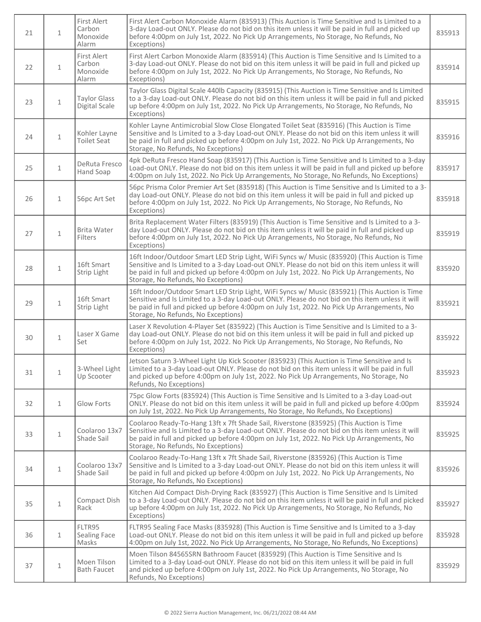| 21 | $\mathbf{1}$ | First Alert<br>Carbon<br>Monoxide<br>Alarm | First Alert Carbon Monoxide Alarm (835913) (This Auction is Time Sensitive and Is Limited to a<br>3-day Load-out ONLY. Please do not bid on this item unless it will be paid in full and picked up<br>before 4:00pm on July 1st, 2022. No Pick Up Arrangements, No Storage, No Refunds, No<br>Exceptions)                              | 835913 |
|----|--------------|--------------------------------------------|----------------------------------------------------------------------------------------------------------------------------------------------------------------------------------------------------------------------------------------------------------------------------------------------------------------------------------------|--------|
| 22 | $\mathbf{1}$ | First Alert<br>Carbon<br>Monoxide<br>Alarm | First Alert Carbon Monoxide Alarm (835914) (This Auction is Time Sensitive and Is Limited to a<br>3-day Load-out ONLY. Please do not bid on this item unless it will be paid in full and picked up<br>before 4:00pm on July 1st, 2022. No Pick Up Arrangements, No Storage, No Refunds, No<br>Exceptions)                              | 835914 |
| 23 | $\mathbf 1$  | <b>Taylor Glass</b><br>Digital Scale       | Taylor Glass Digital Scale 440lb Capacity (835915) (This Auction is Time Sensitive and Is Limited<br>to a 3-day Load-out ONLY. Please do not bid on this item unless it will be paid in full and picked<br>up before 4:00pm on July 1st, 2022. No Pick Up Arrangements, No Storage, No Refunds, No<br>Exceptions)                      | 835915 |
| 24 | $1\,$        | Kohler Layne<br><b>Toilet Seat</b>         | Kohler Layne Antimicrobial Slow Close Elongated Toilet Seat (835916) (This Auction is Time<br>Sensitive and Is Limited to a 3-day Load-out ONLY. Please do not bid on this item unless it will<br>be paid in full and picked up before 4:00pm on July 1st, 2022. No Pick Up Arrangements, No<br>Storage, No Refunds, No Exceptions)    | 835916 |
| 25 | $\mathbf{1}$ | DeRuta Fresco<br>Hand Soap                 | 4pk DeRuta Fresco Hand Soap (835917) (This Auction is Time Sensitive and Is Limited to a 3-day<br>Load-out ONLY. Please do not bid on this item unless it will be paid in full and picked up before<br>4:00pm on July 1st, 2022. No Pick Up Arrangements, No Storage, No Refunds, No Exceptions)                                       | 835917 |
| 26 | $\mathbf{1}$ | 56pc Art Set                               | 56pc Prisma Color Premier Art Set (835918) (This Auction is Time Sensitive and Is Limited to a 3-<br>day Load-out ONLY. Please do not bid on this item unless it will be paid in full and picked up<br>before 4:00pm on July 1st, 2022. No Pick Up Arrangements, No Storage, No Refunds, No<br>Exceptions)                             | 835918 |
| 27 | $\mathbf{1}$ | Brita Water<br>Filters                     | Brita Replacement Water Filters (835919) (This Auction is Time Sensitive and Is Limited to a 3-<br>day Load-out ONLY. Please do not bid on this item unless it will be paid in full and picked up<br>before 4:00pm on July 1st, 2022. No Pick Up Arrangements, No Storage, No Refunds, No<br>Exceptions)                               | 835919 |
| 28 | $\mathbf{1}$ | 16ft Smart<br>Strip Light                  | 16ft Indoor/Outdoor Smart LED Strip Light, WiFi Syncs w/ Music (835920) (This Auction is Time<br>Sensitive and Is Limited to a 3-day Load-out ONLY. Please do not bid on this item unless it will<br>be paid in full and picked up before 4:00pm on July 1st, 2022. No Pick Up Arrangements, No<br>Storage, No Refunds, No Exceptions) | 835920 |
| 29 | $\mathbf{1}$ | 16ft Smart<br>Strip Light                  | 16ft Indoor/Outdoor Smart LED Strip Light, WiFi Syncs w/ Music (835921) (This Auction is Time<br>Sensitive and Is Limited to a 3-day Load-out ONLY. Please do not bid on this item unless it will<br>be paid in full and picked up before 4:00pm on July 1st, 2022. No Pick Up Arrangements, No<br>Storage, No Refunds, No Exceptions) | 835921 |
| 30 | $\mathbf{1}$ | Laser X Game<br>Set                        | Laser X Revolution 4-Player Set (835922) (This Auction is Time Sensitive and Is Limited to a 3-<br>day Load-out ONLY. Please do not bid on this item unless it will be paid in full and picked up<br>before 4:00pm on July 1st, 2022. No Pick Up Arrangements, No Storage, No Refunds, No<br>Exceptions)                               | 835922 |
| 31 | $\mathbf{1}$ | 3-Wheel Light<br>Up Scooter                | Jetson Saturn 3-Wheel Light Up Kick Scooter (835923) (This Auction is Time Sensitive and Is<br>Limited to a 3-day Load-out ONLY. Please do not bid on this item unless it will be paid in full<br>and picked up before 4:00pm on July 1st, 2022. No Pick Up Arrangements, No Storage, No<br>Refunds, No Exceptions)                    | 835923 |
| 32 | $\mathbf{1}$ | Glow Forts                                 | 75pc Glow Forts (835924) (This Auction is Time Sensitive and Is Limited to a 3-day Load-out<br>ONLY. Please do not bid on this item unless it will be paid in full and picked up before 4:00pm<br>on July 1st, 2022. No Pick Up Arrangements, No Storage, No Refunds, No Exceptions)                                                   | 835924 |
| 33 | $1\,$        | Coolaroo 13x7<br>Shade Sail                | Coolaroo Ready-To-Hang 13ft x 7ft Shade Sail, Riverstone (835925) (This Auction is Time<br>Sensitive and Is Limited to a 3-day Load-out ONLY. Please do not bid on this item unless it will<br>be paid in full and picked up before 4:00pm on July 1st, 2022. No Pick Up Arrangements, No<br>Storage, No Refunds, No Exceptions)       | 835925 |
| 34 | $\mathbf 1$  | Coolaroo 13x7<br>Shade Sail                | Coolaroo Ready-To-Hang 13ft x 7ft Shade Sail, Riverstone (835926) (This Auction is Time<br>Sensitive and Is Limited to a 3-day Load-out ONLY. Please do not bid on this item unless it will<br>be paid in full and picked up before 4:00pm on July 1st, 2022. No Pick Up Arrangements, No<br>Storage, No Refunds, No Exceptions)       | 835926 |
| 35 | $\mathbf{1}$ | Compact Dish<br>Rack                       | Kitchen Aid Compact Dish-Drying Rack (835927) (This Auction is Time Sensitive and Is Limited<br>to a 3-day Load-out ONLY. Please do not bid on this item unless it will be paid in full and picked<br>up before 4:00pm on July 1st, 2022. No Pick Up Arrangements, No Storage, No Refunds, No<br>Exceptions)                           | 835927 |
| 36 | $\mathbf{1}$ | FLTR95<br>Sealing Face<br>Masks            | FLTR95 Sealing Face Masks (835928) (This Auction is Time Sensitive and Is Limited to a 3-day<br>Load-out ONLY. Please do not bid on this item unless it will be paid in full and picked up before<br>4:00pm on July 1st, 2022. No Pick Up Arrangements, No Storage, No Refunds, No Exceptions)                                         | 835928 |
| 37 | $1\,$        | Moen Tilson<br><b>Bath Faucet</b>          | Moen Tilson 84565SRN Bathroom Faucet (835929) (This Auction is Time Sensitive and Is<br>Limited to a 3-day Load-out ONLY. Please do not bid on this item unless it will be paid in full<br>and picked up before 4:00pm on July 1st, 2022. No Pick Up Arrangements, No Storage, No<br>Refunds, No Exceptions)                           | 835929 |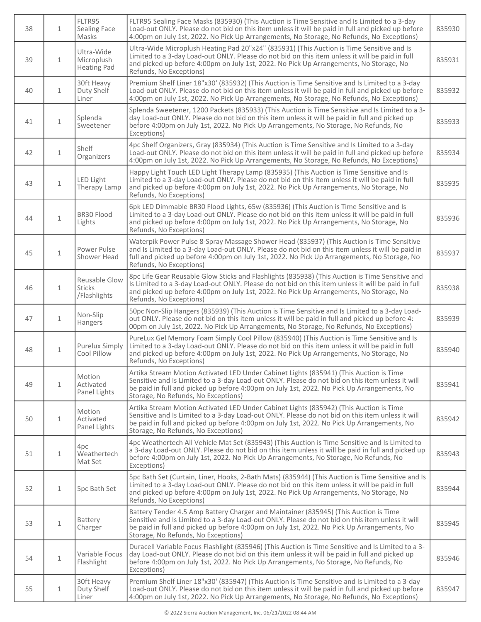| 38 | $\mathbf{1}$ | FLTR95<br>Sealing Face<br>Masks                | FLTR95 Sealing Face Masks (835930) (This Auction is Time Sensitive and Is Limited to a 3-day<br>Load-out ONLY. Please do not bid on this item unless it will be paid in full and picked up before<br>4:00pm on July 1st, 2022. No Pick Up Arrangements, No Storage, No Refunds, No Exceptions)                                  | 835930 |
|----|--------------|------------------------------------------------|---------------------------------------------------------------------------------------------------------------------------------------------------------------------------------------------------------------------------------------------------------------------------------------------------------------------------------|--------|
| 39 | $\mathbf{1}$ | Ultra-Wide<br>Microplush<br><b>Heating Pad</b> | Ultra-Wide Microplush Heating Pad 20"x24" (835931) (This Auction is Time Sensitive and Is<br>Limited to a 3-day Load-out ONLY. Please do not bid on this item unless it will be paid in full<br>and picked up before 4:00pm on July 1st, 2022. No Pick Up Arrangements, No Storage, No<br>Refunds, No Exceptions)               | 835931 |
| 40 | $\mathbf{1}$ | 30ft Heavy<br>Duty Shelf<br>Liner              | Premium Shelf Liner 18"x30' (835932) (This Auction is Time Sensitive and Is Limited to a 3-day<br>Load-out ONLY. Please do not bid on this item unless it will be paid in full and picked up before<br>4:00pm on July 1st, 2022. No Pick Up Arrangements, No Storage, No Refunds, No Exceptions)                                | 835932 |
| 41 | $\mathbf{1}$ | Splenda<br>Sweetener                           | Splenda Sweetener, 1200 Packets (835933) (This Auction is Time Sensitive and Is Limited to a 3-<br>day Load-out ONLY. Please do not bid on this item unless it will be paid in full and picked up<br>before 4:00pm on July 1st, 2022. No Pick Up Arrangements, No Storage, No Refunds, No<br>Exceptions)                        | 835933 |
| 42 | $\mathbf{1}$ | Shelf<br>Organizers                            | 4pc Shelf Organizers, Gray (835934) (This Auction is Time Sensitive and Is Limited to a 3-day<br>Load-out ONLY. Please do not bid on this item unless it will be paid in full and picked up before<br>4:00pm on July 1st, 2022. No Pick Up Arrangements, No Storage, No Refunds, No Exceptions)                                 | 835934 |
| 43 | $\mathbf{1}$ | LED Light<br>Therapy Lamp                      | Happy Light Touch LED Light Therapy Lamp (835935) (This Auction is Time Sensitive and Is<br>Limited to a 3-day Load-out ONLY. Please do not bid on this item unless it will be paid in full<br>and picked up before 4:00pm on July 1st, 2022. No Pick Up Arrangements, No Storage, No<br>Refunds, No Exceptions)                | 835935 |
| 44 | $\mathbf{1}$ | BR30 Flood<br>Lights                           | 6pk LED Dimmable BR30 Flood Lights, 65w (835936) (This Auction is Time Sensitive and Is<br>Limited to a 3-day Load-out ONLY. Please do not bid on this item unless it will be paid in full<br>and picked up before 4:00pm on July 1st, 2022. No Pick Up Arrangements, No Storage, No<br>Refunds, No Exceptions)                 | 835936 |
| 45 | $\mathbf{1}$ | Power Pulse<br>Shower Head                     | Waterpik Power Pulse 8-Spray Massage Shower Head (835937) (This Auction is Time Sensitive<br>and Is Limited to a 3-day Load-out ONLY. Please do not bid on this item unless it will be paid in<br>full and picked up before 4:00pm on July 1st, 2022. No Pick Up Arrangements, No Storage, No<br>Refunds, No Exceptions)        | 835937 |
| 46 | $\mathbf{1}$ | Reusable Glow<br><b>Sticks</b><br>/Flashlights | 8pc Life Gear Reusable Glow Sticks and Flashlights (835938) (This Auction is Time Sensitive and<br>Is Limited to a 3-day Load-out ONLY. Please do not bid on this item unless it will be paid in full<br>and picked up before 4:00pm on July 1st, 2022. No Pick Up Arrangements, No Storage, No<br>Refunds, No Exceptions)      | 835938 |
| 47 | $\mathbf{1}$ | Non-Slip<br>Hangers                            | 50pc Non-Slip Hangers (835939) (This Auction is Time Sensitive and Is Limited to a 3-day Load-<br>out ONLY. Please do not bid on this item unless it will be paid in full and picked up before 4:<br>00pm on July 1st, 2022. No Pick Up Arrangements, No Storage, No Refunds, No Exceptions)                                    | 835939 |
| 48 | $\mathbf{1}$ | <b>Purelux Simply</b><br>Cool Pillow           | PureLux Gel Memory Foam Simply Cool Pillow (835940) (This Auction is Time Sensitive and Is<br>Limited to a 3-day Load-out ONLY. Please do not bid on this item unless it will be paid in full<br>and picked up before 4:00pm on July 1st, 2022. No Pick Up Arrangements, No Storage, No<br>Refunds, No Exceptions)              | 835940 |
| 49 | $\mathbf{1}$ | Motion<br>Activated<br>Panel Lights            | Artika Stream Motion Activated LED Under Cabinet Lights (835941) (This Auction is Time<br>Sensitive and Is Limited to a 3-day Load-out ONLY. Please do not bid on this item unless it will<br>be paid in full and picked up before 4:00pm on July 1st, 2022. No Pick Up Arrangements, No<br>Storage, No Refunds, No Exceptions) | 835941 |
| 50 | $\mathbf{1}$ | Motion<br>Activated<br>Panel Lights            | Artika Stream Motion Activated LED Under Cabinet Lights (835942) (This Auction is Time<br>Sensitive and Is Limited to a 3-day Load-out ONLY. Please do not bid on this item unless it will<br>be paid in full and picked up before 4:00pm on July 1st, 2022. No Pick Up Arrangements, No<br>Storage, No Refunds, No Exceptions) | 835942 |
| 51 | $\mathbf{1}$ | 4pc<br>Weathertech<br>Mat Set                  | 4pc Weathertech All Vehicle Mat Set (835943) (This Auction is Time Sensitive and Is Limited to<br>a 3-day Load-out ONLY. Please do not bid on this item unless it will be paid in full and picked up<br>before 4:00pm on July 1st, 2022. No Pick Up Arrangements, No Storage, No Refunds, No<br>Exceptions)                     | 835943 |
| 52 | $\mathbf{1}$ | 5pc Bath Set                                   | 5pc Bath Set (Curtain, Liner, Hooks, 2-Bath Mats) (835944) (This Auction is Time Sensitive and Is<br>Limited to a 3-day Load-out ONLY. Please do not bid on this item unless it will be paid in full<br>and picked up before 4:00pm on July 1st, 2022. No Pick Up Arrangements, No Storage, No<br>Refunds, No Exceptions)       | 835944 |
| 53 | $\mathbf{1}$ | Battery<br>Charger                             | Battery Tender 4.5 Amp Battery Charger and Maintainer (835945) (This Auction is Time<br>Sensitive and Is Limited to a 3-day Load-out ONLY. Please do not bid on this item unless it will<br>be paid in full and picked up before 4:00pm on July 1st, 2022. No Pick Up Arrangements, No<br>Storage, No Refunds, No Exceptions)   | 835945 |
| 54 | $\mathbf 1$  | Variable Focus<br>Flashlight                   | Duracell Variable Focus Flashlight (835946) (This Auction is Time Sensitive and Is Limited to a 3-<br>day Load-out ONLY. Please do not bid on this item unless it will be paid in full and picked up<br>before 4:00pm on July 1st, 2022. No Pick Up Arrangements, No Storage, No Refunds, No<br>Exceptions)                     | 835946 |
| 55 | $\mathbf{1}$ | 30ft Heavy<br>Duty Shelf<br>Liner              | Premium Shelf Liner 18"x30' (835947) (This Auction is Time Sensitive and Is Limited to a 3-day<br>Load-out ONLY. Please do not bid on this item unless it will be paid in full and picked up before<br>4:00pm on July 1st, 2022. No Pick Up Arrangements, No Storage, No Refunds, No Exceptions)                                | 835947 |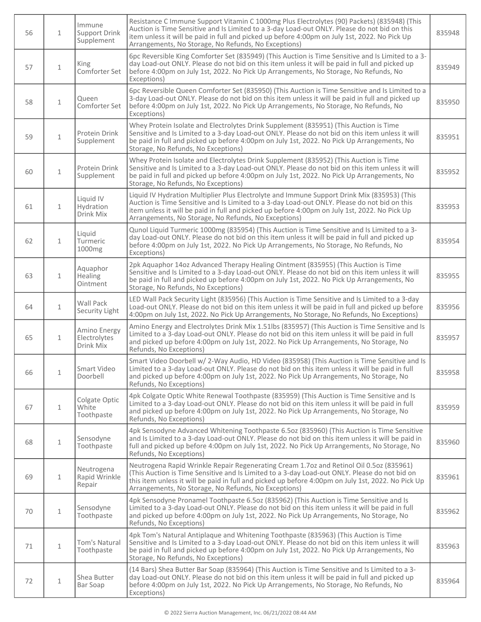| 56 | $\mathbf{1}$ | Immune<br>Support Drink<br>Supplement     | Resistance C Immune Support Vitamin C 1000mg Plus Electrolytes (90) Packets) (835948) (This<br>Auction is Time Sensitive and Is Limited to a 3-day Load-out ONLY. Please do not bid on this<br>item unless it will be paid in full and picked up before 4:00pm on July 1st, 2022. No Pick Up<br>Arrangements, No Storage, No Refunds, No Exceptions)   | 835948 |
|----|--------------|-------------------------------------------|--------------------------------------------------------------------------------------------------------------------------------------------------------------------------------------------------------------------------------------------------------------------------------------------------------------------------------------------------------|--------|
| 57 | $\mathbf{1}$ | King<br>Comforter Set                     | 6pc Reversible King Comforter Set (835949) (This Auction is Time Sensitive and Is Limited to a 3-<br>day Load-out ONLY. Please do not bid on this item unless it will be paid in full and picked up<br>before 4:00pm on July 1st, 2022. No Pick Up Arrangements, No Storage, No Refunds, No<br>Exceptions)                                             | 835949 |
| 58 | $\mathbf{1}$ | Queen<br>Comforter Set                    | 6pc Reversible Queen Comforter Set (835950) (This Auction is Time Sensitive and Is Limited to a<br>3-day Load-out ONLY. Please do not bid on this item unless it will be paid in full and picked up<br>before 4:00pm on July 1st, 2022. No Pick Up Arrangements, No Storage, No Refunds, No<br>Exceptions)                                             | 835950 |
| 59 | $1\,$        | Protein Drink<br>Supplement               | Whey Protein Isolate and Electrolytes Drink Supplement (835951) (This Auction is Time<br>Sensitive and Is Limited to a 3-day Load-out ONLY. Please do not bid on this item unless it will<br>be paid in full and picked up before 4:00pm on July 1st, 2022. No Pick Up Arrangements, No<br>Storage, No Refunds, No Exceptions)                         | 835951 |
| 60 | $\mathbf{1}$ | Protein Drink<br>Supplement               | Whey Protein Isolate and Electrolytes Drink Supplement (835952) (This Auction is Time<br>Sensitive and Is Limited to a 3-day Load-out ONLY. Please do not bid on this item unless it will<br>be paid in full and picked up before 4:00pm on July 1st, 2022. No Pick Up Arrangements, No<br>Storage, No Refunds, No Exceptions)                         | 835952 |
| 61 | 1            | Liquid IV<br>Hydration<br>Drink Mix       | Liquid IV Hydration Multiplier Plus Electrolyte and Immune Support Drink Mix (835953) (This<br>Auction is Time Sensitive and Is Limited to a 3-day Load-out ONLY. Please do not bid on this<br>item unless it will be paid in full and picked up before 4:00pm on July 1st, 2022. No Pick Up<br>Arrangements, No Storage, No Refunds, No Exceptions)   | 835953 |
| 62 | $\mathbf{1}$ | Liquid<br>Turmeric<br>1000mg              | Qunol Liquid Turmeric 1000mg (835954) (This Auction is Time Sensitive and Is Limited to a 3-<br>day Load-out ONLY. Please do not bid on this item unless it will be paid in full and picked up<br>before 4:00pm on July 1st, 2022. No Pick Up Arrangements, No Storage, No Refunds, No<br>Exceptions)                                                  | 835954 |
| 63 | $\mathbf{1}$ | Aquaphor<br>Healing<br>Ointment           | 2pk Aquaphor 14oz Advanced Therapy Healing Ointment (835955) (This Auction is Time<br>Sensitive and Is Limited to a 3-day Load-out ONLY. Please do not bid on this item unless it will<br>be paid in full and picked up before 4:00pm on July 1st, 2022. No Pick Up Arrangements, No<br>Storage, No Refunds, No Exceptions)                            | 835955 |
| 64 | $\mathbf{1}$ | Wall Pack<br>Security Light               | LED Wall Pack Security Light (835956) (This Auction is Time Sensitive and Is Limited to a 3-day<br>Load-out ONLY. Please do not bid on this item unless it will be paid in full and picked up before<br>4:00pm on July 1st, 2022. No Pick Up Arrangements, No Storage, No Refunds, No Exceptions)                                                      | 835956 |
| 65 | $\mathbf{1}$ | Amino Energy<br>Electrolytes<br>Drink Mix | Amino Energy and Electrolytes Drink Mix 1.51lbs (835957) (This Auction is Time Sensitive and Is<br>Limited to a 3-day Load-out ONLY. Please do not bid on this item unless it will be paid in full<br>and picked up before 4:00pm on July 1st, 2022. No Pick Up Arrangements, No Storage, No<br>Refunds, No Exceptions)                                | 835957 |
| 66 | $\mathbf{1}$ | Smart Video<br>Doorbell                   | Smart Video Doorbell w/ 2-Way Audio, HD Video (835958) (This Auction is Time Sensitive and Is<br>Limited to a 3-day Load-out ONLY. Please do not bid on this item unless it will be paid in full<br>and picked up before 4:00pm on July 1st, 2022. No Pick Up Arrangements, No Storage, No<br>Refunds, No Exceptions)                                  | 835958 |
| 67 | $\mathbf{1}$ | Colgate Optic<br>White<br>Toothpaste      | 4pk Colgate Optic White Renewal Toothpaste (835959) (This Auction is Time Sensitive and Is<br>Limited to a 3-day Load-out ONLY. Please do not bid on this item unless it will be paid in full<br>and picked up before 4:00pm on July 1st, 2022. No Pick Up Arrangements, No Storage, No<br>Refunds, No Exceptions)                                     | 835959 |
| 68 | $\mathbf{1}$ | Sensodyne<br>Toothpaste                   | 4pk Sensodyne Advanced Whitening Toothpaste 6.5oz (835960) (This Auction is Time Sensitive<br>and Is Limited to a 3-day Load-out ONLY. Please do not bid on this item unless it will be paid in<br>full and picked up before 4:00pm on July 1st, 2022. No Pick Up Arrangements, No Storage, No<br>Refunds, No Exceptions)                              | 835960 |
| 69 | $\mathbf{1}$ | Neutrogena<br>Rapid Wrinkle<br>Repair     | Neutrogena Rapid Wrinkle Repair Regenerating Cream 1.7oz and Retinol Oil 0.5oz (835961)<br>(This Auction is Time Sensitive and Is Limited to a 3-day Load-out ONLY. Please do not bid on<br>this item unless it will be paid in full and picked up before 4:00pm on July 1st, 2022. No Pick Up<br>Arrangements, No Storage, No Refunds, No Exceptions) | 835961 |
| 70 | $1\,$        | Sensodyne<br>Toothpaste                   | 4pk Sensodyne Pronamel Toothpaste 6.5oz (835962) (This Auction is Time Sensitive and Is<br>Limited to a 3-day Load-out ONLY. Please do not bid on this item unless it will be paid in full<br>and picked up before 4:00pm on July 1st, 2022. No Pick Up Arrangements, No Storage, No<br>Refunds, No Exceptions)                                        | 835962 |
| 71 | $1\,$        | Tom's Natural<br>Toothpaste               | 4pk Tom's Natural Antiplaque and Whitening Toothpaste (835963) (This Auction is Time<br>Sensitive and Is Limited to a 3-day Load-out ONLY. Please do not bid on this item unless it will<br>be paid in full and picked up before 4:00pm on July 1st, 2022. No Pick Up Arrangements, No<br>Storage, No Refunds, No Exceptions)                          | 835963 |
| 72 | $\mathbf{1}$ | Shea Butter<br>Bar Soap                   | (14 Bars) Shea Butter Bar Soap (835964) (This Auction is Time Sensitive and Is Limited to a 3-<br>day Load-out ONLY. Please do not bid on this item unless it will be paid in full and picked up<br>before 4:00pm on July 1st, 2022. No Pick Up Arrangements, No Storage, No Refunds, No<br>Exceptions)                                                | 835964 |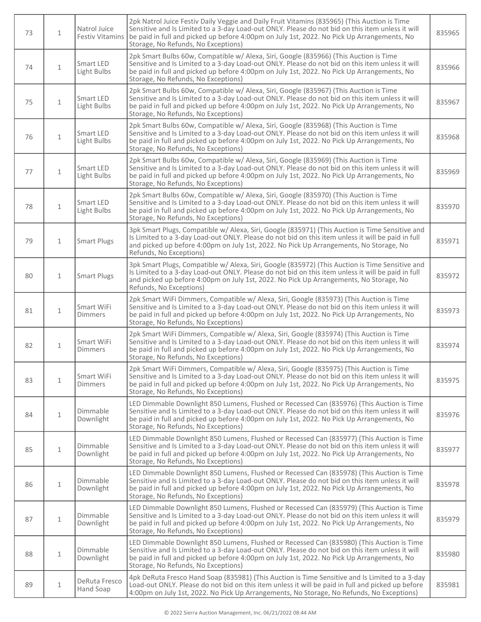| 73 | $\mathbf{1}$ | Natrol Juice<br><b>Festiv Vitamins</b> | 2pk Natrol Juice Festiv Daily Veggie and Daily Fruit Vitamins (835965) (This Auction is Time<br>Sensitive and Is Limited to a 3-day Load-out ONLY. Please do not bid on this item unless it will<br>be paid in full and picked up before 4:00pm on July 1st, 2022. No Pick Up Arrangements, No<br>Storage, No Refunds, No Exceptions) | 835965 |
|----|--------------|----------------------------------------|---------------------------------------------------------------------------------------------------------------------------------------------------------------------------------------------------------------------------------------------------------------------------------------------------------------------------------------|--------|
| 74 | $\mathbf{1}$ | Smart LED<br>Light Bulbs               | 2pk Smart Bulbs 60w, Compatible w/ Alexa, Siri, Google (835966) (This Auction is Time<br>Sensitive and Is Limited to a 3-day Load-out ONLY. Please do not bid on this item unless it will<br>be paid in full and picked up before 4:00pm on July 1st, 2022. No Pick Up Arrangements, No<br>Storage, No Refunds, No Exceptions)        | 835966 |
| 75 | $\mathbf{1}$ | Smart LED<br>Light Bulbs               | 2pk Smart Bulbs 60w, Compatible w/ Alexa, Siri, Google (835967) (This Auction is Time<br>Sensitive and Is Limited to a 3-day Load-out ONLY. Please do not bid on this item unless it will<br>be paid in full and picked up before 4:00pm on July 1st, 2022. No Pick Up Arrangements, No<br>Storage, No Refunds, No Exceptions)        | 835967 |
| 76 | $\mathbf{1}$ | Smart LED<br>Light Bulbs               | 2pk Smart Bulbs 60w, Compatible w/ Alexa, Siri, Google (835968) (This Auction is Time<br>Sensitive and Is Limited to a 3-day Load-out ONLY. Please do not bid on this item unless it will<br>be paid in full and picked up before 4:00pm on July 1st, 2022. No Pick Up Arrangements, No<br>Storage, No Refunds, No Exceptions)        | 835968 |
| 77 | $\mathbf{1}$ | Smart LED<br>Light Bulbs               | 2pk Smart Bulbs 60w, Compatible w/ Alexa, Siri, Google (835969) (This Auction is Time<br>Sensitive and Is Limited to a 3-day Load-out ONLY. Please do not bid on this item unless it will<br>be paid in full and picked up before 4:00pm on July 1st, 2022. No Pick Up Arrangements, No<br>Storage, No Refunds, No Exceptions)        | 835969 |
| 78 | $\mathbf{1}$ | Smart LED<br>Light Bulbs               | 2pk Smart Bulbs 60w, Compatible w/ Alexa, Siri, Google (835970) (This Auction is Time<br>Sensitive and Is Limited to a 3-day Load-out ONLY. Please do not bid on this item unless it will<br>be paid in full and picked up before 4:00pm on July 1st, 2022. No Pick Up Arrangements, No<br>Storage, No Refunds, No Exceptions)        | 835970 |
| 79 | 1            | <b>Smart Plugs</b>                     | 3pk Smart Plugs, Compatible w/ Alexa, Siri, Google (835971) (This Auction is Time Sensitive and<br>Is Limited to a 3-day Load-out ONLY. Please do not bid on this item unless it will be paid in full<br>and picked up before 4:00pm on July 1st, 2022. No Pick Up Arrangements, No Storage, No<br>Refunds, No Exceptions)            | 835971 |
| 80 | $\mathbf{1}$ | <b>Smart Plugs</b>                     | 3pk Smart Plugs, Compatible w/ Alexa, Siri, Google (835972) (This Auction is Time Sensitive and<br>Is Limited to a 3-day Load-out ONLY. Please do not bid on this item unless it will be paid in full<br>and picked up before 4:00pm on July 1st, 2022. No Pick Up Arrangements, No Storage, No<br>Refunds, No Exceptions)            | 835972 |
| 81 | $\mathbf{1}$ | Smart WiFi<br><b>Dimmers</b>           | 2pk Smart WiFi Dimmers, Compatible w/ Alexa, Siri, Google (835973) (This Auction is Time<br>Sensitive and Is Limited to a 3-day Load-out ONLY. Please do not bid on this item unless it will<br>be paid in full and picked up before 4:00pm on July 1st, 2022. No Pick Up Arrangements, No<br>Storage, No Refunds, No Exceptions)     | 835973 |
| 82 | $\mathbf{1}$ | Smart WiFi<br><b>Dimmers</b>           | 2pk Smart WiFi Dimmers, Compatible w/ Alexa, Siri, Google (835974) (This Auction is Time<br>Sensitive and Is Limited to a 3-day Load-out ONLY. Please do not bid on this item unless it will<br>be paid in full and picked up before 4:00pm on July 1st, 2022. No Pick Up Arrangements, No<br>Storage, No Refunds, No Exceptions)     | 835974 |
| 83 | $\mathbf{1}$ | Smart WiFi<br><b>Dimmers</b>           | 2pk Smart WiFi Dimmers, Compatible w/ Alexa, Siri, Google (835975) (This Auction is Time<br>Sensitive and Is Limited to a 3-day Load-out ONLY. Please do not bid on this item unless it will<br>be paid in full and picked up before 4:00pm on July 1st, 2022. No Pick Up Arrangements, No<br>Storage, No Refunds, No Exceptions)     | 835975 |
| 84 | $\mathbf{1}$ | Dimmable<br>Downlight                  | LED Dimmable Downlight 850 Lumens, Flushed or Recessed Can (835976) (This Auction is Time<br>Sensitive and Is Limited to a 3-day Load-out ONLY. Please do not bid on this item unless it will<br>be paid in full and picked up before 4:00pm on July 1st, 2022. No Pick Up Arrangements, No<br>Storage, No Refunds, No Exceptions)    | 835976 |
| 85 | $\mathbf 1$  | Dimmable<br>Downlight                  | LED Dimmable Downlight 850 Lumens, Flushed or Recessed Can (835977) (This Auction is Time<br>Sensitive and Is Limited to a 3-day Load-out ONLY. Please do not bid on this item unless it will<br>be paid in full and picked up before 4:00pm on July 1st, 2022. No Pick Up Arrangements, No<br>Storage, No Refunds, No Exceptions)    | 835977 |
| 86 | $\mathbf{1}$ | Dimmable<br>Downlight                  | LED Dimmable Downlight 850 Lumens, Flushed or Recessed Can (835978) (This Auction is Time<br>Sensitive and Is Limited to a 3-day Load-out ONLY. Please do not bid on this item unless it will<br>be paid in full and picked up before 4:00pm on July 1st, 2022. No Pick Up Arrangements, No<br>Storage, No Refunds, No Exceptions)    | 835978 |
| 87 | $\mathbf{1}$ | Dimmable<br>Downlight                  | LED Dimmable Downlight 850 Lumens, Flushed or Recessed Can (835979) (This Auction is Time<br>Sensitive and Is Limited to a 3-day Load-out ONLY. Please do not bid on this item unless it will<br>be paid in full and picked up before 4:00pm on July 1st, 2022. No Pick Up Arrangements, No<br>Storage, No Refunds, No Exceptions)    | 835979 |
| 88 | $\mathbf{1}$ | Dimmable<br>Downlight                  | LED Dimmable Downlight 850 Lumens, Flushed or Recessed Can (835980) (This Auction is Time<br>Sensitive and Is Limited to a 3-day Load-out ONLY. Please do not bid on this item unless it will<br>be paid in full and picked up before 4:00pm on July 1st, 2022. No Pick Up Arrangements, No<br>Storage, No Refunds, No Exceptions)    | 835980 |
| 89 | $\mathbf{1}$ | DeRuta Fresco<br>Hand Soap             | 4pk DeRuta Fresco Hand Soap (835981) (This Auction is Time Sensitive and Is Limited to a 3-day<br>Load-out ONLY. Please do not bid on this item unless it will be paid in full and picked up before<br>4:00pm on July 1st, 2022. No Pick Up Arrangements, No Storage, No Refunds, No Exceptions)                                      | 835981 |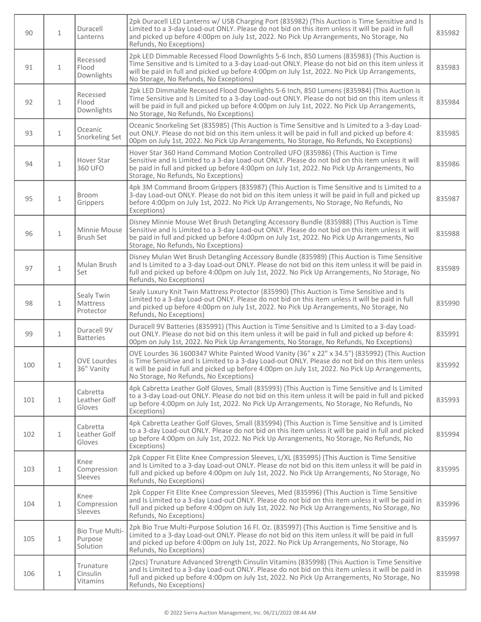| 90  | $\mathbf{1}$ | Duracell<br>Lanterns                          | 2pk Duracell LED Lanterns w/ USB Charging Port (835982) (This Auction is Time Sensitive and Is<br>Limited to a 3-day Load-out ONLY. Please do not bid on this item unless it will be paid in full<br>and picked up before 4:00pm on July 1st, 2022. No Pick Up Arrangements, No Storage, No<br>Refunds, No Exceptions)                       | 835982 |
|-----|--------------|-----------------------------------------------|----------------------------------------------------------------------------------------------------------------------------------------------------------------------------------------------------------------------------------------------------------------------------------------------------------------------------------------------|--------|
| 91  | $\mathbf{1}$ | Recessed<br>Flood<br>Downlights               | 2pk LED Dimmable Recessed Flood Downlights 5-6 Inch, 850 Lumens (835983) (This Auction is<br>Time Sensitive and Is Limited to a 3-day Load-out ONLY. Please do not bid on this item unless it<br>will be paid in full and picked up before 4:00pm on July 1st, 2022. No Pick Up Arrangements,<br>No Storage, No Refunds, No Exceptions)      | 835983 |
| 92  | $\mathbf{1}$ | Recessed<br>Flood<br>Downlights               | 2pk LED Dimmable Recessed Flood Downlights 5-6 Inch, 850 Lumens (835984) (This Auction is<br>Time Sensitive and Is Limited to a 3-day Load-out ONLY. Please do not bid on this item unless it<br>will be paid in full and picked up before 4:00pm on July 1st, 2022. No Pick Up Arrangements,<br>No Storage, No Refunds, No Exceptions)      | 835984 |
| 93  | $\mathbf{1}$ | Oceanic<br>Snorkeling Set                     | Oceanic Snorkeling Set (835985) (This Auction is Time Sensitive and Is Limited to a 3-day Load-<br>out ONLY. Please do not bid on this item unless it will be paid in full and picked up before 4:<br>00pm on July 1st, 2022. No Pick Up Arrangements, No Storage, No Refunds, No Exceptions)                                                | 835985 |
| 94  | $\mathbf{1}$ | Hover Star<br>360 UFO                         | Hover Star 360 Hand Command Motion Controlled UFO (835986) (This Auction is Time<br>Sensitive and Is Limited to a 3-day Load-out ONLY. Please do not bid on this item unless it will<br>be paid in full and picked up before 4:00pm on July 1st, 2022. No Pick Up Arrangements, No<br>Storage, No Refunds, No Exceptions)                    | 835986 |
| 95  | $\mathbf 1$  | Broom<br>Grippers                             | 4pk 3M Command Broom Grippers (835987) (This Auction is Time Sensitive and Is Limited to a<br>3-day Load-out ONLY. Please do not bid on this item unless it will be paid in full and picked up<br>before 4:00pm on July 1st, 2022. No Pick Up Arrangements, No Storage, No Refunds, No<br>Exceptions)                                        | 835987 |
| 96  | $\mathbf{1}$ | Minnie Mouse<br>Brush Set                     | Disney Minnie Mouse Wet Brush Detangling Accessory Bundle (835988) (This Auction is Time<br>Sensitive and Is Limited to a 3-day Load-out ONLY. Please do not bid on this item unless it will<br>be paid in full and picked up before 4:00pm on July 1st, 2022. No Pick Up Arrangements, No<br>Storage, No Refunds, No Exceptions)            | 835988 |
| 97  | $\mathbf{1}$ | Mulan Brush<br>Set                            | Disney Mulan Wet Brush Detangling Accessory Bundle (835989) (This Auction is Time Sensitive<br>and Is Limited to a 3-day Load-out ONLY. Please do not bid on this item unless it will be paid in<br>full and picked up before 4:00pm on July 1st, 2022. No Pick Up Arrangements, No Storage, No<br>Refunds, No Exceptions)                   | 835989 |
| 98  | $\mathbf{1}$ | Sealy Twin<br><b>Mattress</b><br>Protector    | Sealy Luxury Knit Twin Mattress Protector (835990) (This Auction is Time Sensitive and Is<br>Limited to a 3-day Load-out ONLY. Please do not bid on this item unless it will be paid in full<br>and picked up before 4:00pm on July 1st, 2022. No Pick Up Arrangements, No Storage, No<br>Refunds, No Exceptions)                            | 835990 |
| 99  | $\mathbf{1}$ | Duracell 9V<br><b>Batteries</b>               | Duracell 9V Batteries (835991) (This Auction is Time Sensitive and Is Limited to a 3-day Load-<br>out ONLY. Please do not bid on this item unless it will be paid in full and picked up before 4:<br>00pm on July 1st, 2022. No Pick Up Arrangements, No Storage, No Refunds, No Exceptions)                                                 | 835991 |
| 100 | 1            | <b>OVE Lourdes</b><br>36" Vanity              | OVE Lourdes 36 1600347 White Painted Wood Vanity (36" x 22" x 34.5") (835992) (This Auction<br>is Time Sensitive and Is Limited to a 3-day Load-out ONLY. Please do not bid on this item unless<br>it will be paid in full and picked up before 4:00pm on July 1st, 2022. No Pick Up Arrangements,<br>No Storage, No Refunds, No Exceptions) | 835992 |
| 101 | $\mathbf{1}$ | Cabretta<br>Leather Golf<br>Gloves            | 4pk Cabretta Leather Golf Gloves, Small (835993) (This Auction is Time Sensitive and Is Limited<br>to a 3-day Load-out ONLY. Please do not bid on this item unless it will be paid in full and picked<br>up before 4:00pm on July 1st, 2022. No Pick Up Arrangements, No Storage, No Refunds, No<br>Exceptions)                              | 835993 |
| 102 | $\mathbf{1}$ | Cabretta<br>Leather Golf<br>Gloves            | 4pk Cabretta Leather Golf Gloves, Small (835994) (This Auction is Time Sensitive and Is Limited<br>to a 3-day Load-out ONLY. Please do not bid on this item unless it will be paid in full and picked<br>up before 4:00pm on July 1st, 2022. No Pick Up Arrangements, No Storage, No Refunds, No<br>Exceptions)                              | 835994 |
| 103 | $\mathbf{1}$ | Knee<br>Compression<br><b>Sleeves</b>         | 2pk Copper Fit Elite Knee Compression Sleeves, L/XL (835995) (This Auction is Time Sensitive<br>and Is Limited to a 3-day Load-out ONLY. Please do not bid on this item unless it will be paid in<br>full and picked up before 4:00pm on July 1st, 2022. No Pick Up Arrangements, No Storage, No<br>Refunds, No Exceptions)                  | 835995 |
| 104 | $\mathbf{1}$ | Knee<br>Compression<br><b>Sleeves</b>         | 2pk Copper Fit Elite Knee Compression Sleeves, Med (835996) (This Auction is Time Sensitive<br>and Is Limited to a 3-day Load-out ONLY. Please do not bid on this item unless it will be paid in<br>full and picked up before 4:00pm on July 1st, 2022. No Pick Up Arrangements, No Storage, No<br>Refunds, No Exceptions)                   | 835996 |
| 105 | $\mathbf{1}$ | <b>Bio True Multi-</b><br>Purpose<br>Solution | 2pk Bio True Multi-Purpose Solution 16 Fl. Oz. (835997) (This Auction is Time Sensitive and Is<br>Limited to a 3-day Load-out ONLY. Please do not bid on this item unless it will be paid in full<br>and picked up before 4:00pm on July 1st, 2022. No Pick Up Arrangements, No Storage, No<br>Refunds, No Exceptions)                       | 835997 |
| 106 | $\mathbf{1}$ | Trunature<br>Cinsulin<br>Vitamins             | (2pcs) Trunature Advanced Strength Cinsulin Vitamins (835998) (This Auction is Time Sensitive<br>and Is Limited to a 3-day Load-out ONLY. Please do not bid on this item unless it will be paid in<br>full and picked up before 4:00pm on July 1st, 2022. No Pick Up Arrangements, No Storage, No<br>Refunds, No Exceptions)                 | 835998 |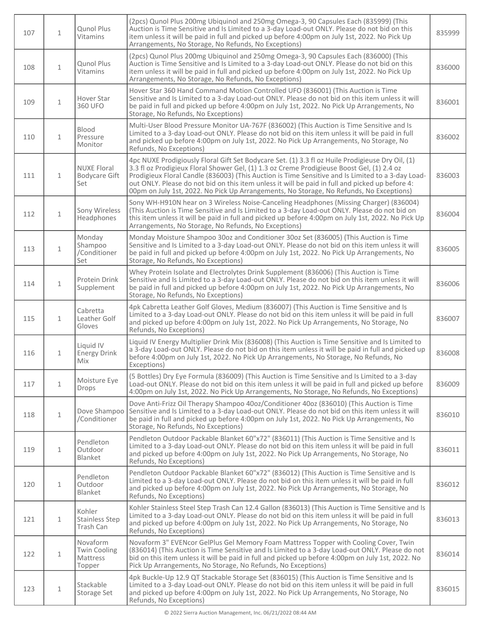| 107 | $\mathbf{1}$ | <b>Qunol Plus</b><br><b>Vitamins</b>                  | (2pcs) Qunol Plus 200mg Ubiquinol and 250mg Omega-3, 90 Capsules Each (835999) (This<br>Auction is Time Sensitive and Is Limited to a 3-day Load-out ONLY. Please do not bid on this<br>item unless it will be paid in full and picked up before 4:00pm on July 1st, 2022. No Pick Up<br>Arrangements, No Storage, No Refunds, No Exceptions)                                                                                                                                                     | 835999 |
|-----|--------------|-------------------------------------------------------|---------------------------------------------------------------------------------------------------------------------------------------------------------------------------------------------------------------------------------------------------------------------------------------------------------------------------------------------------------------------------------------------------------------------------------------------------------------------------------------------------|--------|
| 108 | $\mathbf{1}$ | <b>Qunol Plus</b><br>Vitamins                         | (2pcs) Qunol Plus 200mg Ubiquinol and 250mg Omega-3, 90 Capsules Each (836000) (This<br>Auction is Time Sensitive and Is Limited to a 3-day Load-out ONLY. Please do not bid on this<br>item unless it will be paid in full and picked up before 4:00pm on July 1st, 2022. No Pick Up<br>Arrangements, No Storage, No Refunds, No Exceptions)                                                                                                                                                     | 836000 |
| 109 | $\mathbf{1}$ | Hover Star<br>360 UFO                                 | Hover Star 360 Hand Command Motion Controlled UFO (836001) (This Auction is Time<br>Sensitive and Is Limited to a 3-day Load-out ONLY. Please do not bid on this item unless it will<br>be paid in full and picked up before 4:00pm on July 1st, 2022. No Pick Up Arrangements, No<br>Storage, No Refunds, No Exceptions)                                                                                                                                                                         | 836001 |
| 110 | $\mathbf{1}$ | Blood<br>Pressure<br>Monitor                          | Multi-User Blood Pressure Monitor UA-767F (836002) (This Auction is Time Sensitive and Is<br>Limited to a 3-day Load-out ONLY. Please do not bid on this item unless it will be paid in full<br>and picked up before 4:00pm on July 1st, 2022. No Pick Up Arrangements, No Storage, No<br>Refunds, No Exceptions)                                                                                                                                                                                 | 836002 |
| 111 | $\mathbf{1}$ | <b>NUXE Floral</b><br><b>Bodycare Gift</b><br>Set     | 4pc NUXE Prodigiously Floral Gift Set Bodycare Set. (1) 3.3 fl oz Huile Prodigieuse Dry Oil, (1)<br>3.3 fl oz Prodigieux Floral Shower Gel, (1) 1.3 oz Creme Prodigieuse Boost Gel, (1) 2.4 oz<br>Prodigieux Floral Candle (836003) (This Auction is Time Sensitive and Is Limited to a 3-day Load-<br>out ONLY. Please do not bid on this item unless it will be paid in full and picked up before 4:<br>00pm on July 1st, 2022. No Pick Up Arrangements, No Storage, No Refunds, No Exceptions) | 836003 |
| 112 | $\mathbf{1}$ | Sony Wireless<br>Headphones                           | Sony WH-H910N hear on 3 Wireless Noise-Canceling Headphones (Missing Charger) (836004)<br>(This Auction is Time Sensitive and Is Limited to a 3-day Load-out ONLY. Please do not bid on<br>this item unless it will be paid in full and picked up before 4:00pm on July 1st, 2022. No Pick Up<br>Arrangements, No Storage, No Refunds, No Exceptions)                                                                                                                                             | 836004 |
| 113 | $\mathbf 1$  | Monday<br>Shampoo<br>/Conditioner<br>Set              | Monday Moisture Shampoo 30oz and Conditioner 30oz Set (836005) (This Auction is Time<br>Sensitive and Is Limited to a 3-day Load-out ONLY. Please do not bid on this item unless it will<br>be paid in full and picked up before 4:00pm on July 1st, 2022. No Pick Up Arrangements, No<br>Storage, No Refunds, No Exceptions)                                                                                                                                                                     | 836005 |
| 114 | $\mathbf{1}$ | Protein Drink<br>Supplement                           | Whey Protein Isolate and Electrolytes Drink Supplement (836006) (This Auction is Time<br>Sensitive and Is Limited to a 3-day Load-out ONLY. Please do not bid on this item unless it will<br>be paid in full and picked up before 4:00pm on July 1st, 2022. No Pick Up Arrangements, No<br>Storage, No Refunds, No Exceptions)                                                                                                                                                                    | 836006 |
| 115 | $\mathbf{1}$ | Cabretta<br>Leather Golf<br>Gloves                    | 4pk Cabretta Leather Golf Gloves, Medium (836007) (This Auction is Time Sensitive and Is<br>Limited to a 3-day Load-out ONLY. Please do not bid on this item unless it will be paid in full<br>and picked up before 4:00pm on July 1st, 2022. No Pick Up Arrangements, No Storage, No<br>Refunds, No Exceptions)                                                                                                                                                                                  | 836007 |
| 116 | $\mathbf{1}$ | Liquid IV<br><b>Energy Drink</b><br>Mix               | Liquid IV Energy Multiplier Drink Mix (836008) (This Auction is Time Sensitive and Is Limited to<br>a 3-day Load-out ONLY. Please do not bid on this item unless it will be paid in full and picked up<br>before 4:00pm on July 1st, 2022. No Pick Up Arrangements, No Storage, No Refunds, No<br>Exceptions)                                                                                                                                                                                     | 836008 |
| 117 | $\mathbf{1}$ | Moisture Eye<br>Drops                                 | (5 Bottles) Dry Eye Formula (836009) (This Auction is Time Sensitive and Is Limited to a 3-day<br>Load-out ONLY. Please do not bid on this item unless it will be paid in full and picked up before<br>4:00pm on July 1st, 2022. No Pick Up Arrangements, No Storage, No Refunds, No Exceptions)                                                                                                                                                                                                  | 836009 |
| 118 | $\mathbf{1}$ | Dove Shampoo<br>/Conditioner                          | Dove Anti-Frizz Oil Therapy Shampoo 40oz/Conditioner 40oz (836010) (This Auction is Time<br>Sensitive and Is Limited to a 3-day Load-out ONLY. Please do not bid on this item unless it will<br>be paid in full and picked up before 4:00pm on July 1st, 2022. No Pick Up Arrangements, No<br>Storage, No Refunds, No Exceptions)                                                                                                                                                                 | 836010 |
| 119 | $\mathbf{1}$ | Pendleton<br>Outdoor<br>Blanket                       | Pendleton Outdoor Packable Blanket 60"x72" (836011) (This Auction is Time Sensitive and Is<br>Limited to a 3-day Load-out ONLY. Please do not bid on this item unless it will be paid in full<br>and picked up before 4:00pm on July 1st, 2022. No Pick Up Arrangements, No Storage, No<br>Refunds, No Exceptions)                                                                                                                                                                                | 836011 |
| 120 | $\mathbf{1}$ | Pendleton<br>Outdoor<br>Blanket                       | Pendleton Outdoor Packable Blanket 60"x72" (836012) (This Auction is Time Sensitive and Is<br>Limited to a 3-day Load-out ONLY. Please do not bid on this item unless it will be paid in full<br>and picked up before 4:00pm on July 1st, 2022. No Pick Up Arrangements, No Storage, No<br>Refunds, No Exceptions)                                                                                                                                                                                | 836012 |
| 121 | $\mathbf{1}$ | Kohler<br><b>Stainless Step</b><br>Trash Can          | Kohler Stainless Steel Step Trash Can 12.4 Gallon (836013) (This Auction is Time Sensitive and Is<br>Limited to a 3-day Load-out ONLY. Please do not bid on this item unless it will be paid in full<br>and picked up before 4:00pm on July 1st, 2022. No Pick Up Arrangements, No Storage, No<br>Refunds, No Exceptions)                                                                                                                                                                         | 836013 |
| 122 | $\mathbf{1}$ | Novaform<br><b>Twin Cooling</b><br>Mattress<br>Topper | Novaform 3" EVENcor GelPlus Gel Memory Foam Mattress Topper with Cooling Cover, Twin<br>(836014) (This Auction is Time Sensitive and Is Limited to a 3-day Load-out ONLY. Please do not<br>bid on this item unless it will be paid in full and picked up before 4:00pm on July 1st, 2022. No<br>Pick Up Arrangements, No Storage, No Refunds, No Exceptions)                                                                                                                                      | 836014 |
| 123 | $\mathbf{1}$ | Stackable<br>Storage Set                              | 4pk Buckle-Up 12.9 QT Stackable Storage Set (836015) (This Auction is Time Sensitive and Is<br>Limited to a 3-day Load-out ONLY. Please do not bid on this item unless it will be paid in full<br>and picked up before 4:00pm on July 1st, 2022. No Pick Up Arrangements, No Storage, No<br>Refunds, No Exceptions)                                                                                                                                                                               | 836015 |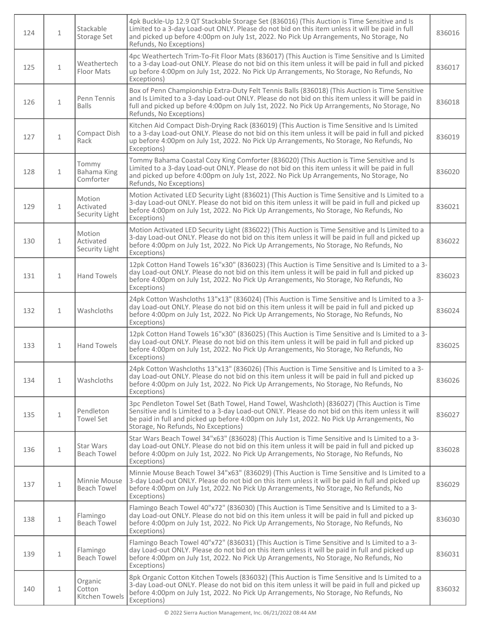| 124 | $\mathbf{1}$ | Stackable<br>Storage Set              | 4pk Buckle-Up 12.9 QT Stackable Storage Set (836016) (This Auction is Time Sensitive and Is<br>Limited to a 3-day Load-out ONLY. Please do not bid on this item unless it will be paid in full<br>and picked up before 4:00pm on July 1st, 2022. No Pick Up Arrangements, No Storage, No<br>Refunds, No Exceptions)                 | 836016 |
|-----|--------------|---------------------------------------|-------------------------------------------------------------------------------------------------------------------------------------------------------------------------------------------------------------------------------------------------------------------------------------------------------------------------------------|--------|
| 125 | $\mathbf{1}$ | Weathertech<br>Floor Mats             | 4pc Weathertech Trim-To-Fit Floor Mats (836017) (This Auction is Time Sensitive and Is Limited<br>to a 3-day Load-out ONLY. Please do not bid on this item unless it will be paid in full and picked<br>up before 4:00pm on July 1st, 2022. No Pick Up Arrangements, No Storage, No Refunds, No<br>Exceptions)                      | 836017 |
| 126 | $\mathbf{1}$ | Penn Tennis<br><b>Balls</b>           | Box of Penn Championship Extra-Duty Felt Tennis Balls (836018) (This Auction is Time Sensitive<br>and Is Limited to a 3-day Load-out ONLY. Please do not bid on this item unless it will be paid in<br>full and picked up before 4:00pm on July 1st, 2022. No Pick Up Arrangements, No Storage, No<br>Refunds, No Exceptions)       | 836018 |
| 127 | $\mathbf{1}$ | Compact Dish<br>Rack                  | Kitchen Aid Compact Dish-Drying Rack (836019) (This Auction is Time Sensitive and Is Limited<br>to a 3-day Load-out ONLY. Please do not bid on this item unless it will be paid in full and picked<br>up before 4:00pm on July 1st, 2022. No Pick Up Arrangements, No Storage, No Refunds, No<br>Exceptions)                        | 836019 |
| 128 | $\mathbf{1}$ | Tommy<br>Bahama King<br>Comforter     | Tommy Bahama Coastal Cozy King Comforter (836020) (This Auction is Time Sensitive and Is<br>Limited to a 3-day Load-out ONLY. Please do not bid on this item unless it will be paid in full<br>and picked up before 4:00pm on July 1st, 2022. No Pick Up Arrangements, No Storage, No<br>Refunds, No Exceptions)                    | 836020 |
| 129 | $\mathbf{1}$ | Motion<br>Activated<br>Security Light | Motion Activated LED Security Light (836021) (This Auction is Time Sensitive and Is Limited to a<br>3-day Load-out ONLY. Please do not bid on this item unless it will be paid in full and picked up<br>before 4:00pm on July 1st, 2022. No Pick Up Arrangements, No Storage, No Refunds, No<br>Exceptions)                         | 836021 |
| 130 | $\mathbf{1}$ | Motion<br>Activated<br>Security Light | Motion Activated LED Security Light (836022) (This Auction is Time Sensitive and Is Limited to a<br>3-day Load-out ONLY. Please do not bid on this item unless it will be paid in full and picked up<br>before 4:00pm on July 1st, 2022. No Pick Up Arrangements, No Storage, No Refunds, No<br>Exceptions)                         | 836022 |
| 131 | $\mathbf{1}$ | <b>Hand Towels</b>                    | 12pk Cotton Hand Towels 16"x30" (836023) (This Auction is Time Sensitive and Is Limited to a 3-<br>day Load-out ONLY. Please do not bid on this item unless it will be paid in full and picked up<br>before 4:00pm on July 1st, 2022. No Pick Up Arrangements, No Storage, No Refunds, No<br>Exceptions)                            | 836023 |
| 132 | $\mathbf{1}$ | Washcloths                            | 24pk Cotton Washcloths 13"x13" (836024) (This Auction is Time Sensitive and Is Limited to a 3-<br>day Load-out ONLY. Please do not bid on this item unless it will be paid in full and picked up<br>before 4:00pm on July 1st, 2022. No Pick Up Arrangements, No Storage, No Refunds, No<br>Exceptions)                             | 836024 |
| 133 | $\mathbf{1}$ | <b>Hand Towels</b>                    | 12pk Cotton Hand Towels 16"x30" (836025) (This Auction is Time Sensitive and Is Limited to a 3-<br>day Load-out ONLY. Please do not bid on this item unless it will be paid in full and picked up<br>before 4:00pm on July 1st, 2022. No Pick Up Arrangements, No Storage, No Refunds, No<br>Exceptions)                            | 836025 |
| 134 | $\mathbf{1}$ | Washcloths                            | 24pk Cotton Washcloths 13"x13" (836026) (This Auction is Time Sensitive and Is Limited to a 3-<br>day Load-out ONLY. Please do not bid on this item unless it will be paid in full and picked up<br>before 4:00pm on July 1st, 2022. No Pick Up Arrangements, No Storage, No Refunds, No<br>Exceptions)                             | 836026 |
| 135 | $\mathbf{1}$ | Pendleton<br><b>Towel Set</b>         | 3pc Pendleton Towel Set (Bath Towel, Hand Towel, Washcloth) (836027) (This Auction is Time<br>Sensitive and Is Limited to a 3-day Load-out ONLY. Please do not bid on this item unless it will<br>be paid in full and picked up before 4:00pm on July 1st, 2022. No Pick Up Arrangements, No<br>Storage, No Refunds, No Exceptions) | 836027 |
| 136 | $\mathbf{1}$ | Star Wars<br><b>Beach Towel</b>       | Star Wars Beach Towel 34"x63" (836028) (This Auction is Time Sensitive and Is Limited to a 3-<br>day Load-out ONLY. Please do not bid on this item unless it will be paid in full and picked up<br>before 4:00pm on July 1st, 2022. No Pick Up Arrangements, No Storage, No Refunds, No<br>Exceptions)                              | 836028 |
| 137 | $\mathbf{1}$ | Minnie Mouse<br><b>Beach Towel</b>    | Minnie Mouse Beach Towel 34"x63" (836029) (This Auction is Time Sensitive and Is Limited to a<br>3-day Load-out ONLY. Please do not bid on this item unless it will be paid in full and picked up<br>before 4:00pm on July 1st, 2022. No Pick Up Arrangements, No Storage, No Refunds, No<br>Exceptions)                            | 836029 |
| 138 | $\mathbf{1}$ | Flamingo<br>Beach Towel               | Flamingo Beach Towel 40"x72" (836030) (This Auction is Time Sensitive and Is Limited to a 3-<br>day Load-out ONLY. Please do not bid on this item unless it will be paid in full and picked up<br>before 4:00pm on July 1st, 2022. No Pick Up Arrangements, No Storage, No Refunds, No<br>Exceptions)                               | 836030 |
| 139 | $\mathbf 1$  | Flamingo<br><b>Beach Towel</b>        | Flamingo Beach Towel 40"x72" (836031) (This Auction is Time Sensitive and Is Limited to a 3-<br>day Load-out ONLY. Please do not bid on this item unless it will be paid in full and picked up<br>before 4:00pm on July 1st, 2022. No Pick Up Arrangements, No Storage, No Refunds, No<br>Exceptions)                               | 836031 |
| 140 | $\mathbf{1}$ | Organic<br>Cotton<br>Kitchen Towels   | 8pk Organic Cotton Kitchen Towels (836032) (This Auction is Time Sensitive and Is Limited to a<br>3-day Load-out ONLY. Please do not bid on this item unless it will be paid in full and picked up<br>before 4:00pm on July 1st, 2022. No Pick Up Arrangements, No Storage, No Refunds, No<br>Exceptions)                           | 836032 |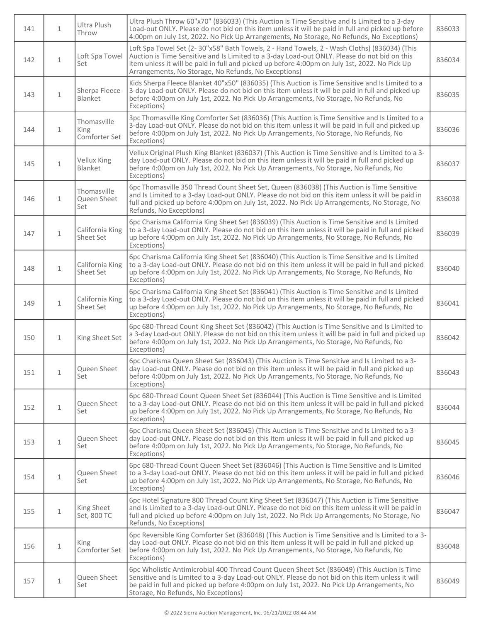| 141 | $\mathbf{1}$ | Ultra Plush<br>Throw                 | Ultra Plush Throw 60"x70" (836033) (This Auction is Time Sensitive and Is Limited to a 3-day<br>Load-out ONLY. Please do not bid on this item unless it will be paid in full and picked up before<br>4:00pm on July 1st, 2022. No Pick Up Arrangements, No Storage, No Refunds, No Exceptions)                                                       | 836033 |
|-----|--------------|--------------------------------------|------------------------------------------------------------------------------------------------------------------------------------------------------------------------------------------------------------------------------------------------------------------------------------------------------------------------------------------------------|--------|
| 142 | $\mathbf{1}$ | Loft Spa Towel<br>Set                | Loft Spa Towel Set (2-30"x58" Bath Towels, 2 - Hand Towels, 2 - Wash Cloths) (836034) (This<br>Auction is Time Sensitive and Is Limited to a 3-day Load-out ONLY. Please do not bid on this<br>item unless it will be paid in full and picked up before 4:00pm on July 1st, 2022. No Pick Up<br>Arrangements, No Storage, No Refunds, No Exceptions) | 836034 |
| 143 | $\mathbf{1}$ | Sherpa Fleece<br><b>Blanket</b>      | Kids Sherpa Fleece Blanket 40"x50" (836035) (This Auction is Time Sensitive and Is Limited to a<br>3-day Load-out ONLY. Please do not bid on this item unless it will be paid in full and picked up<br>before 4:00pm on July 1st, 2022. No Pick Up Arrangements, No Storage, No Refunds, No<br>Exceptions)                                           | 836035 |
| 144 | $\mathbf{1}$ | Thomasville<br>King<br>Comforter Set | 3pc Thomasville King Comforter Set (836036) (This Auction is Time Sensitive and Is Limited to a<br>3-day Load-out ONLY. Please do not bid on this item unless it will be paid in full and picked up<br>before 4:00pm on July 1st, 2022. No Pick Up Arrangements, No Storage, No Refunds, No<br>Exceptions)                                           | 836036 |
| 145 | $\mathbf{1}$ | Vellux King<br>Blanket               | Vellux Original Plush King Blanket (836037) (This Auction is Time Sensitive and Is Limited to a 3-<br>day Load-out ONLY. Please do not bid on this item unless it will be paid in full and picked up<br>before 4:00pm on July 1st, 2022. No Pick Up Arrangements, No Storage, No Refunds, No<br>Exceptions)                                          | 836037 |
| 146 | $\mathbf{1}$ | Thomasville<br>Queen Sheet<br>Set    | 6pc Thomasville 350 Thread Count Sheet Set, Queen (836038) (This Auction is Time Sensitive<br>and Is Limited to a 3-day Load-out ONLY. Please do not bid on this item unless it will be paid in<br>full and picked up before 4:00pm on July 1st, 2022. No Pick Up Arrangements, No Storage, No<br>Refunds, No Exceptions)                            | 836038 |
| 147 | $\mathbf{1}$ | California King<br>Sheet Set         | 6pc Charisma California King Sheet Set (836039) (This Auction is Time Sensitive and Is Limited<br>to a 3-day Load-out ONLY. Please do not bid on this item unless it will be paid in full and picked<br>up before 4:00pm on July 1st, 2022. No Pick Up Arrangements, No Storage, No Refunds, No<br>Exceptions)                                       | 836039 |
| 148 | $\mathbf{1}$ | California King<br>Sheet Set         | 6pc Charisma California King Sheet Set (836040) (This Auction is Time Sensitive and Is Limited<br>to a 3-day Load-out ONLY. Please do not bid on this item unless it will be paid in full and picked<br>up before 4:00pm on July 1st, 2022. No Pick Up Arrangements, No Storage, No Refunds, No<br>Exceptions)                                       | 836040 |
| 149 | $\mathbf{1}$ | California King<br>Sheet Set         | 6pc Charisma California King Sheet Set (836041) (This Auction is Time Sensitive and Is Limited<br>to a 3-day Load-out ONLY. Please do not bid on this item unless it will be paid in full and picked<br>up before 4:00pm on July 1st, 2022. No Pick Up Arrangements, No Storage, No Refunds, No<br>Exceptions)                                       | 836041 |
| 150 | $\mathbf{1}$ | King Sheet Set                       | 6pc 680-Thread Count King Sheet Set (836042) (This Auction is Time Sensitive and Is Limited to<br>a 3-day Load-out ONLY. Please do not bid on this item unless it will be paid in full and picked up<br>before 4:00pm on July 1st, 2022. No Pick Up Arrangements, No Storage, No Refunds, No<br>Exceptions)                                          | 836042 |
| 151 | $\mathbf{1}$ | Queen Sheet<br>Set                   | 6pc Charisma Queen Sheet Set (836043) (This Auction is Time Sensitive and Is Limited to a 3-<br>day Load-out ONLY. Please do not bid on this item unless it will be paid in full and picked up<br>before 4:00pm on July 1st, 2022. No Pick Up Arrangements, No Storage, No Refunds, No<br>Exceptions)                                                | 836043 |
| 152 | $\mathbf{1}$ | Queen Sheet<br>Set                   | 6pc 680-Thread Count Queen Sheet Set (836044) (This Auction is Time Sensitive and Is Limited<br>to a 3-day Load-out ONLY. Please do not bid on this item unless it will be paid in full and picked<br>up before 4:00pm on July 1st, 2022. No Pick Up Arrangements, No Storage, No Refunds, No<br>Exceptions)                                         | 836044 |
| 153 | $\mathbf 1$  | Queen Sheet<br>Set                   | 6pc Charisma Queen Sheet Set (836045) (This Auction is Time Sensitive and Is Limited to a 3-<br>day Load-out ONLY. Please do not bid on this item unless it will be paid in full and picked up<br>before 4:00pm on July 1st, 2022. No Pick Up Arrangements, No Storage, No Refunds, No<br>Exceptions)                                                | 836045 |
| 154 | $\mathbf 1$  | Queen Sheet<br>Set                   | 6pc 680-Thread Count Queen Sheet Set (836046) (This Auction is Time Sensitive and Is Limited<br>to a 3-day Load-out ONLY. Please do not bid on this item unless it will be paid in full and picked<br>up before 4:00pm on July 1st, 2022. No Pick Up Arrangements, No Storage, No Refunds, No<br>Exceptions)                                         | 836046 |
| 155 | $\mathbf 1$  | King Sheet<br>Set, 800 TC            | 6pc Hotel Signature 800 Thread Count King Sheet Set (836047) (This Auction is Time Sensitive<br>and Is Limited to a 3-day Load-out ONLY. Please do not bid on this item unless it will be paid in<br>full and picked up before 4:00pm on July 1st, 2022. No Pick Up Arrangements, No Storage, No<br>Refunds, No Exceptions)                          | 836047 |
| 156 | $\mathbf{1}$ | King<br>Comforter Set                | 6pc Reversible King Comforter Set (836048) (This Auction is Time Sensitive and Is Limited to a 3-<br>day Load-out ONLY. Please do not bid on this item unless it will be paid in full and picked up<br>before 4:00pm on July 1st, 2022. No Pick Up Arrangements, No Storage, No Refunds, No<br>Exceptions)                                           | 836048 |
| 157 | $\mathbf 1$  | Queen Sheet<br>Set                   | 6pc Wholistic Antimicrobial 400 Thread Count Queen Sheet Set (836049) (This Auction is Time<br>Sensitive and Is Limited to a 3-day Load-out ONLY. Please do not bid on this item unless it will<br>be paid in full and picked up before 4:00pm on July 1st, 2022. No Pick Up Arrangements, No<br>Storage, No Refunds, No Exceptions)                 | 836049 |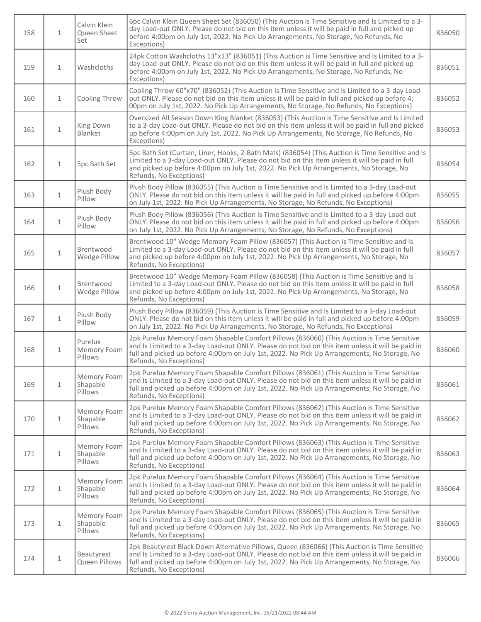| 158 | $\mathbf{1}$ | Calvin Klein<br>Queen Sheet<br>Set | 6pc Calvin Klein Queen Sheet Set (836050) (This Auction is Time Sensitive and Is Limited to a 3-<br>day Load-out ONLY. Please do not bid on this item unless it will be paid in full and picked up<br>before 4:00pm on July 1st, 2022. No Pick Up Arrangements, No Storage, No Refunds, No<br>Exceptions)                    | 836050 |
|-----|--------------|------------------------------------|------------------------------------------------------------------------------------------------------------------------------------------------------------------------------------------------------------------------------------------------------------------------------------------------------------------------------|--------|
| 159 | $\mathbf{1}$ | Washcloths                         | 24pk Cotton Washcloths 13"x13" (836051) (This Auction is Time Sensitive and Is Limited to a 3-<br>day Load-out ONLY. Please do not bid on this item unless it will be paid in full and picked up<br>before 4:00pm on July 1st, 2022. No Pick Up Arrangements, No Storage, No Refunds, No<br>Exceptions)                      | 836051 |
| 160 | $\mathbf{1}$ | Cooling Throw                      | Cooling Throw 60"x70" (836052) (This Auction is Time Sensitive and Is Limited to a 3-day Load-<br>out ONLY. Please do not bid on this item unless it will be paid in full and picked up before 4:<br>00pm on July 1st, 2022. No Pick Up Arrangements, No Storage, No Refunds, No Exceptions)                                 | 836052 |
| 161 | $\mathbf{1}$ | King Down<br>Blanket               | Oversized All Season Down King Blanket (836053) (This Auction is Time Sensitive and Is Limited<br>to a 3-day Load-out ONLY. Please do not bid on this item unless it will be paid in full and picked<br>up before 4:00pm on July 1st, 2022. No Pick Up Arrangements, No Storage, No Refunds, No<br>Exceptions)               | 836053 |
| 162 | $\mathbf{1}$ | 5pc Bath Set                       | 5pc Bath Set (Curtain, Liner, Hooks, 2-Bath Mats) (836054) (This Auction is Time Sensitive and Is<br>Limited to a 3-day Load-out ONLY. Please do not bid on this item unless it will be paid in full<br>and picked up before 4:00pm on July 1st, 2022. No Pick Up Arrangements, No Storage, No<br>Refunds, No Exceptions)    | 836054 |
| 163 | $\mathbf{1}$ | Plush Body<br>Pillow               | Plush Body Pillow (836055) (This Auction is Time Sensitive and Is Limited to a 3-day Load-out<br>ONLY. Please do not bid on this item unless it will be paid in full and picked up before 4:00pm<br>on July 1st, 2022. No Pick Up Arrangements, No Storage, No Refunds, No Exceptions)                                       | 836055 |
| 164 | $\mathbf{1}$ | Plush Body<br>Pillow               | Plush Body Pillow (836056) (This Auction is Time Sensitive and Is Limited to a 3-day Load-out<br>ONLY. Please do not bid on this item unless it will be paid in full and picked up before 4:00pm<br>on July 1st, 2022. No Pick Up Arrangements, No Storage, No Refunds, No Exceptions)                                       | 836056 |
| 165 | $\mathbf 1$  | Brentwood<br>Wedge Pillow          | Brentwood 10" Wedge Memory Foam Pillow (836057) (This Auction is Time Sensitive and Is<br>Limited to a 3-day Load-out ONLY. Please do not bid on this item unless it will be paid in full<br>and picked up before 4:00pm on July 1st, 2022. No Pick Up Arrangements, No Storage, No<br>Refunds, No Exceptions)               | 836057 |
| 166 | $\mathbf 1$  | Brentwood<br>Wedge Pillow          | Brentwood 10" Wedge Memory Foam Pillow (836058) (This Auction is Time Sensitive and Is<br>Limited to a 3-day Load-out ONLY. Please do not bid on this item unless it will be paid in full<br>and picked up before 4:00pm on July 1st, 2022. No Pick Up Arrangements, No Storage, No<br>Refunds, No Exceptions)               | 836058 |
| 167 | $\mathbf{1}$ | Plush Body<br>Pillow               | Plush Body Pillow (836059) (This Auction is Time Sensitive and Is Limited to a 3-day Load-out<br>ONLY. Please do not bid on this item unless it will be paid in full and picked up before 4:00pm<br>on July 1st, 2022. No Pick Up Arrangements, No Storage, No Refunds, No Exceptions)                                       | 836059 |
| 168 | $\mathbf{1}$ | Purelux<br>Memory Foam<br>Pillows  | 2pk Purelux Memory Foam Shapable Comfort Pillows (836060) (This Auction is Time Sensitive<br>and Is Limited to a 3-day Load-out ONLY. Please do not bid on this item unless it will be paid in<br>full and picked up before 4:00pm on July 1st, 2022. No Pick Up Arrangements, No Storage, No<br>Refunds, No Exceptions)     | 836060 |
| 169 | $\mathbf{1}$ | Memory Foam<br>Shapable<br>Pillows | 2pk Purelux Memory Foam Shapable Comfort Pillows (836061) (This Auction is Time Sensitive<br>and Is Limited to a 3-day Load-out ONLY. Please do not bid on this item unless it will be paid in<br>full and picked up before 4:00pm on July 1st, 2022. No Pick Up Arrangements, No Storage, No<br>Refunds, No Exceptions)     | 836061 |
| 170 | $\mathbf{1}$ | Memory Foam<br>Shapable<br>Pillows | 2pk Purelux Memory Foam Shapable Comfort Pillows (836062) (This Auction is Time Sensitive<br>and Is Limited to a 3-day Load-out ONLY. Please do not bid on this item unless it will be paid in<br>full and picked up before 4:00pm on July 1st, 2022. No Pick Up Arrangements, No Storage, No<br>Refunds, No Exceptions)     | 836062 |
| 171 | $\mathbf{1}$ | Memory Foam<br>Shapable<br>Pillows | 2pk Purelux Memory Foam Shapable Comfort Pillows (836063) (This Auction is Time Sensitive<br>and Is Limited to a 3-day Load-out ONLY. Please do not bid on this item unless it will be paid in<br>full and picked up before 4:00pm on July 1st, 2022. No Pick Up Arrangements, No Storage, No<br>Refunds, No Exceptions)     | 836063 |
| 172 | $\mathbf{1}$ | Memory Foam<br>Shapable<br>Pillows | 2pk Purelux Memory Foam Shapable Comfort Pillows (836064) (This Auction is Time Sensitive<br>and Is Limited to a 3-day Load-out ONLY. Please do not bid on this item unless it will be paid in<br>full and picked up before 4:00pm on July 1st, 2022. No Pick Up Arrangements, No Storage, No<br>Refunds, No Exceptions)     | 836064 |
| 173 | $\mathbf{1}$ | Memory Foam<br>Shapable<br>Pillows | 2pk Purelux Memory Foam Shapable Comfort Pillows (836065) (This Auction is Time Sensitive<br>and Is Limited to a 3-day Load-out ONLY. Please do not bid on this item unless it will be paid in<br>full and picked up before 4:00pm on July 1st, 2022. No Pick Up Arrangements, No Storage, No<br>Refunds, No Exceptions)     | 836065 |
| 174 | $1\,$        | Beautyrest<br>Queen Pillows        | 2pk Beautyrest Black Down Alternative Pillows, Queen (836066) (This Auction is Time Sensitive<br>and Is Limited to a 3-day Load-out ONLY. Please do not bid on this item unless it will be paid in<br>full and picked up before 4:00pm on July 1st, 2022. No Pick Up Arrangements, No Storage, No<br>Refunds, No Exceptions) | 836066 |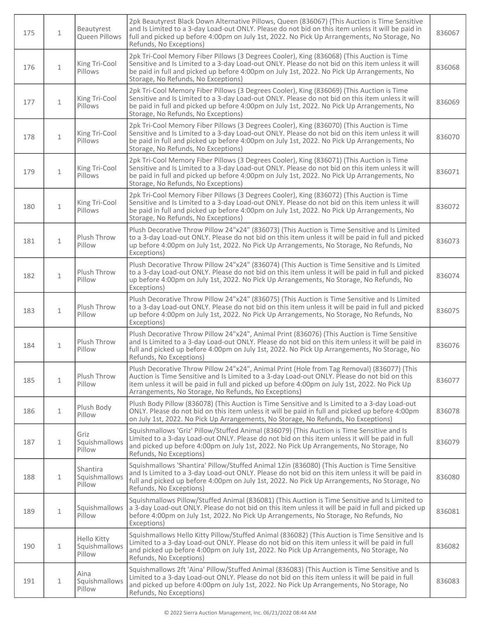| 175 | $\mathbf{1}$ | Beautyrest<br>Queen Pillows            | 2pk Beautyrest Black Down Alternative Pillows, Queen (836067) (This Auction is Time Sensitive<br>and Is Limited to a 3-day Load-out ONLY. Please do not bid on this item unless it will be paid in<br>full and picked up before 4:00pm on July 1st, 2022. No Pick Up Arrangements, No Storage, No<br>Refunds, No Exceptions)                        | 836067 |
|-----|--------------|----------------------------------------|-----------------------------------------------------------------------------------------------------------------------------------------------------------------------------------------------------------------------------------------------------------------------------------------------------------------------------------------------------|--------|
| 176 | $\mathbf{1}$ | King Tri-Cool<br>Pillows               | 2pk Tri-Cool Memory Fiber Pillows (3 Degrees Cooler), King (836068) (This Auction is Time<br>Sensitive and Is Limited to a 3-day Load-out ONLY. Please do not bid on this item unless it will<br>be paid in full and picked up before 4:00pm on July 1st, 2022. No Pick Up Arrangements, No<br>Storage, No Refunds, No Exceptions)                  | 836068 |
| 177 | $\mathbf{1}$ | King Tri-Cool<br>Pillows               | 2pk Tri-Cool Memory Fiber Pillows (3 Degrees Cooler), King (836069) (This Auction is Time<br>Sensitive and Is Limited to a 3-day Load-out ONLY. Please do not bid on this item unless it will<br>be paid in full and picked up before 4:00pm on July 1st, 2022. No Pick Up Arrangements, No<br>Storage, No Refunds, No Exceptions)                  | 836069 |
| 178 | $\mathbf 1$  | King Tri-Cool<br>Pillows               | 2pk Tri-Cool Memory Fiber Pillows (3 Degrees Cooler), King (836070) (This Auction is Time<br>Sensitive and Is Limited to a 3-day Load-out ONLY. Please do not bid on this item unless it will<br>be paid in full and picked up before 4:00pm on July 1st, 2022. No Pick Up Arrangements, No<br>Storage, No Refunds, No Exceptions)                  | 836070 |
| 179 | $\mathbf{1}$ | King Tri-Cool<br>Pillows               | 2pk Tri-Cool Memory Fiber Pillows (3 Degrees Cooler), King (836071) (This Auction is Time<br>Sensitive and Is Limited to a 3-day Load-out ONLY. Please do not bid on this item unless it will<br>be paid in full and picked up before 4:00pm on July 1st, 2022. No Pick Up Arrangements, No<br>Storage, No Refunds, No Exceptions)                  | 836071 |
| 180 | $\mathbf{1}$ | King Tri-Cool<br>Pillows               | 2pk Tri-Cool Memory Fiber Pillows (3 Degrees Cooler), King (836072) (This Auction is Time<br>Sensitive and Is Limited to a 3-day Load-out ONLY. Please do not bid on this item unless it will<br>be paid in full and picked up before 4:00pm on July 1st, 2022. No Pick Up Arrangements, No<br>Storage, No Refunds, No Exceptions)                  | 836072 |
| 181 | $\mathbf{1}$ | Plush Throw<br>Pillow                  | Plush Decorative Throw Pillow 24"x24" (836073) (This Auction is Time Sensitive and Is Limited<br>to a 3-day Load-out ONLY. Please do not bid on this item unless it will be paid in full and picked<br>up before 4:00pm on July 1st, 2022. No Pick Up Arrangements, No Storage, No Refunds, No<br>Exceptions)                                       | 836073 |
| 182 | $\mathbf 1$  | Plush Throw<br>Pillow                  | Plush Decorative Throw Pillow 24"x24" (836074) (This Auction is Time Sensitive and Is Limited<br>to a 3-day Load-out ONLY. Please do not bid on this item unless it will be paid in full and picked<br>up before 4:00pm on July 1st, 2022. No Pick Up Arrangements, No Storage, No Refunds, No<br>Exceptions)                                       | 836074 |
| 183 | $\mathbf{1}$ | Plush Throw<br>Pillow                  | Plush Decorative Throw Pillow 24"x24" (836075) (This Auction is Time Sensitive and Is Limited<br>to a 3-day Load-out ONLY. Please do not bid on this item unless it will be paid in full and picked<br>up before 4:00pm on July 1st, 2022. No Pick Up Arrangements, No Storage, No Refunds, No<br>Exceptions)                                       | 836075 |
| 184 | $\mathbf{1}$ | Plush Throw<br>Pillow                  | Plush Decorative Throw Pillow 24"x24", Animal Print (836076) (This Auction is Time Sensitive<br>and Is Limited to a 3-day Load-out ONLY. Please do not bid on this item unless it will be paid in<br>full and picked up before 4:00pm on July 1st, 2022. No Pick Up Arrangements, No Storage, No<br>Refunds, No Exceptions)                         | 836076 |
| 185 | $\mathbf{1}$ | Plush Throw<br>Pillow                  | Plush Decorative Throw Pillow 24"x24", Animal Print (Hole from Tag Removal) (836077) (This<br>Auction is Time Sensitive and Is Limited to a 3-day Load-out ONLY. Please do not bid on this<br>item unless it will be paid in full and picked up before 4:00pm on July 1st, 2022. No Pick Up<br>Arrangements, No Storage, No Refunds, No Exceptions) | 836077 |
| 186 | $\mathbf{1}$ | Plush Body<br>Pillow                   | Plush Body Pillow (836078) (This Auction is Time Sensitive and Is Limited to a 3-day Load-out<br>ONLY. Please do not bid on this item unless it will be paid in full and picked up before 4:00pm<br>on July 1st, 2022. No Pick Up Arrangements, No Storage, No Refunds, No Exceptions)                                                              | 836078 |
| 187 | $\mathbf{1}$ | Griz<br>Squishmallows<br>Pillow        | Squishmallows 'Griz' Pillow/Stuffed Animal (836079) (This Auction is Time Sensitive and Is<br>Limited to a 3-day Load-out ONLY. Please do not bid on this item unless it will be paid in full<br>and picked up before 4:00pm on July 1st, 2022. No Pick Up Arrangements, No Storage, No<br>Refunds, No Exceptions)                                  | 836079 |
| 188 | $\mathbf{1}$ | Shantira<br>Squishmallows<br>Pillow    | Squishmallows 'Shantira' Pillow/Stuffed Animal 12in (836080) (This Auction is Time Sensitive<br>and Is Limited to a 3-day Load-out ONLY. Please do not bid on this item unless it will be paid in<br>full and picked up before 4:00pm on July 1st, 2022. No Pick Up Arrangements, No Storage, No<br>Refunds, No Exceptions)                         | 836080 |
| 189 | $\mathbf{1}$ | Squishmallows<br>Pillow                | Squishmallows Pillow/Stuffed Animal (836081) (This Auction is Time Sensitive and Is Limited to<br>a 3-day Load-out ONLY. Please do not bid on this item unless it will be paid in full and picked up<br>before 4:00pm on July 1st, 2022. No Pick Up Arrangements, No Storage, No Refunds, No<br>Exceptions)                                         | 836081 |
| 190 | $\mathbf{1}$ | Hello Kitty<br>Squishmallows<br>Pillow | Squishmallows Hello Kitty Pillow/Stuffed Animal (836082) (This Auction is Time Sensitive and Is<br>Limited to a 3-day Load-out ONLY. Please do not bid on this item unless it will be paid in full<br>and picked up before 4:00pm on July 1st, 2022. No Pick Up Arrangements, No Storage, No<br>Refunds, No Exceptions)                             | 836082 |
| 191 | $\mathbf{1}$ | Aina<br>Squishmallows<br>Pillow        | Squishmallows 2ft 'Aina' Pillow/Stuffed Animal (836083) (This Auction is Time Sensitive and Is<br>Limited to a 3-day Load-out ONLY. Please do not bid on this item unless it will be paid in full<br>and picked up before 4:00pm on July 1st, 2022. No Pick Up Arrangements, No Storage, No<br>Refunds, No Exceptions)                              | 836083 |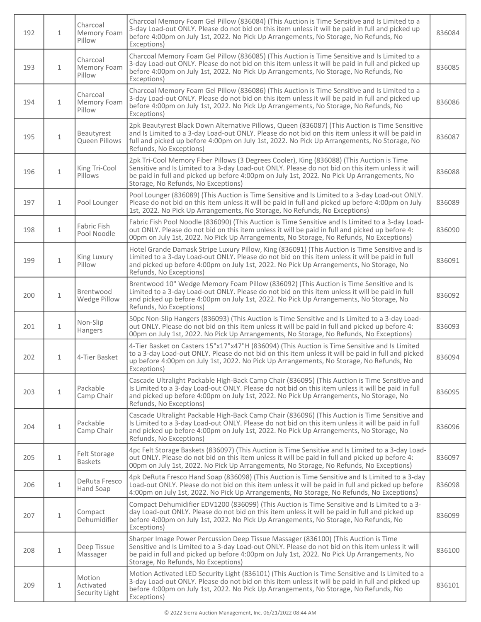| 192 | $\mathbf{1}$ | Charcoal<br>Memory Foam<br>Pillow     | Charcoal Memory Foam Gel Pillow (836084) (This Auction is Time Sensitive and Is Limited to a<br>3-day Load-out ONLY. Please do not bid on this item unless it will be paid in full and picked up<br>before 4:00pm on July 1st, 2022. No Pick Up Arrangements, No Storage, No Refunds, No<br>Exceptions)                            | 836084 |
|-----|--------------|---------------------------------------|------------------------------------------------------------------------------------------------------------------------------------------------------------------------------------------------------------------------------------------------------------------------------------------------------------------------------------|--------|
| 193 | $\mathbf{1}$ | Charcoal<br>Memory Foam<br>Pillow     | Charcoal Memory Foam Gel Pillow (836085) (This Auction is Time Sensitive and Is Limited to a<br>3-day Load-out ONLY. Please do not bid on this item unless it will be paid in full and picked up<br>before 4:00pm on July 1st, 2022. No Pick Up Arrangements, No Storage, No Refunds, No<br>Exceptions)                            | 836085 |
| 194 | $\mathbf{1}$ | Charcoal<br>Memory Foam<br>Pillow     | Charcoal Memory Foam Gel Pillow (836086) (This Auction is Time Sensitive and Is Limited to a<br>3-day Load-out ONLY. Please do not bid on this item unless it will be paid in full and picked up<br>before 4:00pm on July 1st, 2022. No Pick Up Arrangements, No Storage, No Refunds, No<br>Exceptions)                            | 836086 |
| 195 | $\mathbf{1}$ | Beautyrest<br>Queen Pillows           | 2pk Beautyrest Black Down Alternative Pillows, Queen (836087) (This Auction is Time Sensitive<br>and Is Limited to a 3-day Load-out ONLY. Please do not bid on this item unless it will be paid in<br>full and picked up before 4:00pm on July 1st, 2022. No Pick Up Arrangements, No Storage, No<br>Refunds, No Exceptions)       | 836087 |
| 196 | $\mathbf{1}$ | King Tri-Cool<br>Pillows              | 2pk Tri-Cool Memory Fiber Pillows (3 Degrees Cooler), King (836088) (This Auction is Time<br>Sensitive and Is Limited to a 3-day Load-out ONLY. Please do not bid on this item unless it will<br>be paid in full and picked up before 4:00pm on July 1st, 2022. No Pick Up Arrangements, No<br>Storage, No Refunds, No Exceptions) | 836088 |
| 197 | $\mathbf{1}$ | Pool Lounger                          | Pool Lounger (836089) (This Auction is Time Sensitive and Is Limited to a 3-day Load-out ONLY.<br>Please do not bid on this item unless it will be paid in full and picked up before 4:00pm on July<br>1st, 2022. No Pick Up Arrangements, No Storage, No Refunds, No Exceptions)                                                  | 836089 |
| 198 | $\mathbf{1}$ | Fabric Fish<br>Pool Noodle            | Fabric Fish Pool Noodle (836090) (This Auction is Time Sensitive and Is Limited to a 3-day Load-<br>out ONLY. Please do not bid on this item unless it will be paid in full and picked up before 4:<br>00pm on July 1st, 2022. No Pick Up Arrangements, No Storage, No Refunds, No Exceptions)                                     | 836090 |
| 199 | $\mathbf{1}$ | King Luxury<br>Pillow                 | Hotel Grande Damask Stripe Luxury Pillow, King (836091) (This Auction is Time Sensitive and Is<br>Limited to a 3-day Load-out ONLY. Please do not bid on this item unless it will be paid in full<br>and picked up before 4:00pm on July 1st, 2022. No Pick Up Arrangements, No Storage, No<br>Refunds, No Exceptions)             | 836091 |
| 200 | $\mathbf 1$  | Brentwood<br>Wedge Pillow             | Brentwood 10" Wedge Memory Foam Pillow (836092) (This Auction is Time Sensitive and Is<br>Limited to a 3-day Load-out ONLY. Please do not bid on this item unless it will be paid in full<br>and picked up before 4:00pm on July 1st, 2022. No Pick Up Arrangements, No Storage, No<br>Refunds, No Exceptions)                     | 836092 |
| 201 | $\mathbf{1}$ | Non-Slip<br>Hangers                   | 50pc Non-Slip Hangers (836093) (This Auction is Time Sensitive and Is Limited to a 3-day Load-<br>out ONLY. Please do not bid on this item unless it will be paid in full and picked up before 4:<br>00pm on July 1st, 2022. No Pick Up Arrangements, No Storage, No Refunds, No Exceptions)                                       | 836093 |
| 202 | $\mathbf{1}$ | 4-Tier Basket                         | 4-Tier Basket on Casters 15"x17"x47"H (836094) (This Auction is Time Sensitive and Is Limited<br>to a 3-day Load-out ONLY. Please do not bid on this item unless it will be paid in full and picked<br>up before 4:00pm on July 1st, 2022. No Pick Up Arrangements, No Storage, No Refunds, No<br>Exceptions)                      | 836094 |
| 203 | $\mathbf 1$  | Packable<br>Camp Chair                | Cascade Ultralight Packable High-Back Camp Chair (836095) (This Auction is Time Sensitive and<br>Is Limited to a 3-day Load-out ONLY. Please do not bid on this item unless it will be paid in full<br>and picked up before 4:00pm on July 1st, 2022. No Pick Up Arrangements, No Storage, No<br>Refunds, No Exceptions)           | 836095 |
| 204 | $\mathbf{1}$ | Packable<br>Camp Chair                | Cascade Ultralight Packable High-Back Camp Chair (836096) (This Auction is Time Sensitive and<br>Is Limited to a 3-day Load-out ONLY. Please do not bid on this item unless it will be paid in full<br>and picked up before 4:00pm on July 1st, 2022. No Pick Up Arrangements, No Storage, No<br>Refunds, No Exceptions)           | 836096 |
| 205 | $\mathbf{1}$ | Felt Storage<br><b>Baskets</b>        | 4pc Felt Storage Baskets (836097) (This Auction is Time Sensitive and Is Limited to a 3-day Load-<br>out ONLY. Please do not bid on this item unless it will be paid in full and picked up before 4:<br>00pm on July 1st, 2022. No Pick Up Arrangements, No Storage, No Refunds, No Exceptions)                                    | 836097 |
| 206 | $\mathbf{1}$ | DeRuta Fresco<br>Hand Soap            | 4pk DeRuta Fresco Hand Soap (836098) (This Auction is Time Sensitive and Is Limited to a 3-day<br>Load-out ONLY. Please do not bid on this item unless it will be paid in full and picked up before<br>4:00pm on July 1st, 2022. No Pick Up Arrangements, No Storage, No Refunds, No Exceptions)                                   | 836098 |
| 207 | $\mathbf{1}$ | Compact<br>Dehumidifier               | Compact Dehumidifier EDV1200 (836099) (This Auction is Time Sensitive and Is Limited to a 3-<br>day Load-out ONLY. Please do not bid on this item unless it will be paid in full and picked up<br>before 4:00pm on July 1st, 2022. No Pick Up Arrangements, No Storage, No Refunds, No<br>Exceptions)                              | 836099 |
| 208 | $\mathbf{1}$ | Deep Tissue<br>Massager               | Sharper Image Power Percussion Deep Tissue Massager (836100) (This Auction is Time<br>Sensitive and Is Limited to a 3-day Load-out ONLY. Please do not bid on this item unless it will<br>be paid in full and picked up before 4:00pm on July 1st, 2022. No Pick Up Arrangements, No<br>Storage, No Refunds, No Exceptions)        | 836100 |
| 209 | $\mathbf{1}$ | Motion<br>Activated<br>Security Light | Motion Activated LED Security Light (836101) (This Auction is Time Sensitive and Is Limited to a<br>3-day Load-out ONLY. Please do not bid on this item unless it will be paid in full and picked up<br>before 4:00pm on July 1st, 2022. No Pick Up Arrangements, No Storage, No Refunds, No<br>Exceptions)                        | 836101 |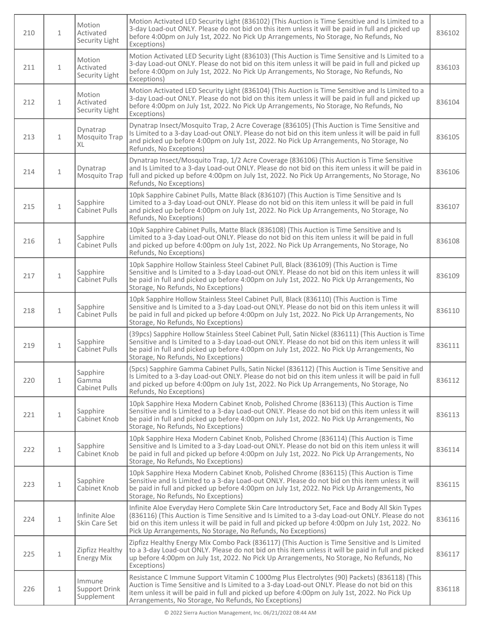| 210 | $\mathbf{1}$ | Motion<br>Activated<br>Security Light | Motion Activated LED Security Light (836102) (This Auction is Time Sensitive and Is Limited to a<br>3-day Load-out ONLY. Please do not bid on this item unless it will be paid in full and picked up<br>before 4:00pm on July 1st, 2022. No Pick Up Arrangements, No Storage, No Refunds, No<br>Exceptions)                                                           | 836102 |
|-----|--------------|---------------------------------------|-----------------------------------------------------------------------------------------------------------------------------------------------------------------------------------------------------------------------------------------------------------------------------------------------------------------------------------------------------------------------|--------|
| 211 | $\mathbf{1}$ | Motion<br>Activated<br>Security Light | Motion Activated LED Security Light (836103) (This Auction is Time Sensitive and Is Limited to a<br>3-day Load-out ONLY. Please do not bid on this item unless it will be paid in full and picked up<br>before 4:00pm on July 1st, 2022. No Pick Up Arrangements, No Storage, No Refunds, No<br>Exceptions)                                                           | 836103 |
| 212 | $\mathbf{1}$ | Motion<br>Activated<br>Security Light | Motion Activated LED Security Light (836104) (This Auction is Time Sensitive and Is Limited to a<br>3-day Load-out ONLY. Please do not bid on this item unless it will be paid in full and picked up<br>before 4:00pm on July 1st, 2022. No Pick Up Arrangements, No Storage, No Refunds, No<br>Exceptions)                                                           | 836104 |
| 213 | $\mathbf{1}$ | Dynatrap<br>Mosquito Trap<br>XL       | Dynatrap Insect/Mosquito Trap, 2 Acre Coverage (836105) (This Auction is Time Sensitive and<br>Is Limited to a 3-day Load-out ONLY. Please do not bid on this item unless it will be paid in full<br>and picked up before 4:00pm on July 1st, 2022. No Pick Up Arrangements, No Storage, No<br>Refunds, No Exceptions)                                                | 836105 |
| 214 | $\mathbf{1}$ | Dynatrap<br>Mosquito Trap             | Dynatrap Insect/Mosquito Trap, 1/2 Acre Coverage (836106) (This Auction is Time Sensitive<br>and Is Limited to a 3-day Load-out ONLY. Please do not bid on this item unless it will be paid in<br>full and picked up before 4:00pm on July 1st, 2022. No Pick Up Arrangements, No Storage, No<br>Refunds, No Exceptions)                                              | 836106 |
| 215 | $\mathbf{1}$ | Sapphire<br>Cabinet Pulls             | 10pk Sapphire Cabinet Pulls, Matte Black (836107) (This Auction is Time Sensitive and Is<br>Limited to a 3-day Load-out ONLY. Please do not bid on this item unless it will be paid in full<br>and picked up before 4:00pm on July 1st, 2022. No Pick Up Arrangements, No Storage, No<br>Refunds, No Exceptions)                                                      | 836107 |
| 216 | $\mathbf{1}$ | Sapphire<br>Cabinet Pulls             | 10pk Sapphire Cabinet Pulls, Matte Black (836108) (This Auction is Time Sensitive and Is<br>Limited to a 3-day Load-out ONLY. Please do not bid on this item unless it will be paid in full<br>and picked up before 4:00pm on July 1st, 2022. No Pick Up Arrangements, No Storage, No<br>Refunds, No Exceptions)                                                      | 836108 |
| 217 | $\mathbf 1$  | Sapphire<br>Cabinet Pulls             | 10pk Sapphire Hollow Stainless Steel Cabinet Pull, Black (836109) (This Auction is Time<br>Sensitive and Is Limited to a 3-day Load-out ONLY. Please do not bid on this item unless it will<br>be paid in full and picked up before 4:00pm on July 1st, 2022. No Pick Up Arrangements, No<br>Storage, No Refunds, No Exceptions)                                      | 836109 |
| 218 | $\mathbf{1}$ | Sapphire<br><b>Cabinet Pulls</b>      | 10pk Sapphire Hollow Stainless Steel Cabinet Pull, Black (836110) (This Auction is Time<br>Sensitive and Is Limited to a 3-day Load-out ONLY. Please do not bid on this item unless it will<br>be paid in full and picked up before 4:00pm on July 1st, 2022. No Pick Up Arrangements, No<br>Storage, No Refunds, No Exceptions)                                      | 836110 |
| 219 | $\mathbf{1}$ | Sapphire<br>Cabinet Pulls             | (39pcs) Sapphire Hollow Stainless Steel Cabinet Pull, Satin Nickel (836111) (This Auction is Time<br>Sensitive and Is Limited to a 3-day Load-out ONLY. Please do not bid on this item unless it will<br>be paid in full and picked up before 4:00pm on July 1st, 2022. No Pick Up Arrangements, No<br>Storage, No Refunds, No Exceptions)                            | 836111 |
| 220 | $\mathbf{1}$ | Sapphire<br>Gamma<br>Cabinet Pulls    | (5pcs) Sapphire Gamma Cabinet Pulls, Satin Nickel (836112) (This Auction is Time Sensitive and<br>Is Limited to a 3-day Load-out ONLY. Please do not bid on this item unless it will be paid in full<br>and picked up before 4:00pm on July 1st, 2022. No Pick Up Arrangements, No Storage, No<br>Refunds, No Exceptions)                                             | 836112 |
| 221 | $\mathbf 1$  | Sapphire<br>Cabinet Knob              | 10pk Sapphire Hexa Modern Cabinet Knob, Polished Chrome (836113) (This Auction is Time<br>Sensitive and Is Limited to a 3-day Load-out ONLY. Please do not bid on this item unless it will<br>be paid in full and picked up before 4:00pm on July 1st, 2022. No Pick Up Arrangements, No<br>Storage, No Refunds, No Exceptions)                                       | 836113 |
| 222 | $\mathbf 1$  | Sapphire<br>Cabinet Knob              | 10pk Sapphire Hexa Modern Cabinet Knob, Polished Chrome (836114) (This Auction is Time<br>Sensitive and Is Limited to a 3-day Load-out ONLY. Please do not bid on this item unless it will<br>be paid in full and picked up before 4:00pm on July 1st, 2022. No Pick Up Arrangements, No<br>Storage, No Refunds, No Exceptions)                                       | 836114 |
| 223 | $\mathbf{1}$ | Sapphire<br>Cabinet Knob              | 10pk Sapphire Hexa Modern Cabinet Knob, Polished Chrome (836115) (This Auction is Time<br>Sensitive and Is Limited to a 3-day Load-out ONLY. Please do not bid on this item unless it will<br>be paid in full and picked up before 4:00pm on July 1st, 2022. No Pick Up Arrangements, No<br>Storage, No Refunds, No Exceptions)                                       | 836115 |
| 224 | $\mathbf{1}$ | Infinite Aloe<br>Skin Care Set        | Infinite Aloe Everyday Hero Complete Skin Care Introductory Set, Face and Body All Skin Types<br>(836116) (This Auction is Time Sensitive and Is Limited to a 3-day Load-out ONLY. Please do not<br>bid on this item unless it will be paid in full and picked up before 4:00pm on July 1st, 2022. No<br>Pick Up Arrangements, No Storage, No Refunds, No Exceptions) | 836116 |
| 225 | $\mathbf 1$  | Zipfizz Healthy<br><b>Energy Mix</b>  | Zipfizz Healthy Energy Mix Combo Pack (836117) (This Auction is Time Sensitive and Is Limited<br>to a 3-day Load-out ONLY. Please do not bid on this item unless it will be paid in full and picked<br>up before 4:00pm on July 1st, 2022. No Pick Up Arrangements, No Storage, No Refunds, No<br>Exceptions)                                                         | 836117 |
| 226 | $\mathbf{1}$ | Immune<br>Support Drink<br>Supplement | Resistance C Immune Support Vitamin C 1000mg Plus Electrolytes (90) Packets) (836118) (This<br>Auction is Time Sensitive and Is Limited to a 3-day Load-out ONLY. Please do not bid on this<br>item unless it will be paid in full and picked up before 4:00pm on July 1st, 2022. No Pick Up<br>Arrangements, No Storage, No Refunds, No Exceptions)                  | 836118 |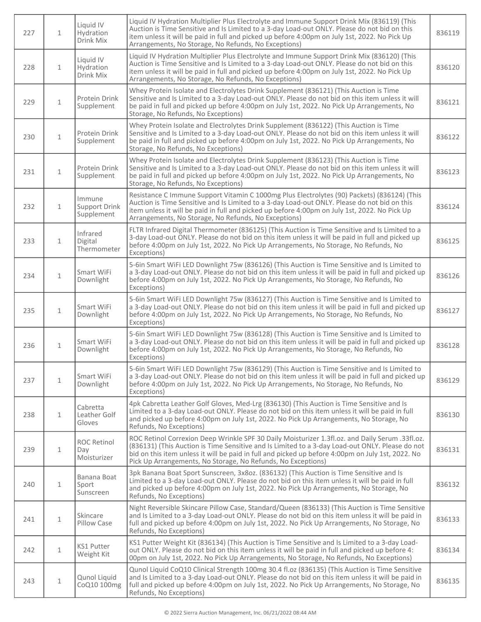| 227 | $\mathbf{1}$ | Liquid IV<br>Hydration<br>Drink Mix      | Liquid IV Hydration Multiplier Plus Electrolyte and Immune Support Drink Mix (836119) (This<br>Auction is Time Sensitive and Is Limited to a 3-day Load-out ONLY. Please do not bid on this<br>item unless it will be paid in full and picked up before 4:00pm on July 1st, 2022. No Pick Up<br>Arrangements, No Storage, No Refunds, No Exceptions)                    | 836119 |
|-----|--------------|------------------------------------------|-------------------------------------------------------------------------------------------------------------------------------------------------------------------------------------------------------------------------------------------------------------------------------------------------------------------------------------------------------------------------|--------|
| 228 | $\mathbf{1}$ | Liquid IV<br>Hydration<br>Drink Mix      | Liquid IV Hydration Multiplier Plus Electrolyte and Immune Support Drink Mix (836120) (This<br>Auction is Time Sensitive and Is Limited to a 3-day Load-out ONLY. Please do not bid on this<br>item unless it will be paid in full and picked up before 4:00pm on July 1st, 2022. No Pick Up<br>Arrangements, No Storage, No Refunds, No Exceptions)                    | 836120 |
| 229 | $\mathbf{1}$ | Protein Drink<br>Supplement              | Whey Protein Isolate and Electrolytes Drink Supplement (836121) (This Auction is Time<br>Sensitive and Is Limited to a 3-day Load-out ONLY. Please do not bid on this item unless it will<br>be paid in full and picked up before 4:00pm on July 1st, 2022. No Pick Up Arrangements, No<br>Storage, No Refunds, No Exceptions)                                          | 836121 |
| 230 | $\mathbf 1$  | Protein Drink<br>Supplement              | Whey Protein Isolate and Electrolytes Drink Supplement (836122) (This Auction is Time<br>Sensitive and Is Limited to a 3-day Load-out ONLY. Please do not bid on this item unless it will<br>be paid in full and picked up before 4:00pm on July 1st, 2022. No Pick Up Arrangements, No<br>Storage, No Refunds, No Exceptions)                                          | 836122 |
| 231 | $\mathbf{1}$ | Protein Drink<br>Supplement              | Whey Protein Isolate and Electrolytes Drink Supplement (836123) (This Auction is Time<br>Sensitive and Is Limited to a 3-day Load-out ONLY. Please do not bid on this item unless it will<br>be paid in full and picked up before 4:00pm on July 1st, 2022. No Pick Up Arrangements, No<br>Storage, No Refunds, No Exceptions)                                          | 836123 |
| 232 | $\mathbf{1}$ | Immune<br>Support Drink<br>Supplement    | Resistance C Immune Support Vitamin C 1000mg Plus Electrolytes (90) Packets) (836124) (This<br>Auction is Time Sensitive and Is Limited to a 3-day Load-out ONLY. Please do not bid on this<br>item unless it will be paid in full and picked up before 4:00pm on July 1st, 2022. No Pick Up<br>Arrangements, No Storage, No Refunds, No Exceptions)                    | 836124 |
| 233 | $\mathbf{1}$ | Infrared<br>Digital<br>Thermometer       | FLTR Infrared Digital Thermometer (836125) (This Auction is Time Sensitive and Is Limited to a<br>3-day Load-out ONLY. Please do not bid on this item unless it will be paid in full and picked up<br>before 4:00pm on July 1st, 2022. No Pick Up Arrangements, No Storage, No Refunds, No<br>Exceptions)                                                               | 836125 |
| 234 | $\mathbf 1$  | Smart WiFi<br>Downlight                  | 5-6in Smart WiFi LED Downlight 75w (836126) (This Auction is Time Sensitive and Is Limited to<br>a 3-day Load-out ONLY. Please do not bid on this item unless it will be paid in full and picked up<br>before 4:00pm on July 1st, 2022. No Pick Up Arrangements, No Storage, No Refunds, No<br>Exceptions)                                                              | 836126 |
| 235 | $\mathbf 1$  | Smart WiFi<br>Downlight                  | 5-6in Smart WiFi LED Downlight 75w (836127) (This Auction is Time Sensitive and Is Limited to<br>a 3-day Load-out ONLY. Please do not bid on this item unless it will be paid in full and picked up<br>before 4:00pm on July 1st, 2022. No Pick Up Arrangements, No Storage, No Refunds, No<br>Exceptions)                                                              | 836127 |
| 236 | $\mathbf{1}$ | Smart WiFi<br>Downlight                  | 5-6in Smart WiFi LED Downlight 75w (836128) (This Auction is Time Sensitive and Is Limited to<br>a 3-day Load-out ONLY. Please do not bid on this item unless it will be paid in full and picked up<br>before 4:00pm on July 1st, 2022. No Pick Up Arrangements, No Storage, No Refunds, No<br>Exceptions)                                                              | 836128 |
| 237 | $\mathbf{1}$ | Smart WiFi<br>Downlight                  | 5-6in Smart WiFi LED Downlight 75w (836129) (This Auction is Time Sensitive and Is Limited to<br>a 3-day Load-out ONLY. Please do not bid on this item unless it will be paid in full and picked up<br>before 4:00pm on July 1st, 2022. No Pick Up Arrangements, No Storage, No Refunds, No<br>Exceptions)                                                              | 836129 |
| 238 | $\mathbf{1}$ | Cabretta<br>Leather Golf<br>Gloves       | 4pk Cabretta Leather Golf Gloves, Med-Lrg (836130) (This Auction is Time Sensitive and Is<br>Limited to a 3-day Load-out ONLY. Please do not bid on this item unless it will be paid in full<br>and picked up before 4:00pm on July 1st, 2022. No Pick Up Arrangements, No Storage, No<br>Refunds, No Exceptions)                                                       | 836130 |
| 239 | $\mathbf{1}$ | <b>ROC Retinol</b><br>Day<br>Moisturizer | ROC Retinol Correxion Deep Wrinkle SPF 30 Daily Moisturizer 1.3fl.oz. and Daily Serum .33fl.oz.<br>(836131) (This Auction is Time Sensitive and Is Limited to a 3-day Load-out ONLY. Please do not<br>bid on this item unless it will be paid in full and picked up before 4:00pm on July 1st, 2022. No<br>Pick Up Arrangements, No Storage, No Refunds, No Exceptions) | 836131 |
| 240 | $\mathbf{1}$ | Banana Boat<br>Sport<br>Sunscreen        | 3pk Banana Boat Sport Sunscreen, 3x8oz. (836132) (This Auction is Time Sensitive and Is<br>Limited to a 3-day Load-out ONLY. Please do not bid on this item unless it will be paid in full<br>and picked up before 4:00pm on July 1st, 2022. No Pick Up Arrangements, No Storage, No<br>Refunds, No Exceptions)                                                         | 836132 |
| 241 | $\mathbf{1}$ | Skincare<br>Pillow Case                  | Night Reversible Skincare Pillow Case, Standard/Queen (836133) (This Auction is Time Sensitive<br>and Is Limited to a 3-day Load-out ONLY. Please do not bid on this item unless it will be paid in<br>full and picked up before 4:00pm on July 1st, 2022. No Pick Up Arrangements, No Storage, No<br>Refunds, No Exceptions)                                           | 836133 |
| 242 | $\mathbf{1}$ | KS1 Putter<br>Weight Kit                 | KS1 Putter Weight Kit (836134) (This Auction is Time Sensitive and Is Limited to a 3-day Load-<br>out ONLY. Please do not bid on this item unless it will be paid in full and picked up before 4:<br>00pm on July 1st, 2022. No Pick Up Arrangements, No Storage, No Refunds, No Exceptions)                                                                            | 836134 |
| 243 | $\mathbf 1$  | Qunol Liquid<br>CoQ10 100mg              | Qunol Liquid CoQ10 Clinical Strength 100mg 30.4 fl.oz (836135) (This Auction is Time Sensitive<br>and Is Limited to a 3-day Load-out ONLY. Please do not bid on this item unless it will be paid in<br>full and picked up before 4:00pm on July 1st, 2022. No Pick Up Arrangements, No Storage, No<br>Refunds, No Exceptions)                                           | 836135 |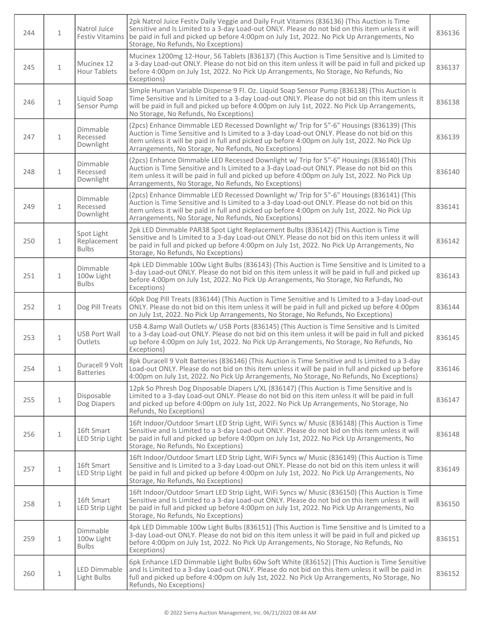| 244 | $\mathbf{1}$ | Natrol Juice<br><b>Festiv Vitamins</b>    | 2pk Natrol Juice Festiv Daily Veggie and Daily Fruit Vitamins (836136) (This Auction is Time<br>Sensitive and Is Limited to a 3-day Load-out ONLY. Please do not bid on this item unless it will<br>be paid in full and picked up before 4:00pm on July 1st, 2022. No Pick Up Arrangements, No<br>Storage, No Refunds, No Exceptions)             | 836136 |
|-----|--------------|-------------------------------------------|---------------------------------------------------------------------------------------------------------------------------------------------------------------------------------------------------------------------------------------------------------------------------------------------------------------------------------------------------|--------|
| 245 | $\mathbf{1}$ | Mucinex 12<br><b>Hour Tablets</b>         | Mucinex 1200mg 12-Hour, 56 Tablets (836137) (This Auction is Time Sensitive and Is Limited to<br>a 3-day Load-out ONLY. Please do not bid on this item unless it will be paid in full and picked up<br>before 4:00pm on July 1st, 2022. No Pick Up Arrangements, No Storage, No Refunds, No<br>Exceptions)                                        | 836137 |
| 246 | $\mathbf{1}$ | Liquid Soap<br>Sensor Pump                | Simple Human Variable Dispense 9 Fl. Oz. Liquid Soap Sensor Pump (836138) (This Auction is<br>Time Sensitive and Is Limited to a 3-day Load-out ONLY. Please do not bid on this item unless it<br>will be paid in full and picked up before 4:00pm on July 1st, 2022. No Pick Up Arrangements,<br>No Storage, No Refunds, No Exceptions)          | 836138 |
| 247 | $\mathbf{1}$ | Dimmable<br>Recessed<br>Downlight         | (2pcs) Enhance Dimmable LED Recessed Downlight w/ Trip for 5"-6" Housings (836139) (This<br>Auction is Time Sensitive and Is Limited to a 3-day Load-out ONLY. Please do not bid on this<br>item unless it will be paid in full and picked up before 4:00pm on July 1st, 2022. No Pick Up<br>Arrangements, No Storage, No Refunds, No Exceptions) | 836139 |
| 248 | $\mathbf{1}$ | Dimmable<br>Recessed<br>Downlight         | (2pcs) Enhance Dimmable LED Recessed Downlight w/ Trip for 5"-6" Housings (836140) (This<br>Auction is Time Sensitive and Is Limited to a 3-day Load-out ONLY. Please do not bid on this<br>item unless it will be paid in full and picked up before 4:00pm on July 1st, 2022. No Pick Up<br>Arrangements, No Storage, No Refunds, No Exceptions) | 836140 |
| 249 | $\mathbf{1}$ | Dimmable<br>Recessed<br>Downlight         | (2pcs) Enhance Dimmable LED Recessed Downlight w/ Trip for 5"-6" Housings (836141) (This<br>Auction is Time Sensitive and Is Limited to a 3-day Load-out ONLY. Please do not bid on this<br>item unless it will be paid in full and picked up before 4:00pm on July 1st, 2022. No Pick Up<br>Arrangements, No Storage, No Refunds, No Exceptions) | 836141 |
| 250 | $\mathbf{1}$ | Spot Light<br>Replacement<br><b>Bulbs</b> | 2pk LED Dimmable PAR38 Spot Light Replacement Bulbs (836142) (This Auction is Time<br>Sensitive and Is Limited to a 3-day Load-out ONLY. Please do not bid on this item unless it will<br>be paid in full and picked up before 4:00pm on July 1st, 2022. No Pick Up Arrangements, No<br>Storage, No Refunds, No Exceptions)                       | 836142 |
| 251 | $\mathbf{1}$ | Dimmable<br>100w Light<br><b>Bulbs</b>    | 4pk LED Dimmable 100w Light Bulbs (836143) (This Auction is Time Sensitive and Is Limited to a<br>3-day Load-out ONLY. Please do not bid on this item unless it will be paid in full and picked up<br>before 4:00pm on July 1st, 2022. No Pick Up Arrangements, No Storage, No Refunds, No<br>Exceptions)                                         | 836143 |
| 252 | $\mathbf{1}$ | Dog Pill Treats                           | 60pk Dog Pill Treats (836144) (This Auction is Time Sensitive and Is Limited to a 3-day Load-out<br>ONLY. Please do not bid on this item unless it will be paid in full and picked up before 4:00pm<br>on July 1st, 2022. No Pick Up Arrangements, No Storage, No Refunds, No Exceptions)                                                         | 836144 |
| 253 | $\mathbf{1}$ | <b>USB Port Wall</b><br>Outlets           | USB 4.8amp Wall Outlets w/ USB Ports (836145) (This Auction is Time Sensitive and Is Limited<br>to a 3-day Load-out ONLY. Please do not bid on this item unless it will be paid in full and picked<br>up before 4:00pm on July 1st, 2022. No Pick Up Arrangements, No Storage, No Refunds, No<br>Exceptions)                                      | 836145 |
| 254 | 1            | Duracell 9 Volt<br><b>Batteries</b>       | 8pk Duracell 9 Volt Batteries (836146) (This Auction is Time Sensitive and Is Limited to a 3-day<br>Load-out ONLY. Please do not bid on this item unless it will be paid in full and picked up before<br>4:00pm on July 1st, 2022. No Pick Up Arrangements, No Storage, No Refunds, No Exceptions)                                                | 836146 |
| 255 | $\mathbf{1}$ | Disposable<br>Dog Diapers                 | 12pk So Phresh Dog Disposable Diapers L/XL (836147) (This Auction is Time Sensitive and Is<br>Limited to a 3-day Load-out ONLY. Please do not bid on this item unless it will be paid in full<br>and picked up before 4:00pm on July 1st, 2022. No Pick Up Arrangements, No Storage, No<br>Refunds, No Exceptions)                                | 836147 |
| 256 | $1\,$        | 16ft Smart<br><b>LED Strip Light</b>      | 16ft Indoor/Outdoor Smart LED Strip Light, WiFi Syncs w/ Music (836148) (This Auction is Time<br>Sensitive and Is Limited to a 3-day Load-out ONLY. Please do not bid on this item unless it will<br>be paid in full and picked up before 4:00pm on July 1st, 2022. No Pick Up Arrangements, No<br>Storage, No Refunds, No Exceptions)            | 836148 |
| 257 | $\mathbf{1}$ | 16ft Smart<br>LED Strip Light             | 16ft Indoor/Outdoor Smart LED Strip Light, WiFi Syncs w/ Music (836149) (This Auction is Time<br>Sensitive and Is Limited to a 3-day Load-out ONLY. Please do not bid on this item unless it will<br>be paid in full and picked up before 4:00pm on July 1st, 2022. No Pick Up Arrangements, No<br>Storage, No Refunds, No Exceptions)            | 836149 |
| 258 | $\,1\,$      | 16ft Smart<br>LED Strip Light             | 16ft Indoor/Outdoor Smart LED Strip Light, WiFi Syncs w/ Music (836150) (This Auction is Time<br>Sensitive and Is Limited to a 3-day Load-out ONLY. Please do not bid on this item unless it will<br>be paid in full and picked up before 4:00pm on July 1st, 2022. No Pick Up Arrangements, No<br>Storage, No Refunds, No Exceptions)            | 836150 |
| 259 | $\mathbf{1}$ | Dimmable<br>100w Light<br><b>Bulbs</b>    | 4pk LED Dimmable 100w Light Bulbs (836151) (This Auction is Time Sensitive and Is Limited to a<br>3-day Load-out ONLY. Please do not bid on this item unless it will be paid in full and picked up<br>before 4:00pm on July 1st, 2022. No Pick Up Arrangements, No Storage, No Refunds, No<br>Exceptions)                                         | 836151 |
| 260 | $1\,$        | <b>LED Dimmable</b><br>Light Bulbs        | 6pk Enhance LED Dimmable Light Bulbs 60w Soft White (836152) (This Auction is Time Sensitive<br>and Is Limited to a 3-day Load-out ONLY. Please do not bid on this item unless it will be paid in<br>full and picked up before 4:00pm on July 1st, 2022. No Pick Up Arrangements, No Storage, No<br>Refunds, No Exceptions)                       | 836152 |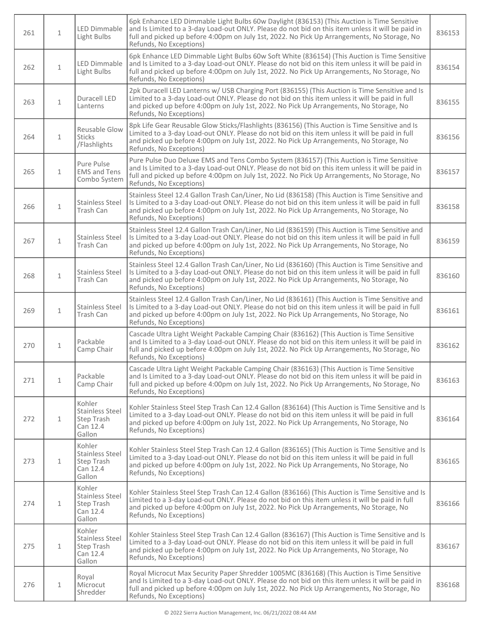| 261 | $\mathbf{1}$ | <b>LED Dimmable</b><br>Light Bulbs                                   | 6pk Enhance LED Dimmable Light Bulbs 60w Daylight (836153) (This Auction is Time Sensitive<br>and Is Limited to a 3-day Load-out ONLY. Please do not bid on this item unless it will be paid in<br>full and picked up before 4:00pm on July 1st, 2022. No Pick Up Arrangements, No Storage, No<br>Refunds, No Exceptions)   | 836153 |
|-----|--------------|----------------------------------------------------------------------|-----------------------------------------------------------------------------------------------------------------------------------------------------------------------------------------------------------------------------------------------------------------------------------------------------------------------------|--------|
| 262 | $\mathbf{1}$ | LED Dimmable<br>Light Bulbs                                          | 6pk Enhance LED Dimmable Light Bulbs 60w Soft White (836154) (This Auction is Time Sensitive<br>and Is Limited to a 3-day Load-out ONLY. Please do not bid on this item unless it will be paid in<br>full and picked up before 4:00pm on July 1st, 2022. No Pick Up Arrangements, No Storage, No<br>Refunds, No Exceptions) | 836154 |
| 263 | $\mathbf{1}$ | Duracell LED<br>Lanterns                                             | 2pk Duracell LED Lanterns w/ USB Charging Port (836155) (This Auction is Time Sensitive and Is<br>Limited to a 3-day Load-out ONLY. Please do not bid on this item unless it will be paid in full<br>and picked up before 4:00pm on July 1st, 2022. No Pick Up Arrangements, No Storage, No<br>Refunds, No Exceptions)      | 836155 |
| 264 | $\mathbf{1}$ | Reusable Glow<br><b>Sticks</b><br>/Flashlights                       | 8pk Life Gear Reusable Glow Sticks/Flashlights (836156) (This Auction is Time Sensitive and Is<br>Limited to a 3-day Load-out ONLY. Please do not bid on this item unless it will be paid in full<br>and picked up before 4:00pm on July 1st, 2022. No Pick Up Arrangements, No Storage, No<br>Refunds, No Exceptions)      | 836156 |
| 265 | $\mathbf{1}$ | Pure Pulse<br><b>EMS</b> and Tens<br>Combo System                    | Pure Pulse Duo Deluxe EMS and Tens Combo System (836157) (This Auction is Time Sensitive<br>and Is Limited to a 3-day Load-out ONLY. Please do not bid on this item unless it will be paid in<br>full and picked up before 4:00pm on July 1st, 2022. No Pick Up Arrangements, No Storage, No<br>Refunds, No Exceptions)     | 836157 |
| 266 | $\mathbf{1}$ | <b>Stainless Steel</b><br>Trash Can                                  | Stainless Steel 12.4 Gallon Trash Can/Liner, No Lid (836158) (This Auction is Time Sensitive and<br>Is Limited to a 3-day Load-out ONLY. Please do not bid on this item unless it will be paid in full<br>and picked up before 4:00pm on July 1st, 2022. No Pick Up Arrangements, No Storage, No<br>Refunds, No Exceptions) | 836158 |
| 267 | $\mathbf{1}$ | <b>Stainless Steel</b><br>Trash Can                                  | Stainless Steel 12.4 Gallon Trash Can/Liner, No Lid (836159) (This Auction is Time Sensitive and<br>Is Limited to a 3-day Load-out ONLY. Please do not bid on this item unless it will be paid in full<br>and picked up before 4:00pm on July 1st, 2022. No Pick Up Arrangements, No Storage, No<br>Refunds, No Exceptions) | 836159 |
| 268 | $\mathbf 1$  | <b>Stainless Steel</b><br>Trash Can                                  | Stainless Steel 12.4 Gallon Trash Can/Liner, No Lid (836160) (This Auction is Time Sensitive and<br>Is Limited to a 3-day Load-out ONLY. Please do not bid on this item unless it will be paid in full<br>and picked up before 4:00pm on July 1st, 2022. No Pick Up Arrangements, No Storage, No<br>Refunds, No Exceptions) | 836160 |
| 269 | $\mathbf{1}$ | <b>Stainless Steel</b><br>Trash Can                                  | Stainless Steel 12.4 Gallon Trash Can/Liner, No Lid (836161) (This Auction is Time Sensitive and<br>Is Limited to a 3-day Load-out ONLY. Please do not bid on this item unless it will be paid in full<br>and picked up before 4:00pm on July 1st, 2022. No Pick Up Arrangements, No Storage, No<br>Refunds, No Exceptions) | 836161 |
| 270 | $\mathbf{1}$ | Packable<br>Camp Chair                                               | Cascade Ultra Light Weight Packable Camping Chair (836162) (This Auction is Time Sensitive<br>and Is Limited to a 3-day Load-out ONLY. Please do not bid on this item unless it will be paid in<br>full and picked up before 4:00pm on July 1st, 2022. No Pick Up Arrangements, No Storage, No<br>Refunds, No Exceptions)   | 836162 |
| 271 | $\mathbf{1}$ | Packable<br>Camp Chair                                               | Cascade Ultra Light Weight Packable Camping Chair (836163) (This Auction is Time Sensitive<br>and Is Limited to a 3-day Load-out ONLY. Please do not bid on this item unless it will be paid in<br>full and picked up before 4:00pm on July 1st, 2022. No Pick Up Arrangements, No Storage, No<br>Refunds, No Exceptions)   | 836163 |
| 272 | $\mathbf{1}$ | Kohler<br><b>Stainless Steel</b><br>Step Trash<br>Can 12.4<br>Gallon | Kohler Stainless Steel Step Trash Can 12.4 Gallon (836164) (This Auction is Time Sensitive and Is<br>Limited to a 3-day Load-out ONLY. Please do not bid on this item unless it will be paid in full<br>and picked up before 4:00pm on July 1st, 2022. No Pick Up Arrangements, No Storage, No<br>Refunds, No Exceptions)   | 836164 |
| 273 | $\mathbf{1}$ | Kohler<br><b>Stainless Steel</b><br>Step Trash<br>Can 12.4<br>Gallon | Kohler Stainless Steel Step Trash Can 12.4 Gallon (836165) (This Auction is Time Sensitive and Is<br>Limited to a 3-day Load-out ONLY. Please do not bid on this item unless it will be paid in full<br>and picked up before 4:00pm on July 1st, 2022. No Pick Up Arrangements, No Storage, No<br>Refunds, No Exceptions)   | 836165 |
| 274 | $\mathbf{1}$ | Kohler<br><b>Stainless Steel</b><br>Step Trash<br>Can 12.4<br>Gallon | Kohler Stainless Steel Step Trash Can 12.4 Gallon (836166) (This Auction is Time Sensitive and Is<br>Limited to a 3-day Load-out ONLY. Please do not bid on this item unless it will be paid in full<br>and picked up before 4:00pm on July 1st, 2022. No Pick Up Arrangements, No Storage, No<br>Refunds, No Exceptions)   | 836166 |
| 275 | $\mathbf{1}$ | Kohler<br><b>Stainless Steel</b><br>Step Trash<br>Can 12.4<br>Gallon | Kohler Stainless Steel Step Trash Can 12.4 Gallon (836167) (This Auction is Time Sensitive and Is<br>Limited to a 3-day Load-out ONLY. Please do not bid on this item unless it will be paid in full<br>and picked up before 4:00pm on July 1st, 2022. No Pick Up Arrangements, No Storage, No<br>Refunds, No Exceptions)   | 836167 |
| 276 | $\mathbf{1}$ | Royal<br>Microcut<br>Shredder                                        | Royal Microcut Max Security Paper Shredder 1005MC (836168) (This Auction is Time Sensitive<br>and Is Limited to a 3-day Load-out ONLY. Please do not bid on this item unless it will be paid in<br>full and picked up before 4:00pm on July 1st, 2022. No Pick Up Arrangements, No Storage, No<br>Refunds, No Exceptions)   | 836168 |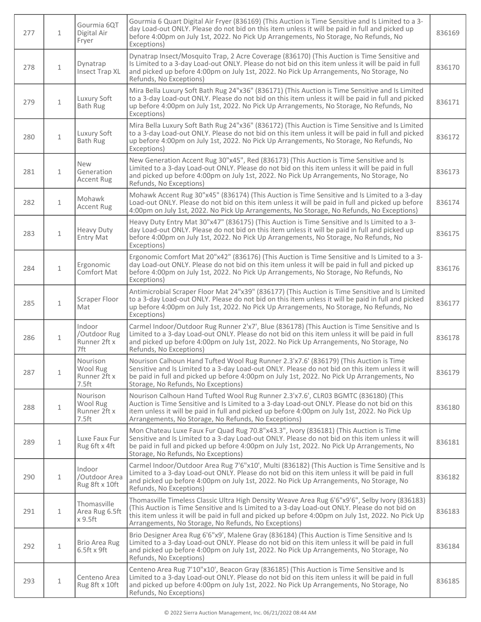| 277 | $\mathbf{1}$  | Gourmia 6QT<br>Digital Air<br>Fryer                       | Gourmia 6 Quart Digital Air Fryer (836169) (This Auction is Time Sensitive and Is Limited to a 3-<br>day Load-out ONLY. Please do not bid on this item unless it will be paid in full and picked up<br>before 4:00pm on July 1st, 2022. No Pick Up Arrangements, No Storage, No Refunds, No<br>Exceptions)                                                    | 836169 |
|-----|---------------|-----------------------------------------------------------|---------------------------------------------------------------------------------------------------------------------------------------------------------------------------------------------------------------------------------------------------------------------------------------------------------------------------------------------------------------|--------|
| 278 | $\mathbf{1}$  | Dynatrap<br><b>Insect Trap XL</b>                         | Dynatrap Insect/Mosquito Trap, 2 Acre Coverage (836170) (This Auction is Time Sensitive and<br>Is Limited to a 3-day Load-out ONLY. Please do not bid on this item unless it will be paid in full<br>and picked up before 4:00pm on July 1st, 2022. No Pick Up Arrangements, No Storage, No<br>Refunds, No Exceptions)                                        | 836170 |
| 279 | $\mathbf{1}$  | Luxury Soft<br><b>Bath Rug</b>                            | Mira Bella Luxury Soft Bath Rug 24"x36" (836171) (This Auction is Time Sensitive and Is Limited<br>to a 3-day Load-out ONLY. Please do not bid on this item unless it will be paid in full and picked<br>up before 4:00pm on July 1st, 2022. No Pick Up Arrangements, No Storage, No Refunds, No<br>Exceptions)                                               | 836171 |
| 280 | $\mathbf{1}$  | Luxury Soft<br>Bath Rug                                   | Mira Bella Luxury Soft Bath Rug 24"x36" (836172) (This Auction is Time Sensitive and Is Limited<br>to a 3-day Load-out ONLY. Please do not bid on this item unless it will be paid in full and picked<br>up before 4:00pm on July 1st, 2022. No Pick Up Arrangements, No Storage, No Refunds, No<br>Exceptions)                                               | 836172 |
| 281 | $\mathbf{1}$  | <b>New</b><br>Generation<br><b>Accent Rug</b>             | New Generation Accent Rug 30"x45", Red (836173) (This Auction is Time Sensitive and Is<br>Limited to a 3-day Load-out ONLY. Please do not bid on this item unless it will be paid in full<br>and picked up before 4:00pm on July 1st, 2022. No Pick Up Arrangements, No Storage, No<br>Refunds, No Exceptions)                                                | 836173 |
| 282 | $\mathbf{1}$  | Mohawk<br><b>Accent Rug</b>                               | Mohawk Accent Rug 30"x45" (836174) (This Auction is Time Sensitive and Is Limited to a 3-day<br>Load-out ONLY. Please do not bid on this item unless it will be paid in full and picked up before<br>4:00pm on July 1st, 2022. No Pick Up Arrangements, No Storage, No Refunds, No Exceptions)                                                                | 836174 |
| 283 | $\mathbf{1}$  | <b>Heavy Duty</b><br>Entry Mat                            | Heavy Duty Entry Mat 30"x47" (836175) (This Auction is Time Sensitive and Is Limited to a 3-<br>day Load-out ONLY. Please do not bid on this item unless it will be paid in full and picked up<br>before 4:00pm on July 1st, 2022. No Pick Up Arrangements, No Storage, No Refunds, No<br>Exceptions)                                                         | 836175 |
| 284 | $\mathbf{1}$  | Ergonomic<br>Comfort Mat                                  | Ergonomic Comfort Mat 20"x42" (836176) (This Auction is Time Sensitive and Is Limited to a 3-<br>day Load-out ONLY. Please do not bid on this item unless it will be paid in full and picked up<br>before 4:00pm on July 1st, 2022. No Pick Up Arrangements, No Storage, No Refunds, No<br>Exceptions)                                                        | 836176 |
| 285 | $\mathbf{1}$  | Scraper Floor<br>Mat                                      | Antimicrobial Scraper Floor Mat 24"x39" (836177) (This Auction is Time Sensitive and Is Limited<br>to a 3-day Load-out ONLY. Please do not bid on this item unless it will be paid in full and picked<br>up before 4:00pm on July 1st, 2022. No Pick Up Arrangements, No Storage, No Refunds, No<br>Exceptions)                                               | 836177 |
| 286 | $\mathbf{1}$  | Indoor<br>/Outdoor Rug<br>Runner 2ft x<br>7ft             | Carmel Indoor/Outdoor Rug Runner 2'x7', Blue (836178) (This Auction is Time Sensitive and Is<br>Limited to a 3-day Load-out ONLY. Please do not bid on this item unless it will be paid in full<br>and picked up before 4:00pm on July 1st, 2022. No Pick Up Arrangements, No Storage, No<br>Refunds, No Exceptions)                                          | 836178 |
| 287 | $\mathbf{1}$  | Nourison<br>Wool Rug<br>Runner 2ft x<br>7.5 <sub>ft</sub> | Nourison Calhoun Hand Tufted Wool Rug Runner 2.3'x7.6' (836179) (This Auction is Time<br>Sensitive and Is Limited to a 3-day Load-out ONLY. Please do not bid on this item unless it will<br>be paid in full and picked up before 4:00pm on July 1st, 2022. No Pick Up Arrangements, No<br>Storage, No Refunds, No Exceptions)                                | 836179 |
| 288 | $\mathbf{1}$  | Nourison<br>Wool Rug<br>Runner 2ft x<br>7.5 <sub>ft</sub> | Nourison Calhoun Hand Tufted Wool Rug Runner 2.3'x7.6', CLR03 BGMTC (836180) (This<br>Auction is Time Sensitive and Is Limited to a 3-day Load-out ONLY. Please do not bid on this<br>item unless it will be paid in full and picked up before 4:00pm on July 1st, 2022. No Pick Up<br>Arrangements, No Storage, No Refunds, No Exceptions)                   | 836180 |
| 289 | $\mathbf{1}$  | Luxe Faux Fur<br>Rug 6ft x 4ft                            | Mon Chateau Luxe Faux Fur Quad Rug 70.8"x43.3", Ivory (836181) (This Auction is Time<br>Sensitive and Is Limited to a 3-day Load-out ONLY. Please do not bid on this item unless it will<br>be paid in full and picked up before 4:00pm on July 1st, 2022. No Pick Up Arrangements, No<br>Storage, No Refunds, No Exceptions)                                 | 836181 |
| 290 | $\mathbf{1}$  | Indoor<br>/Outdoor Area<br>Rug 8ft x 10ft                 | Carmel Indoor/Outdoor Area Rug 7'6"x10', Multi (836182) (This Auction is Time Sensitive and Is<br>Limited to a 3-day Load-out ONLY. Please do not bid on this item unless it will be paid in full<br>and picked up before 4:00pm on July 1st, 2022. No Pick Up Arrangements, No Storage, No<br>Refunds, No Exceptions)                                        | 836182 |
| 291 | $\mathbf{1}$  | Thomasville<br>Area Rug 6.5ft<br>x 9.5ft                  | Thomasville Timeless Classic Ultra High Density Weave Area Rug 6'6"x9'6", Selby Ivory (836183)<br>(This Auction is Time Sensitive and Is Limited to a 3-day Load-out ONLY. Please do not bid on<br>this item unless it will be paid in full and picked up before 4:00pm on July 1st, 2022. No Pick Up<br>Arrangements, No Storage, No Refunds, No Exceptions) | 836183 |
| 292 | $\mathbf{1}$  | <b>Brio Area Rug</b><br>$6.5$ ft x $9$ ft                 | Brio Designer Area Rug 6'6"x9', Malene Gray (836184) (This Auction is Time Sensitive and Is<br>Limited to a 3-day Load-out ONLY. Please do not bid on this item unless it will be paid in full<br>and picked up before 4:00pm on July 1st, 2022. No Pick Up Arrangements, No Storage, No<br>Refunds, No Exceptions)                                           | 836184 |
| 293 | $\mathbbm{1}$ | Centeno Area<br>Rug 8ft x 10ft                            | Centeno Area Rug 7'10"x10', Beacon Gray (836185) (This Auction is Time Sensitive and Is<br>Limited to a 3-day Load-out ONLY. Please do not bid on this item unless it will be paid in full<br>and picked up before 4:00pm on July 1st, 2022. No Pick Up Arrangements, No Storage, No<br>Refunds, No Exceptions)                                               | 836185 |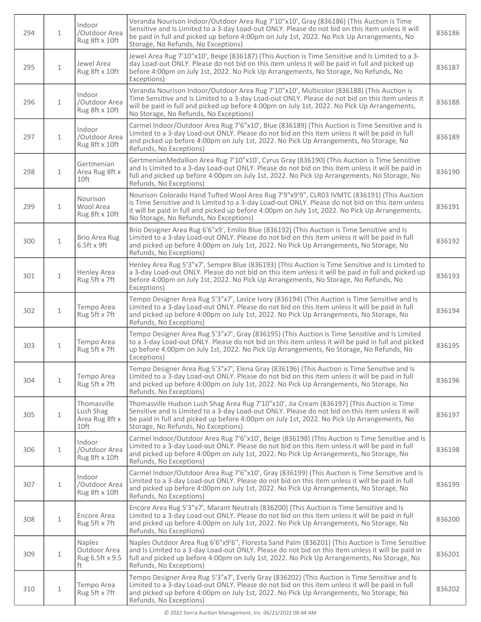| 294 | $\mathbf{1}$ | Indoor<br>/Outdoor Area<br>Rug 8ft x 10ft          | Veranda Nourison Indoor/Outdoor Area Rug 7'10"x10', Gray (836186) (This Auction is Time<br>Sensitive and Is Limited to a 3-day Load-out ONLY. Please do not bid on this item unless it will<br>be paid in full and picked up before 4:00pm on July 1st, 2022. No Pick Up Arrangements, No<br>Storage, No Refunds, No Exceptions)           | 836186 |
|-----|--------------|----------------------------------------------------|--------------------------------------------------------------------------------------------------------------------------------------------------------------------------------------------------------------------------------------------------------------------------------------------------------------------------------------------|--------|
| 295 | $\mathbf{1}$ | Jewel Area<br>Rug 8ft x 10ft                       | Jewel Area Rug 7'10"x10', Beige (836187) (This Auction is Time Sensitive and Is Limited to a 3-<br>day Load-out ONLY. Please do not bid on this item unless it will be paid in full and picked up<br>before 4:00pm on July 1st, 2022. No Pick Up Arrangements, No Storage, No Refunds, No<br>Exceptions)                                   | 836187 |
| 296 | $\mathbf{1}$ | Indoor<br>/Outdoor Area<br>Rug 8ft x 10ft          | Veranda Nourison Indoor/Outdoor Area Rug 7'10"x10', Multicolor (836188) (This Auction is<br>Time Sensitive and Is Limited to a 3-day Load-out ONLY. Please do not bid on this item unless it<br>will be paid in full and picked up before 4:00pm on July 1st, 2022. No Pick Up Arrangements,<br>No Storage, No Refunds, No Exceptions)     | 836188 |
| 297 | $\mathbf{1}$ | Indoor<br>/Outdoor Area<br>Rug 8ft x 10ft          | Carmel Indoor/Outdoor Area Rug 7'6"x10', Blue (836189) (This Auction is Time Sensitive and Is<br>Limited to a 3-day Load-out ONLY. Please do not bid on this item unless it will be paid in full<br>and picked up before 4:00pm on July 1st, 2022. No Pick Up Arrangements, No Storage, No<br>Refunds, No Exceptions)                      | 836189 |
| 298 | $\mathbf{1}$ | Gertmenian<br>Area Rug 8ft x<br>10ft               | GertmenianMedallion Area Rug 7'10"x10', Cyrus Gray (836190) (This Auction is Time Sensitive<br>and Is Limited to a 3-day Load-out ONLY. Please do not bid on this item unless it will be paid in<br>full and picked up before 4:00pm on July 1st, 2022. No Pick Up Arrangements, No Storage, No<br>Refunds, No Exceptions)                 | 836190 |
| 299 | $\mathbf{1}$ | Nourison<br>Wool Area<br>Rug 8ft x 10ft            | Nourison Colorado Hand Tufted Wool Area Rug 7'9"x9'9", CLR03 IVMTC (836191) (This Auction<br>is Time Sensitive and Is Limited to a 3-day Load-out ONLY. Please do not bid on this item unless<br>it will be paid in full and picked up before 4:00pm on July 1st, 2022. No Pick Up Arrangements,<br>No Storage, No Refunds, No Exceptions) | 836191 |
| 300 | $\mathbf{1}$ | <b>Brio Area Rug</b><br>$6.5$ ft x $9$ ft          | Brio Designer Area Rug 6'6"x9', Emilio Blue (836192) (This Auction is Time Sensitive and Is<br>Limited to a 3-day Load-out ONLY. Please do not bid on this item unless it will be paid in full<br>and picked up before 4:00pm on July 1st, 2022. No Pick Up Arrangements, No Storage, No<br>Refunds, No Exceptions)                        | 836192 |
| 301 | $1\,$        | <b>Henley Area</b><br>Rug 5ft x 7ft                | Henley Area Rug 5'3"x7', Sempre Blue (836193) (This Auction is Time Sensitive and Is Limited to<br>a 3-day Load-out ONLY. Please do not bid on this item unless it will be paid in full and picked up<br>before 4:00pm on July 1st, 2022. No Pick Up Arrangements, No Storage, No Refunds, No<br>Exceptions)                               | 836193 |
| 302 | $\mathbf 1$  | Tempo Area<br>Rug 5ft x 7ft                        | Tempo Designer Area Rug 5'3"x7', Lavice Ivory (836194) (This Auction is Time Sensitive and Is<br>Limited to a 3-day Load-out ONLY. Please do not bid on this item unless it will be paid in full<br>and picked up before 4:00pm on July 1st, 2022. No Pick Up Arrangements, No Storage, No<br>Refunds, No Exceptions)                      | 836194 |
| 303 | $\mathbf{1}$ | Tempo Area<br>Rug 5ft x 7ft                        | Tempo Designer Area Rug 5'3"x7', Gray (836195) (This Auction is Time Sensitive and Is Limited<br>to a 3-day Load-out ONLY. Please do not bid on this item unless it will be paid in full and picked<br>up before 4:00pm on July 1st, 2022. No Pick Up Arrangements, No Storage, No Refunds, No<br>Exceptions)                              | 836195 |
| 304 | $\mathbf{1}$ | Tempo Area<br>Rug 5ft x 7ft                        | Tempo Designer Area Rug 5'3"x7', Elena Gray (836196) (This Auction is Time Sensitive and Is<br>Limited to a 3-day Load-out ONLY. Please do not bid on this item unless it will be paid in full<br>and picked up before 4:00pm on July 1st, 2022. No Pick Up Arrangements, No Storage, No<br>Refunds, No Exceptions)                        | 836196 |
| 305 | $\mathbf{1}$ | Thomasville<br>Lush Shag<br>Area Rug 8ft x<br>10ft | Thomasville Hudson Lush Shag Area Rug 7'10"x10', Jia Cream (836197) (This Auction is Time<br>Sensitive and Is Limited to a 3-day Load-out ONLY. Please do not bid on this item unless it will<br>be paid in full and picked up before 4:00pm on July 1st, 2022. No Pick Up Arrangements, No<br>Storage, No Refunds, No Exceptions)         | 836197 |
| 306 | $\mathbf{1}$ | Indoor<br>/Outdoor Area<br>Rug 8ft x 10ft          | Carmel Indoor/Outdoor Area Rug 7'6"x10', Beige (836198) (This Auction is Time Sensitive and Is<br>Limited to a 3-day Load-out ONLY. Please do not bid on this item unless it will be paid in full<br>and picked up before 4:00pm on July 1st, 2022. No Pick Up Arrangements, No Storage, No<br>Refunds, No Exceptions)                     | 836198 |
| 307 | $\mathbf{1}$ | Indoor<br>/Outdoor Area<br>Rug 8ft x 10ft          | Carmel Indoor/Outdoor Area Rug 7'6"x10', Gray (836199) (This Auction is Time Sensitive and Is<br>Limited to a 3-day Load-out ONLY. Please do not bid on this item unless it will be paid in full<br>and picked up before 4:00pm on July 1st, 2022. No Pick Up Arrangements, No Storage, No<br>Refunds, No Exceptions)                      | 836199 |
| 308 | $\mathbf{1}$ | Encore Area<br>Rug 5ft x 7ft                       | Encore Area Rug 5'3"x7', Marant Neutrals (836200) (This Auction is Time Sensitive and Is<br>Limited to a 3-day Load-out ONLY. Please do not bid on this item unless it will be paid in full<br>and picked up before 4:00pm on July 1st, 2022. No Pick Up Arrangements, No Storage, No<br>Refunds, No Exceptions)                           | 836200 |
| 309 | $\mathbf{1}$ | Naples<br>Outdoor Area<br>Rug 6.5ft x 9.5<br>ft    | Naples Outdoor Area Rug 6'6"x9'6", Floresta Sand Palm (836201) (This Auction is Time Sensitive<br>and Is Limited to a 3-day Load-out ONLY. Please do not bid on this item unless it will be paid in<br>full and picked up before 4:00pm on July 1st, 2022. No Pick Up Arrangements, No Storage, No<br>Refunds, No Exceptions)              | 836201 |
| 310 | $\mathbf 1$  | Tempo Area<br>Rug 5ft x 7ft                        | Tempo Designer Area Rug 5'3"x7', Everly Gray (836202) (This Auction is Time Sensitive and Is<br>Limited to a 3-day Load-out ONLY. Please do not bid on this item unless it will be paid in full<br>and picked up before 4:00pm on July 1st, 2022. No Pick Up Arrangements, No Storage, No<br>Refunds, No Exceptions)                       | 836202 |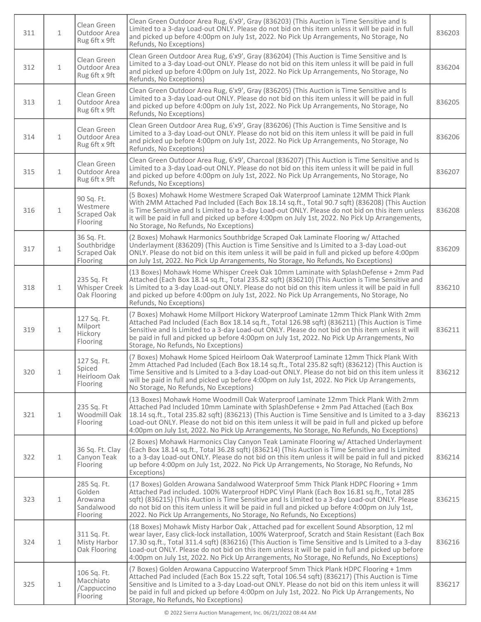| 311 | $\mathbf{1}$ | Clean Green<br>Outdoor Area<br>Rug 6ft x 9ft               | Clean Green Outdoor Area Rug, 6'x9', Gray (836203) (This Auction is Time Sensitive and Is<br>Limited to a 3-day Load-out ONLY. Please do not bid on this item unless it will be paid in full<br>and picked up before 4:00pm on July 1st, 2022. No Pick Up Arrangements, No Storage, No<br>Refunds, No Exceptions)                                                                                                                                                                                  | 836203 |
|-----|--------------|------------------------------------------------------------|----------------------------------------------------------------------------------------------------------------------------------------------------------------------------------------------------------------------------------------------------------------------------------------------------------------------------------------------------------------------------------------------------------------------------------------------------------------------------------------------------|--------|
| 312 | $\mathbf{1}$ | Clean Green<br>Outdoor Area<br>Rug 6ft x 9ft               | Clean Green Outdoor Area Rug, 6'x9', Gray (836204) (This Auction is Time Sensitive and Is<br>Limited to a 3-day Load-out ONLY. Please do not bid on this item unless it will be paid in full<br>and picked up before 4:00pm on July 1st, 2022. No Pick Up Arrangements, No Storage, No<br>Refunds, No Exceptions)                                                                                                                                                                                  | 836204 |
| 313 | $\mathbf{1}$ | Clean Green<br>Outdoor Area<br>Rug 6ft x 9ft               | Clean Green Outdoor Area Rug, 6'x9', Gray (836205) (This Auction is Time Sensitive and Is<br>Limited to a 3-day Load-out ONLY. Please do not bid on this item unless it will be paid in full<br>and picked up before 4:00pm on July 1st, 2022. No Pick Up Arrangements, No Storage, No<br>Refunds, No Exceptions)                                                                                                                                                                                  | 836205 |
| 314 | $\mathbf{1}$ | Clean Green<br>Outdoor Area<br>Rug 6ft x 9ft               | Clean Green Outdoor Area Rug, 6'x9', Gray (836206) (This Auction is Time Sensitive and Is<br>Limited to a 3-day Load-out ONLY. Please do not bid on this item unless it will be paid in full<br>and picked up before 4:00pm on July 1st, 2022. No Pick Up Arrangements, No Storage, No<br>Refunds, No Exceptions)                                                                                                                                                                                  | 836206 |
| 315 | $\mathbf{1}$ | Clean Green<br>Outdoor Area<br>Rug 6ft x 9ft               | Clean Green Outdoor Area Rug, 6'x9', Charcoal (836207) (This Auction is Time Sensitive and Is<br>Limited to a 3-day Load-out ONLY. Please do not bid on this item unless it will be paid in full<br>and picked up before 4:00pm on July 1st, 2022. No Pick Up Arrangements, No Storage, No<br>Refunds, No Exceptions)                                                                                                                                                                              | 836207 |
| 316 | $\mathbf{1}$ | 90 Sq. Ft.<br>Westmere<br>Scraped Oak<br>Flooring          | (5 Boxes) Mohawk Home Westmere Scraped Oak Waterproof Laminate 12MM Thick Plank<br>With 2MM Attached Pad Included (Each Box 18.14 sq.ft., Total 90.7 sqft) (836208) (This Auction<br>is Time Sensitive and Is Limited to a 3-day Load-out ONLY. Please do not bid on this item unless<br>it will be paid in full and picked up before 4:00pm on July 1st, 2022. No Pick Up Arrangements,<br>No Storage, No Refunds, No Exceptions)                                                                 | 836208 |
| 317 | $\mathbf{1}$ | 36 Sq. Ft.<br>Southbridge<br>Scraped Oak<br>Flooring       | (2 Boxes) Mohawk Harmonics Southbridge Scraped Oak Laminate Flooring w/ Attached<br>Underlayment (836209) (This Auction is Time Sensitive and Is Limited to a 3-day Load-out<br>ONLY. Please do not bid on this item unless it will be paid in full and picked up before 4:00pm<br>on July 1st, 2022. No Pick Up Arrangements, No Storage, No Refunds, No Exceptions)                                                                                                                              | 836209 |
| 318 | $\mathbf{1}$ | 235 Sq. Ft<br><b>Whisper Creek</b><br>Oak Flooring         | (13 Boxes) Mohawk Home Whisper Creek Oak 10mm Laminate with SplashDefense + 2mm Pad<br>Attached (Each Box 18.14 sq.ft., Total 235.82 sqft) (836210) (This Auction is Time Sensitive and<br>Is Limited to a 3-day Load-out ONLY. Please do not bid on this item unless it will be paid in full<br>and picked up before 4:00pm on July 1st, 2022. No Pick Up Arrangements, No Storage, No<br>Refunds, No Exceptions)                                                                                 | 836210 |
| 319 | $\mathbf{1}$ | 127 Sq. Ft.<br>Milport<br>Hickory<br>Flooring              | (7 Boxes) Mohawk Home Millport Hickory Waterproof Laminate 12mm Thick Plank With 2mm<br>Attached Pad Included (Each Box 18.14 sq.ft., Total 126.98 sqft) (836211) (This Auction is Time<br>Sensitive and Is Limited to a 3-day Load-out ONLY. Please do not bid on this item unless it will<br>be paid in full and picked up before 4:00pm on July 1st, 2022. No Pick Up Arrangements, No<br>Storage, No Refunds, No Exceptions)                                                                   | 836211 |
| 320 | $\mathbf{1}$ | 127 Sq. Ft.<br>Spiced<br>Heirloom Oak<br>Flooring          | (7 Boxes) Mohawk Home Spiced Heirloom Oak Waterproof Laminate 12mm Thick Plank With<br>2mm Attached Pad Included (Each Box 18.14 sq.ft., Total 235.82 sqft) (836212) (This Auction is<br>Time Sensitive and Is Limited to a 3-day Load-out ONLY. Please do not bid on this item unless it<br>will be paid in full and picked up before 4:00pm on July 1st, 2022. No Pick Up Arrangements,<br>No Storage, No Refunds, No Exceptions)                                                                | 836212 |
| 321 | $\mathbf{1}$ | 235 Sq. Ft<br>Woodmill Oak<br>Flooring                     | (13 Boxes) Mohawk Home Woodmill Oak Waterproof Laminate 12mm Thick Plank With 2mm<br>Attached Pad Included 10mm Laminate with SplashDefense + 2mm Pad Attached (Each Box<br>18.14 sq.ft., Total 235.82 sqft) (836213) (This Auction is Time Sensitive and Is Limited to a 3-day<br>Load-out ONLY. Please do not bid on this item unless it will be paid in full and picked up before<br>4:00pm on July 1st, 2022. No Pick Up Arrangements, No Storage, No Refunds, No Exceptions)                  | 836213 |
| 322 | $\mathbf{1}$ | 36 Sq. Ft. Clay<br>Canyon Teak<br>Flooring                 | (2 Boxes) Mohawk Harmonics Clay Canyon Teak Laminate Flooring w/ Attached Underlayment<br>(Each Box 18.14 sq.ft., Total 36.28 sqft) (836214) (This Auction is Time Sensitive and Is Limited<br>to a 3-day Load-out ONLY. Please do not bid on this item unless it will be paid in full and picked<br>up before 4:00pm on July 1st, 2022. No Pick Up Arrangements, No Storage, No Refunds, No<br>Exceptions)                                                                                        | 836214 |
| 323 | $\mathbf{1}$ | 285 Sq. Ft.<br>Golden<br>Arowana<br>Sandalwood<br>Flooring | (17 Boxes) Golden Arowana Sandalwood Waterproof 5mm Thick Plank HDPC Flooring + 1mm<br>Attached Pad included. 100% Waterproof HDPC Vinyl Plank (Each Box 16.81 sq.ft., Total 285<br>sqft) (836215) (This Auction is Time Sensitive and Is Limited to a 3-day Load-out ONLY. Please<br>do not bid on this item unless it will be paid in full and picked up before 4:00pm on July 1st,<br>2022. No Pick Up Arrangements, No Storage, No Refunds, No Exceptions)                                     | 836215 |
| 324 | $\mathbf{1}$ | 311 Sq. Ft.<br><b>Misty Harbor</b><br>Oak Flooring         | (18 Boxes) Mohawk Misty Harbor Oak, Attached pad for excellent Sound Absorption, 12 ml<br>wear layer, Easy click-lock installation, 100% Waterproof, Scratch and Stain Resistant (Each Box<br>17.30 sq.ft., Total 311.4 sqft) (836216) (This Auction is Time Sensitive and Is Limited to a 3-day<br>Load-out ONLY. Please do not bid on this item unless it will be paid in full and picked up before<br>4:00pm on July 1st, 2022. No Pick Up Arrangements, No Storage, No Refunds, No Exceptions) | 836216 |
| 325 | $\mathbf{1}$ | 106 Sq. Ft.<br>Macchiato<br>/Cappuccino<br>Flooring        | (7 Boxes) Golden Arowana Cappuccino Waterproof 5mm Thick Plank HDPC Flooring + 1mm<br>Attached Pad included (Each Box 15.22 sqft, Total 106.54 sqft) (836217) (This Auction is Time<br>Sensitive and Is Limited to a 3-day Load-out ONLY. Please do not bid on this item unless it will<br>be paid in full and picked up before 4:00pm on July 1st, 2022. No Pick Up Arrangements, No<br>Storage, No Refunds, No Exceptions)                                                                       | 836217 |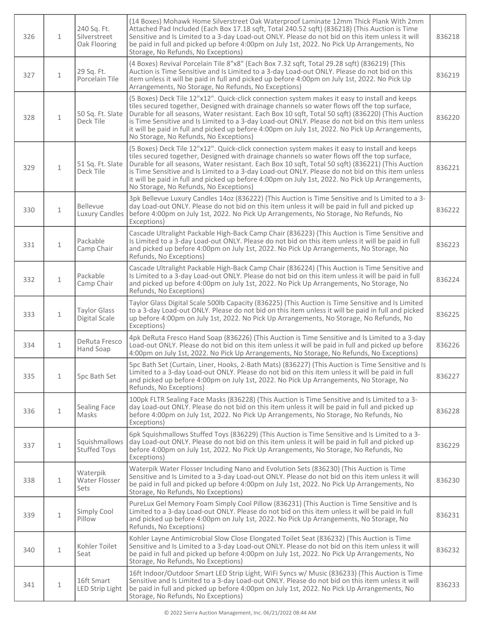| 326 | $\mathbf{1}$ | 240 Sq. Ft.<br>Silverstreet<br>Oak Flooring | (14 Boxes) Mohawk Home Silverstreet Oak Waterproof Laminate 12mm Thick Plank With 2mm<br>Attached Pad Included (Each Box 17.18 sqft, Total 240.52 sqft) (836218) (This Auction is Time<br>Sensitive and Is Limited to a 3-day Load-out ONLY. Please do not bid on this item unless it will<br>be paid in full and picked up before 4:00pm on July 1st, 2022. No Pick Up Arrangements, No<br>Storage, No Refunds, No Exceptions)                                                                                                                    | 836218 |
|-----|--------------|---------------------------------------------|----------------------------------------------------------------------------------------------------------------------------------------------------------------------------------------------------------------------------------------------------------------------------------------------------------------------------------------------------------------------------------------------------------------------------------------------------------------------------------------------------------------------------------------------------|--------|
| 327 | $\mathbf{1}$ | 29 Sq. Ft.<br>Porcelain Tile                | (4 Boxes) Revival Porcelain Tile 8"x8" (Each Box 7.32 sqft, Total 29.28 sqft) (836219) (This<br>Auction is Time Sensitive and Is Limited to a 3-day Load-out ONLY. Please do not bid on this<br>item unless it will be paid in full and picked up before 4:00pm on July 1st, 2022. No Pick Up<br>Arrangements, No Storage, No Refunds, No Exceptions)                                                                                                                                                                                              | 836219 |
| 328 | $\mathbf{1}$ | 50 Sq. Ft. Slate<br>Deck Tile               | (5 Boxes) Deck Tile 12"x12". Quick-click connection system makes it easy to install and keeps<br>tiles secured together, Designed with drainage channels so water flows off the top surface,<br>Durable for all seasons, Water resistant. Each Box 10 sqft, Total 50 sqft) (836220) (This Auction<br>is Time Sensitive and Is Limited to a 3-day Load-out ONLY. Please do not bid on this item unless<br>it will be paid in full and picked up before 4:00pm on July 1st, 2022. No Pick Up Arrangements,<br>No Storage, No Refunds, No Exceptions) | 836220 |
| 329 | $\mathbf{1}$ | 51 Sq. Ft. Slate<br>Deck Tile               | (5 Boxes) Deck Tile 12"x12". Quick-click connection system makes it easy to install and keeps<br>tiles secured together, Designed with drainage channels so water flows off the top surface,<br>Durable for all seasons, Water resistant. Each Box 10 sqft, Total 50 sqft) (836221) (This Auction<br>is Time Sensitive and Is Limited to a 3-day Load-out ONLY. Please do not bid on this item unless<br>it will be paid in full and picked up before 4:00pm on July 1st, 2022. No Pick Up Arrangements,<br>No Storage, No Refunds, No Exceptions) | 836221 |
| 330 | $\mathbf{1}$ | <b>Bellevue</b><br><b>Luxury Candles</b>    | 3pk Bellevue Luxury Candles 14oz (836222) (This Auction is Time Sensitive and Is Limited to a 3-<br>day Load-out ONLY. Please do not bid on this item unless it will be paid in full and picked up<br>before 4:00pm on July 1st, 2022. No Pick Up Arrangements, No Storage, No Refunds, No<br>Exceptions)                                                                                                                                                                                                                                          | 836222 |
| 331 | $\mathbf 1$  | Packable<br>Camp Chair                      | Cascade Ultralight Packable High-Back Camp Chair (836223) (This Auction is Time Sensitive and<br>Is Limited to a 3-day Load-out ONLY. Please do not bid on this item unless it will be paid in full<br>and picked up before 4:00pm on July 1st, 2022. No Pick Up Arrangements, No Storage, No<br>Refunds, No Exceptions)                                                                                                                                                                                                                           | 836223 |
| 332 | $\mathbf{1}$ | Packable<br>Camp Chair                      | Cascade Ultralight Packable High-Back Camp Chair (836224) (This Auction is Time Sensitive and<br>Is Limited to a 3-day Load-out ONLY. Please do not bid on this item unless it will be paid in full<br>and picked up before 4:00pm on July 1st, 2022. No Pick Up Arrangements, No Storage, No<br>Refunds, No Exceptions)                                                                                                                                                                                                                           | 836224 |
| 333 | $\mathbf{1}$ | <b>Taylor Glass</b><br>Digital Scale        | Taylor Glass Digital Scale 500lb Capacity (836225) (This Auction is Time Sensitive and Is Limited<br>to a 3-day Load-out ONLY. Please do not bid on this item unless it will be paid in full and picked<br>up before 4:00pm on July 1st, 2022. No Pick Up Arrangements, No Storage, No Refunds, No<br>Exceptions)                                                                                                                                                                                                                                  | 836225 |
| 334 | $\mathbf{1}$ | DeRuta Fresco<br>Hand Soap                  | 4pk DeRuta Fresco Hand Soap (836226) (This Auction is Time Sensitive and Is Limited to a 3-day<br>Load-out ONLY. Please do not bid on this item unless it will be paid in full and picked up before<br>4:00pm on July 1st, 2022. No Pick Up Arrangements, No Storage, No Refunds, No Exceptions)                                                                                                                                                                                                                                                   | 836226 |
| 335 | $\mathbf{1}$ | 5pc Bath Set                                | 5pc Bath Set (Curtain, Liner, Hooks, 2-Bath Mats) (836227) (This Auction is Time Sensitive and Is<br>Limited to a 3-day Load-out ONLY. Please do not bid on this item unless it will be paid in full<br>and picked up before 4:00pm on July 1st, 2022. No Pick Up Arrangements, No Storage, No<br>Refunds, No Exceptions)                                                                                                                                                                                                                          | 836227 |
| 336 | $\mathbf{1}$ | Sealing Face<br>Masks                       | 100pk FLTR Sealing Face Masks (836228) (This Auction is Time Sensitive and Is Limited to a 3-<br>day Load-out ONLY. Please do not bid on this item unless it will be paid in full and picked up<br>before 4:00pm on July 1st, 2022. No Pick Up Arrangements, No Storage, No Refunds, No<br>Exceptions)                                                                                                                                                                                                                                             | 836228 |
| 337 | $\mathbf{1}$ | Squishmallows<br><b>Stuffed Toys</b>        | 6pk Squishmallows Stuffed Toys (836229) (This Auction is Time Sensitive and Is Limited to a 3-<br>day Load-out ONLY. Please do not bid on this item unless it will be paid in full and picked up<br>before 4:00pm on July 1st, 2022. No Pick Up Arrangements, No Storage, No Refunds, No<br>Exceptions)                                                                                                                                                                                                                                            | 836229 |
| 338 | $\mathbf{1}$ | Waterpik<br>Water Flosser<br>Sets           | Waterpik Water Flosser Including Nano and Evolution Sets (836230) (This Auction is Time<br>Sensitive and Is Limited to a 3-day Load-out ONLY. Please do not bid on this item unless it will<br>be paid in full and picked up before 4:00pm on July 1st, 2022. No Pick Up Arrangements, No<br>Storage, No Refunds, No Exceptions)                                                                                                                                                                                                                   | 836230 |
| 339 | $\mathbf 1$  | Simply Cool<br>Pillow                       | PureLux Gel Memory Foam Simply Cool Pillow (836231) (This Auction is Time Sensitive and Is<br>Limited to a 3-day Load-out ONLY. Please do not bid on this item unless it will be paid in full<br>and picked up before 4:00pm on July 1st, 2022. No Pick Up Arrangements, No Storage, No<br>Refunds, No Exceptions)                                                                                                                                                                                                                                 | 836231 |
| 340 | $\mathbf{1}$ | Kohler Toilet<br>Seat                       | Kohler Layne Antimicrobial Slow Close Elongated Toilet Seat (836232) (This Auction is Time<br>Sensitive and Is Limited to a 3-day Load-out ONLY. Please do not bid on this item unless it will<br>be paid in full and picked up before 4:00pm on July 1st, 2022. No Pick Up Arrangements, No<br>Storage, No Refunds, No Exceptions)                                                                                                                                                                                                                | 836232 |
| 341 | $1\,$        | 16ft Smart<br>LED Strip Light               | 16ft Indoor/Outdoor Smart LED Strip Light, WiFi Syncs w/ Music (836233) (This Auction is Time<br>Sensitive and Is Limited to a 3-day Load-out ONLY. Please do not bid on this item unless it will<br>be paid in full and picked up before 4:00pm on July 1st, 2022. No Pick Up Arrangements, No<br>Storage, No Refunds, No Exceptions)                                                                                                                                                                                                             | 836233 |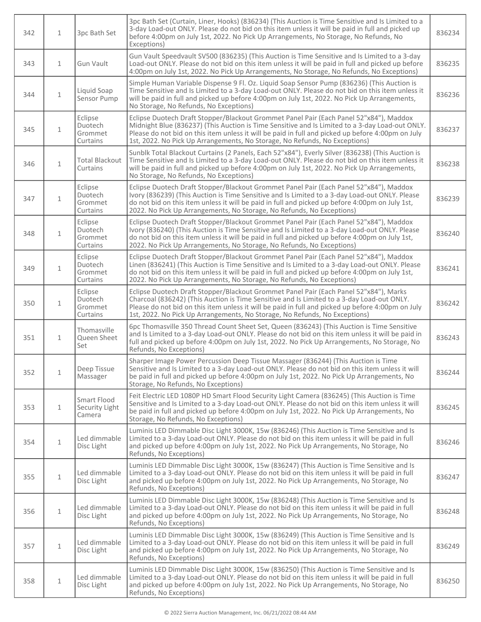| 342 | $\mathbf{1}$ | 3pc Bath Set                                     | 3pc Bath Set (Curtain, Liner, Hooks) (836234) (This Auction is Time Sensitive and Is Limited to a<br>3-day Load-out ONLY. Please do not bid on this item unless it will be paid in full and picked up<br>before 4:00pm on July 1st, 2022. No Pick Up Arrangements, No Storage, No Refunds, No<br>Exceptions)                                                                 | 836234 |
|-----|--------------|--------------------------------------------------|------------------------------------------------------------------------------------------------------------------------------------------------------------------------------------------------------------------------------------------------------------------------------------------------------------------------------------------------------------------------------|--------|
| 343 | $\mathbf{1}$ | Gun Vault                                        | Gun Vault Speedvault SV500 (836235) (This Auction is Time Sensitive and Is Limited to a 3-day<br>Load-out ONLY. Please do not bid on this item unless it will be paid in full and picked up before<br>4:00pm on July 1st, 2022. No Pick Up Arrangements, No Storage, No Refunds, No Exceptions)                                                                              | 836235 |
| 344 | $\mathbf{1}$ | Liquid Soap<br>Sensor Pump                       | Simple Human Variable Dispense 9 Fl. Oz. Liquid Soap Sensor Pump (836236) (This Auction is<br>Time Sensitive and Is Limited to a 3-day Load-out ONLY. Please do not bid on this item unless it<br>will be paid in full and picked up before 4:00pm on July 1st, 2022. No Pick Up Arrangements,<br>No Storage, No Refunds, No Exceptions)                                     | 836236 |
| 345 | $\mathbf{1}$ | Eclipse<br><b>Duotech</b><br>Grommet<br>Curtains | Eclipse Duotech Draft Stopper/Blackout Grommet Panel Pair (Each Panel 52"x84"), Maddox<br>Midnight Blue (836237) (This Auction is Time Sensitive and Is Limited to a 3-day Load-out ONLY.<br>Please do not bid on this item unless it will be paid in full and picked up before 4:00pm on July<br>1st, 2022. No Pick Up Arrangements, No Storage, No Refunds, No Exceptions) | 836237 |
| 346 | $\mathbf{1}$ | <b>Total Blackout</b><br>Curtains                | Sunblk Total Blackout Curtains (2 Panels, Each 52"x84"), Everly Silver (836238) (This Auction is<br>Time Sensitive and Is Limited to a 3-day Load-out ONLY. Please do not bid on this item unless it<br>will be paid in full and picked up before 4:00pm on July 1st, 2022. No Pick Up Arrangements,<br>No Storage, No Refunds, No Exceptions)                               | 836238 |
| 347 | $\mathbf{1}$ | Eclipse<br>Duotech<br>Grommet<br>Curtains        | Eclipse Duotech Draft Stopper/Blackout Grommet Panel Pair (Each Panel 52"x84"), Maddox<br>Ivory (836239) (This Auction is Time Sensitive and Is Limited to a 3-day Load-out ONLY. Please<br>do not bid on this item unless it will be paid in full and picked up before 4:00pm on July 1st,<br>2022. No Pick Up Arrangements, No Storage, No Refunds, No Exceptions)         | 836239 |
| 348 | $\mathbf{1}$ | Eclipse<br>Duotech<br>Grommet<br>Curtains        | Eclipse Duotech Draft Stopper/Blackout Grommet Panel Pair (Each Panel 52"x84"), Maddox<br>Ivory (836240) (This Auction is Time Sensitive and Is Limited to a 3-day Load-out ONLY. Please<br>do not bid on this item unless it will be paid in full and picked up before 4:00pm on July 1st,<br>2022. No Pick Up Arrangements, No Storage, No Refunds, No Exceptions)         | 836240 |
| 349 | $\mathbf{1}$ | Eclipse<br>Duotech<br>Grommet<br>Curtains        | Eclipse Duotech Draft Stopper/Blackout Grommet Panel Pair (Each Panel 52"x84"), Maddox<br>Linen (836241) (This Auction is Time Sensitive and Is Limited to a 3-day Load-out ONLY. Please<br>do not bid on this item unless it will be paid in full and picked up before 4:00pm on July 1st,<br>2022. No Pick Up Arrangements, No Storage, No Refunds, No Exceptions)         | 836241 |
| 350 | $\mathbf{1}$ | Eclipse<br>Duotech<br>Grommet<br>Curtains        | Eclipse Duotech Draft Stopper/Blackout Grommet Panel Pair (Each Panel 52"x84"), Marks<br>Charcoal (836242) (This Auction is Time Sensitive and Is Limited to a 3-day Load-out ONLY.<br>Please do not bid on this item unless it will be paid in full and picked up before 4:00pm on July<br>1st, 2022. No Pick Up Arrangements, No Storage, No Refunds, No Exceptions)       | 836242 |
| 351 | $\mathbf{1}$ | Thomasville<br>Queen Sheet<br>Set                | 6pc Thomasville 350 Thread Count Sheet Set, Queen (836243) (This Auction is Time Sensitive<br>and Is Limited to a 3-day Load-out ONLY. Please do not bid on this item unless it will be paid in<br>full and picked up before 4:00pm on July 1st, 2022. No Pick Up Arrangements, No Storage, No<br>Refunds, No Exceptions)                                                    | 836243 |
| 352 | $1\,$        | Deep Tissue<br>Massager                          | Sharper Image Power Percussion Deep Tissue Massager (836244) (This Auction is Time<br>Sensitive and Is Limited to a 3-day Load-out ONLY. Please do not bid on this item unless it will<br>be paid in full and picked up before 4:00pm on July 1st, 2022. No Pick Up Arrangements, No<br>Storage, No Refunds, No Exceptions)                                                  | 836244 |
| 353 | $\mathbf{1}$ | Smart Flood<br>Security Light<br>Camera          | Feit Electric LED 1080P HD Smart Flood Security Light Camera (836245) (This Auction is Time<br>Sensitive and Is Limited to a 3-day Load-out ONLY. Please do not bid on this item unless it will<br>be paid in full and picked up before 4:00pm on July 1st, 2022. No Pick Up Arrangements, No<br>Storage, No Refunds, No Exceptions)                                         | 836245 |
| 354 | $\mathbf 1$  | Led dimmable<br>Disc Light                       | Luminis LED Dimmable Disc Light 3000K, 15w (836246) (This Auction is Time Sensitive and Is<br>Limited to a 3-day Load-out ONLY. Please do not bid on this item unless it will be paid in full<br>and picked up before 4:00pm on July 1st, 2022. No Pick Up Arrangements, No Storage, No<br>Refunds, No Exceptions)                                                           | 836246 |
| 355 | $\mathbf 1$  | Led dimmable<br>Disc Light                       | Luminis LED Dimmable Disc Light 3000K, 15w (836247) (This Auction is Time Sensitive and Is<br>Limited to a 3-day Load-out ONLY. Please do not bid on this item unless it will be paid in full<br>and picked up before 4:00pm on July 1st, 2022. No Pick Up Arrangements, No Storage, No<br>Refunds, No Exceptions)                                                           | 836247 |
| 356 | $\mathbf 1$  | Led dimmable<br>Disc Light                       | Luminis LED Dimmable Disc Light 3000K, 15w (836248) (This Auction is Time Sensitive and Is<br>Limited to a 3-day Load-out ONLY. Please do not bid on this item unless it will be paid in full<br>and picked up before 4:00pm on July 1st, 2022. No Pick Up Arrangements, No Storage, No<br>Refunds, No Exceptions)                                                           | 836248 |
| 357 | $\mathbf 1$  | Led dimmable<br>Disc Light                       | Luminis LED Dimmable Disc Light 3000K, 15w (836249) (This Auction is Time Sensitive and Is<br>Limited to a 3-day Load-out ONLY. Please do not bid on this item unless it will be paid in full<br>and picked up before 4:00pm on July 1st, 2022. No Pick Up Arrangements, No Storage, No<br>Refunds, No Exceptions)                                                           | 836249 |
| 358 | $\mathbf 1$  | Led dimmable<br>Disc Light                       | Luminis LED Dimmable Disc Light 3000K, 15w (836250) (This Auction is Time Sensitive and Is<br>Limited to a 3-day Load-out ONLY. Please do not bid on this item unless it will be paid in full<br>and picked up before 4:00pm on July 1st, 2022. No Pick Up Arrangements, No Storage, No<br>Refunds, No Exceptions)                                                           | 836250 |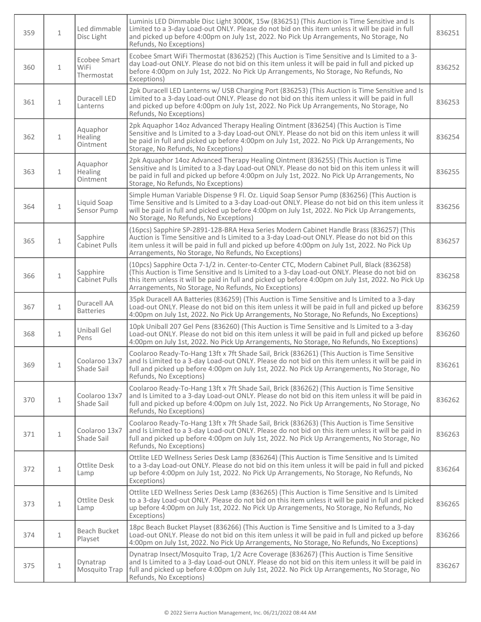| 359 | $\mathbf{1}$ | Led dimmable<br>Disc Light                       | Luminis LED Dimmable Disc Light 3000K, 15w (836251) (This Auction is Time Sensitive and Is<br>Limited to a 3-day Load-out ONLY. Please do not bid on this item unless it will be paid in full<br>and picked up before 4:00pm on July 1st, 2022. No Pick Up Arrangements, No Storage, No<br>Refunds, No Exceptions)                                       | 836251 |
|-----|--------------|--------------------------------------------------|----------------------------------------------------------------------------------------------------------------------------------------------------------------------------------------------------------------------------------------------------------------------------------------------------------------------------------------------------------|--------|
| 360 | $\mathbf{1}$ | <b>Ecobee Smart</b><br><b>WiFi</b><br>Thermostat | Ecobee Smart WiFi Thermostat (836252) (This Auction is Time Sensitive and Is Limited to a 3-<br>day Load-out ONLY. Please do not bid on this item unless it will be paid in full and picked up<br>before 4:00pm on July 1st, 2022. No Pick Up Arrangements, No Storage, No Refunds, No<br>Exceptions)                                                    | 836252 |
| 361 | $\mathbf{1}$ | Duracell LED<br>Lanterns                         | 2pk Duracell LED Lanterns w/ USB Charging Port (836253) (This Auction is Time Sensitive and Is<br>Limited to a 3-day Load-out ONLY. Please do not bid on this item unless it will be paid in full<br>and picked up before 4:00pm on July 1st, 2022. No Pick Up Arrangements, No Storage, No<br>Refunds, No Exceptions)                                   | 836253 |
| 362 | $\mathbf{1}$ | Aquaphor<br>Healing<br>Ointment                  | 2pk Aquaphor 14oz Advanced Therapy Healing Ointment (836254) (This Auction is Time<br>Sensitive and Is Limited to a 3-day Load-out ONLY. Please do not bid on this item unless it will<br>be paid in full and picked up before 4:00pm on July 1st, 2022. No Pick Up Arrangements, No<br>Storage, No Refunds, No Exceptions)                              | 836254 |
| 363 | $\mathbf{1}$ | Aquaphor<br>Healing<br>Ointment                  | 2pk Aquaphor 14oz Advanced Therapy Healing Ointment (836255) (This Auction is Time<br>Sensitive and Is Limited to a 3-day Load-out ONLY. Please do not bid on this item unless it will<br>be paid in full and picked up before 4:00pm on July 1st, 2022. No Pick Up Arrangements, No<br>Storage, No Refunds, No Exceptions)                              | 836255 |
| 364 | $\mathbf{1}$ | Liquid Soap<br>Sensor Pump                       | Simple Human Variable Dispense 9 Fl. Oz. Liquid Soap Sensor Pump (836256) (This Auction is<br>Time Sensitive and Is Limited to a 3-day Load-out ONLY. Please do not bid on this item unless it<br>will be paid in full and picked up before 4:00pm on July 1st, 2022. No Pick Up Arrangements,<br>No Storage, No Refunds, No Exceptions)                 | 836256 |
| 365 | $\mathbf{1}$ | Sapphire<br><b>Cabinet Pulls</b>                 | (16pcs) Sapphire SP-2891-128-BRA Hexa Series Modern Cabinet Handle Brass (836257) (This<br>Auction is Time Sensitive and Is Limited to a 3-day Load-out ONLY. Please do not bid on this<br>item unless it will be paid in full and picked up before 4:00pm on July 1st, 2022. No Pick Up<br>Arrangements, No Storage, No Refunds, No Exceptions)         | 836257 |
| 366 | $\mathbf 1$  | Sapphire<br><b>Cabinet Pulls</b>                 | (10pcs) Sapphire Octa 7-1/2 in. Center-to-Center CTC, Modern Cabinet Pull, Black (836258)<br>(This Auction is Time Sensitive and Is Limited to a 3-day Load-out ONLY. Please do not bid on<br>this item unless it will be paid in full and picked up before 4:00pm on July 1st, 2022. No Pick Up<br>Arrangements, No Storage, No Refunds, No Exceptions) | 836258 |
| 367 | 1            | Duracell AA<br><b>Batteries</b>                  | 35pk Duracell AA Batteries (836259) (This Auction is Time Sensitive and Is Limited to a 3-day<br>Load-out ONLY. Please do not bid on this item unless it will be paid in full and picked up before<br>4:00pm on July 1st, 2022. No Pick Up Arrangements, No Storage, No Refunds, No Exceptions)                                                          | 836259 |
| 368 | $\mathbf{1}$ | Uniball Gel<br>Pens                              | 10pk Uniball 207 Gel Pens (836260) (This Auction is Time Sensitive and Is Limited to a 3-day<br>Load-out ONLY. Please do not bid on this item unless it will be paid in full and picked up before<br>4:00pm on July 1st, 2022. No Pick Up Arrangements, No Storage, No Refunds, No Exceptions)                                                           | 836260 |
| 369 | 1            | Coolaroo 13x7<br>Shade Sail                      | Coolaroo Ready-To-Hang 13ft x 7ft Shade Sail, Brick (836261) (This Auction is Time Sensitive<br>and Is Limited to a 3-day Load-out ONLY. Please do not bid on this item unless it will be paid in<br>full and picked up before 4:00pm on July 1st, 2022. No Pick Up Arrangements, No Storage, No<br>Refunds, No Exceptions)                              | 836261 |
| 370 | $\mathbf{1}$ | Coolaroo 13x7<br>Shade Sail                      | Coolaroo Ready-To-Hang 13ft x 7ft Shade Sail, Brick (836262) (This Auction is Time Sensitive<br>and Is Limited to a 3-day Load-out ONLY. Please do not bid on this item unless it will be paid in<br>full and picked up before 4:00pm on July 1st, 2022. No Pick Up Arrangements, No Storage, No<br>Refunds, No Exceptions)                              | 836262 |
| 371 | $\mathbf{1}$ | Coolaroo 13x7<br>Shade Sail                      | Coolaroo Ready-To-Hang 13ft x 7ft Shade Sail, Brick (836263) (This Auction is Time Sensitive<br>and Is Limited to a 3-day Load-out ONLY. Please do not bid on this item unless it will be paid in<br>full and picked up before 4:00pm on July 1st, 2022. No Pick Up Arrangements, No Storage, No<br>Refunds, No Exceptions)                              | 836263 |
| 372 | $\mathbf 1$  | <b>Ottlite Desk</b><br>Lamp                      | Ottlite LED Wellness Series Desk Lamp (836264) (This Auction is Time Sensitive and Is Limited<br>to a 3-day Load-out ONLY. Please do not bid on this item unless it will be paid in full and picked<br>up before 4:00pm on July 1st, 2022. No Pick Up Arrangements, No Storage, No Refunds, No<br>Exceptions)                                            | 836264 |
| 373 | $\mathbf 1$  | <b>Ottlite Desk</b><br>Lamp                      | Ottlite LED Wellness Series Desk Lamp (836265) (This Auction is Time Sensitive and Is Limited<br>to a 3-day Load-out ONLY. Please do not bid on this item unless it will be paid in full and picked<br>up before 4:00pm on July 1st, 2022. No Pick Up Arrangements, No Storage, No Refunds, No<br>Exceptions)                                            | 836265 |
| 374 | $1\,$        | Beach Bucket<br>Playset                          | 18pc Beach Bucket Playset (836266) (This Auction is Time Sensitive and Is Limited to a 3-day<br>Load-out ONLY. Please do not bid on this item unless it will be paid in full and picked up before<br>4:00pm on July 1st, 2022. No Pick Up Arrangements, No Storage, No Refunds, No Exceptions)                                                           | 836266 |
| 375 | $1\,$        | Dynatrap<br>Mosquito Trap                        | Dynatrap Insect/Mosquito Trap, 1/2 Acre Coverage (836267) (This Auction is Time Sensitive<br>and Is Limited to a 3-day Load-out ONLY. Please do not bid on this item unless it will be paid in<br>full and picked up before 4:00pm on July 1st, 2022. No Pick Up Arrangements, No Storage, No<br>Refunds, No Exceptions)                                 | 836267 |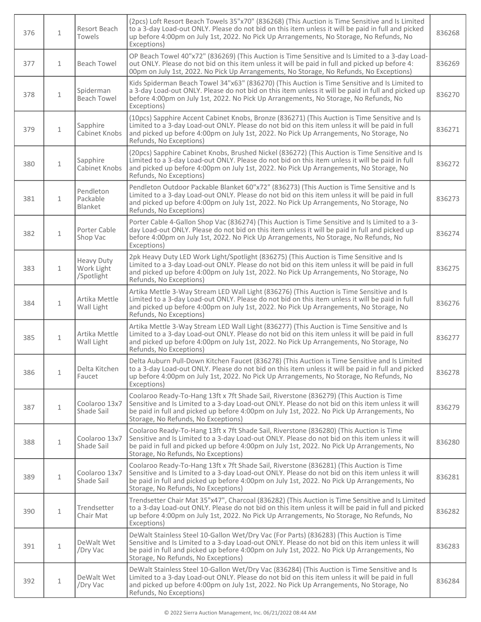| 376 | $\mathbf{1}$ | Resort Beach<br>Towels                        | (2pcs) Loft Resort Beach Towels 35"x70" (836268) (This Auction is Time Sensitive and Is Limited<br>to a 3-day Load-out ONLY. Please do not bid on this item unless it will be paid in full and picked<br>up before 4:00pm on July 1st, 2022. No Pick Up Arrangements, No Storage, No Refunds, No<br>Exceptions)                  | 836268 |
|-----|--------------|-----------------------------------------------|----------------------------------------------------------------------------------------------------------------------------------------------------------------------------------------------------------------------------------------------------------------------------------------------------------------------------------|--------|
| 377 | $\mathbf{1}$ | <b>Beach Towel</b>                            | OP Beach Towel 40"x72" (836269) (This Auction is Time Sensitive and Is Limited to a 3-day Load-<br>out ONLY. Please do not bid on this item unless it will be paid in full and picked up before 4:<br>00pm on July 1st, 2022. No Pick Up Arrangements, No Storage, No Refunds, No Exceptions)                                    | 836269 |
| 378 | $\mathbf 1$  | Spiderman<br><b>Beach Towel</b>               | Kids Spiderman Beach Towel 34"x63" (836270) (This Auction is Time Sensitive and Is Limited to<br>a 3-day Load-out ONLY. Please do not bid on this item unless it will be paid in full and picked up<br>before 4:00pm on July 1st, 2022. No Pick Up Arrangements, No Storage, No Refunds, No<br>Exceptions)                       | 836270 |
| 379 | $\mathbf{1}$ | Sapphire<br>Cabinet Knobs                     | (10pcs) Sapphire Accent Cabinet Knobs, Bronze (836271) (This Auction is Time Sensitive and Is<br>Limited to a 3-day Load-out ONLY. Please do not bid on this item unless it will be paid in full<br>and picked up before 4:00pm on July 1st, 2022. No Pick Up Arrangements, No Storage, No<br>Refunds, No Exceptions)            | 836271 |
| 380 | $\mathbf{1}$ | Sapphire<br>Cabinet Knobs                     | (20pcs) Sapphire Cabinet Knobs, Brushed Nickel (836272) (This Auction is Time Sensitive and Is<br>Limited to a 3-day Load-out ONLY. Please do not bid on this item unless it will be paid in full<br>and picked up before 4:00pm on July 1st, 2022. No Pick Up Arrangements, No Storage, No<br>Refunds, No Exceptions)           | 836272 |
| 381 | $\mathbf{1}$ | Pendleton<br>Packable<br>Blanket              | Pendleton Outdoor Packable Blanket 60"x72" (836273) (This Auction is Time Sensitive and Is<br>Limited to a 3-day Load-out ONLY. Please do not bid on this item unless it will be paid in full<br>and picked up before 4:00pm on July 1st, 2022. No Pick Up Arrangements, No Storage, No<br>Refunds, No Exceptions)               | 836273 |
| 382 | $\mathbf{1}$ | Porter Cable<br>Shop Vac                      | Porter Cable 4-Gallon Shop Vac (836274) (This Auction is Time Sensitive and Is Limited to a 3-<br>day Load-out ONLY. Please do not bid on this item unless it will be paid in full and picked up<br>before 4:00pm on July 1st, 2022. No Pick Up Arrangements, No Storage, No Refunds, No<br>Exceptions)                          | 836274 |
| 383 | $\mathbf{1}$ | <b>Heavy Duty</b><br>Work Light<br>/Spotlight | 2pk Heavy Duty LED Work Light/Spotlight (836275) (This Auction is Time Sensitive and Is<br>Limited to a 3-day Load-out ONLY. Please do not bid on this item unless it will be paid in full<br>and picked up before 4:00pm on July 1st, 2022. No Pick Up Arrangements, No Storage, No<br>Refunds, No Exceptions)                  | 836275 |
| 384 | $\mathbf{1}$ | Artika Mettle<br>Wall Light                   | Artika Mettle 3-Way Stream LED Wall Light (836276) (This Auction is Time Sensitive and Is<br>Limited to a 3-day Load-out ONLY. Please do not bid on this item unless it will be paid in full<br>and picked up before 4:00pm on July 1st, 2022. No Pick Up Arrangements, No Storage, No<br>Refunds, No Exceptions)                | 836276 |
| 385 | $\mathbf{1}$ | Artika Mettle<br>Wall Light                   | Artika Mettle 3-Way Stream LED Wall Light (836277) (This Auction is Time Sensitive and Is<br>Limited to a 3-day Load-out ONLY. Please do not bid on this item unless it will be paid in full<br>and picked up before 4:00pm on July 1st, 2022. No Pick Up Arrangements, No Storage, No<br>Refunds, No Exceptions)                | 836277 |
| 386 | $\mathbf{1}$ | Delta Kitchen<br>Faucet                       | Delta Auburn Pull-Down Kitchen Faucet (836278) (This Auction is Time Sensitive and Is Limited<br>to a 3-day Load-out ONLY. Please do not bid on this item unless it will be paid in full and picked<br>up before 4:00pm on July 1st, 2022. No Pick Up Arrangements, No Storage, No Refunds, No<br>Exceptions)                    | 836278 |
| 387 | $\mathbf{1}$ | Coolaroo 13x7<br>Shade Sail                   | Coolaroo Ready-To-Hang 13ft x 7ft Shade Sail, Riverstone (836279) (This Auction is Time<br>Sensitive and Is Limited to a 3-day Load-out ONLY. Please do not bid on this item unless it will<br>be paid in full and picked up before 4:00pm on July 1st, 2022. No Pick Up Arrangements, No<br>Storage, No Refunds, No Exceptions) | 836279 |
| 388 | $\mathbf{1}$ | Coolaroo 13x7<br>Shade Sail                   | Coolaroo Ready-To-Hang 13ft x 7ft Shade Sail, Riverstone (836280) (This Auction is Time<br>Sensitive and Is Limited to a 3-day Load-out ONLY. Please do not bid on this item unless it will<br>be paid in full and picked up before 4:00pm on July 1st, 2022. No Pick Up Arrangements, No<br>Storage, No Refunds, No Exceptions) | 836280 |
| 389 | $\mathbf{1}$ | Coolaroo 13x7<br>Shade Sail                   | Coolaroo Ready-To-Hang 13ft x 7ft Shade Sail, Riverstone (836281) (This Auction is Time<br>Sensitive and Is Limited to a 3-day Load-out ONLY. Please do not bid on this item unless it will<br>be paid in full and picked up before 4:00pm on July 1st, 2022. No Pick Up Arrangements, No<br>Storage, No Refunds, No Exceptions) | 836281 |
| 390 | $\mathbf 1$  | Trendsetter<br>Chair Mat                      | Trendsetter Chair Mat 35"x47", Charcoal (836282) (This Auction is Time Sensitive and Is Limited<br>to a 3-day Load-out ONLY. Please do not bid on this item unless it will be paid in full and picked<br>up before 4:00pm on July 1st, 2022. No Pick Up Arrangements, No Storage, No Refunds, No<br>Exceptions)                  | 836282 |
| 391 | $\mathbf{1}$ | DeWalt Wet<br>/Dry Vac                        | DeWalt Stainless Steel 10-Gallon Wet/Dry Vac (For Parts) (836283) (This Auction is Time<br>Sensitive and Is Limited to a 3-day Load-out ONLY. Please do not bid on this item unless it will<br>be paid in full and picked up before 4:00pm on July 1st, 2022. No Pick Up Arrangements, No<br>Storage, No Refunds, No Exceptions) | 836283 |
| 392 | $\mathbf 1$  | DeWalt Wet<br>/Dry Vac                        | DeWalt Stainless Steel 10-Gallon Wet/Dry Vac (836284) (This Auction is Time Sensitive and Is<br>Limited to a 3-day Load-out ONLY. Please do not bid on this item unless it will be paid in full<br>and picked up before 4:00pm on July 1st, 2022. No Pick Up Arrangements, No Storage, No<br>Refunds, No Exceptions)             | 836284 |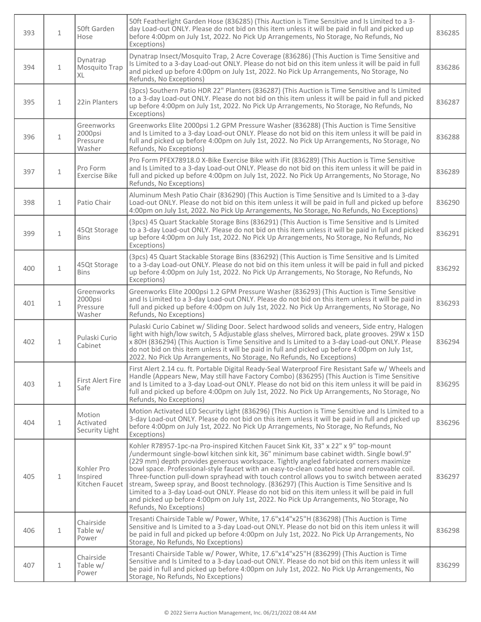| 393 | $\mathbf{1}$ | 50ft Garden<br>Hose                         | 50ft Featherlight Garden Hose (836285) (This Auction is Time Sensitive and Is Limited to a 3-<br>day Load-out ONLY. Please do not bid on this item unless it will be paid in full and picked up<br>before 4:00pm on July 1st, 2022. No Pick Up Arrangements, No Storage, No Refunds, No<br>Exceptions)                                                                                                                                                                                                                                                                                                                                                                                                                                                                                       | 836285 |
|-----|--------------|---------------------------------------------|----------------------------------------------------------------------------------------------------------------------------------------------------------------------------------------------------------------------------------------------------------------------------------------------------------------------------------------------------------------------------------------------------------------------------------------------------------------------------------------------------------------------------------------------------------------------------------------------------------------------------------------------------------------------------------------------------------------------------------------------------------------------------------------------|--------|
| 394 | $\mathbf{1}$ | Dynatrap<br>Mosquito Trap<br>XL             | Dynatrap Insect/Mosquito Trap, 2 Acre Coverage (836286) (This Auction is Time Sensitive and<br>Is Limited to a 3-day Load-out ONLY. Please do not bid on this item unless it will be paid in full<br>and picked up before 4:00pm on July 1st, 2022. No Pick Up Arrangements, No Storage, No<br>Refunds, No Exceptions)                                                                                                                                                                                                                                                                                                                                                                                                                                                                       | 836286 |
| 395 | $\mathbf{1}$ | 22in Planters                               | (3pcs) Southern Patio HDR 22" Planters (836287) (This Auction is Time Sensitive and Is Limited<br>to a 3-day Load-out ONLY. Please do not bid on this item unless it will be paid in full and picked<br>up before 4:00pm on July 1st, 2022. No Pick Up Arrangements, No Storage, No Refunds, No<br>Exceptions)                                                                                                                                                                                                                                                                                                                                                                                                                                                                               | 836287 |
| 396 | $\mathbf{1}$ | Greenworks<br>2000psi<br>Pressure<br>Washer | Greenworks Elite 2000psi 1.2 GPM Pressure Washer (836288) (This Auction is Time Sensitive<br>and Is Limited to a 3-day Load-out ONLY. Please do not bid on this item unless it will be paid in<br>full and picked up before 4:00pm on July 1st, 2022. No Pick Up Arrangements, No Storage, No<br>Refunds, No Exceptions)                                                                                                                                                                                                                                                                                                                                                                                                                                                                     | 836288 |
| 397 | $\mathbf{1}$ | Pro Form<br><b>Exercise Bike</b>            | Pro Form PFEX78918.0 X-Bike Exercise Bike with iFit (836289) (This Auction is Time Sensitive<br>and Is Limited to a 3-day Load-out ONLY. Please do not bid on this item unless it will be paid in<br>full and picked up before 4:00pm on July 1st, 2022. No Pick Up Arrangements, No Storage, No<br>Refunds, No Exceptions)                                                                                                                                                                                                                                                                                                                                                                                                                                                                  | 836289 |
| 398 | $\mathbf{1}$ | Patio Chair                                 | Aluminum Mesh Patio Chair (836290) (This Auction is Time Sensitive and Is Limited to a 3-day<br>Load-out ONLY. Please do not bid on this item unless it will be paid in full and picked up before<br>4:00pm on July 1st, 2022. No Pick Up Arrangements, No Storage, No Refunds, No Exceptions)                                                                                                                                                                                                                                                                                                                                                                                                                                                                                               | 836290 |
| 399 | $\mathbf{1}$ | 45Qt Storage<br><b>Bins</b>                 | (3pcs) 45 Quart Stackable Storage Bins (836291) (This Auction is Time Sensitive and Is Limited<br>to a 3-day Load-out ONLY. Please do not bid on this item unless it will be paid in full and picked<br>up before 4:00pm on July 1st, 2022. No Pick Up Arrangements, No Storage, No Refunds, No<br>Exceptions)                                                                                                                                                                                                                                                                                                                                                                                                                                                                               | 836291 |
| 400 | $\mathbf{1}$ | 45Qt Storage<br><b>Bins</b>                 | (3pcs) 45 Quart Stackable Storage Bins (836292) (This Auction is Time Sensitive and Is Limited<br>to a 3-day Load-out ONLY. Please do not bid on this item unless it will be paid in full and picked<br>up before 4:00pm on July 1st, 2022. No Pick Up Arrangements, No Storage, No Refunds, No<br>Exceptions)                                                                                                                                                                                                                                                                                                                                                                                                                                                                               | 836292 |
| 401 | $\mathbf{1}$ | Greenworks<br>2000psi<br>Pressure<br>Washer | Greenworks Elite 2000psi 1.2 GPM Pressure Washer (836293) (This Auction is Time Sensitive<br>and Is Limited to a 3-day Load-out ONLY. Please do not bid on this item unless it will be paid in<br>full and picked up before 4:00pm on July 1st, 2022. No Pick Up Arrangements, No Storage, No<br>Refunds, No Exceptions)                                                                                                                                                                                                                                                                                                                                                                                                                                                                     | 836293 |
| 402 | $\mathbf{1}$ | Pulaski Curio<br>Cabinet                    | Pulaski Curio Cabinet w/ Sliding Door. Select hardwood solids and veneers, Side entry, Halogen<br>light with high/low switch, 5 Adjustable glass shelves, Mirrored back, plate grooves. 29W x 15D<br>x 80H (836294) (This Auction is Time Sensitive and Is Limited to a 3-day Load-out ONLY. Please<br>do not bid on this item unless it will be paid in full and picked up before 4:00pm on July 1st,<br>2022. No Pick Up Arrangements, No Storage, No Refunds, No Exceptions)                                                                                                                                                                                                                                                                                                              | 836294 |
| 403 | $\mathbf{1}$ | First Alert Fire<br>Safe                    | First Alert 2.14 cu. ft. Portable Digital Ready-Seal Waterproof Fire Resistant Safe w/ Wheels and<br>Handle (Appears New, May still have Factory Combo) (836295) (This Auction is Time Sensitive<br>and Is Limited to a 3-day Load-out ONLY. Please do not bid on this item unless it will be paid in<br>full and picked up before 4:00pm on July 1st, 2022. No Pick Up Arrangements, No Storage, No<br>Refunds, No Exceptions)                                                                                                                                                                                                                                                                                                                                                              | 836295 |
| 404 | $\mathbf{1}$ | Motion<br>Activated<br>Security Light       | Motion Activated LED Security Light (836296) (This Auction is Time Sensitive and Is Limited to a<br>3-day Load-out ONLY. Please do not bid on this item unless it will be paid in full and picked up<br>before 4:00pm on July 1st, 2022. No Pick Up Arrangements, No Storage, No Refunds, No<br>Exceptions)                                                                                                                                                                                                                                                                                                                                                                                                                                                                                  | 836296 |
| 405 | $\mathbf{1}$ | Kohler Pro<br>Inspired<br>Kitchen Faucet    | Kohler R78957-1pc-na Pro-inspired Kitchen Faucet Sink Kit, 33" x 22" x 9" top-mount<br>/undermount single-bowl kitchen sink kit, 36" minimum base cabinet width. Single bowl.9"<br>(229 mm) depth provides generous workspace. Tightly angled fabricated corners maximize<br>bowl space. Professional-style faucet with an easy-to-clean coated hose and removable coil.<br>Three-function pull-down sprayhead with touch control allows you to switch between aerated<br>stream, Sweep spray, and Boost technology. (836297) (This Auction is Time Sensitive and Is<br>Limited to a 3-day Load-out ONLY. Please do not bid on this item unless it will be paid in full<br>and picked up before 4:00pm on July 1st, 2022. No Pick Up Arrangements, No Storage, No<br>Refunds, No Exceptions) | 836297 |
| 406 | $\mathbf{1}$ | Chairside<br>Table w/<br>Power              | Tresanti Chairside Table w/ Power, White, 17.6"x14"x25"H (836298) (This Auction is Time<br>Sensitive and Is Limited to a 3-day Load-out ONLY. Please do not bid on this item unless it will<br>be paid in full and picked up before 4:00pm on July 1st, 2022. No Pick Up Arrangements, No<br>Storage, No Refunds, No Exceptions)                                                                                                                                                                                                                                                                                                                                                                                                                                                             | 836298 |
| 407 | $\mathbf{1}$ | Chairside<br>Table w/<br>Power              | Tresanti Chairside Table w/ Power, White, 17.6"x14"x25"H (836299) (This Auction is Time<br>Sensitive and Is Limited to a 3-day Load-out ONLY. Please do not bid on this item unless it will<br>be paid in full and picked up before 4:00pm on July 1st, 2022. No Pick Up Arrangements, No<br>Storage, No Refunds, No Exceptions)                                                                                                                                                                                                                                                                                                                                                                                                                                                             | 836299 |